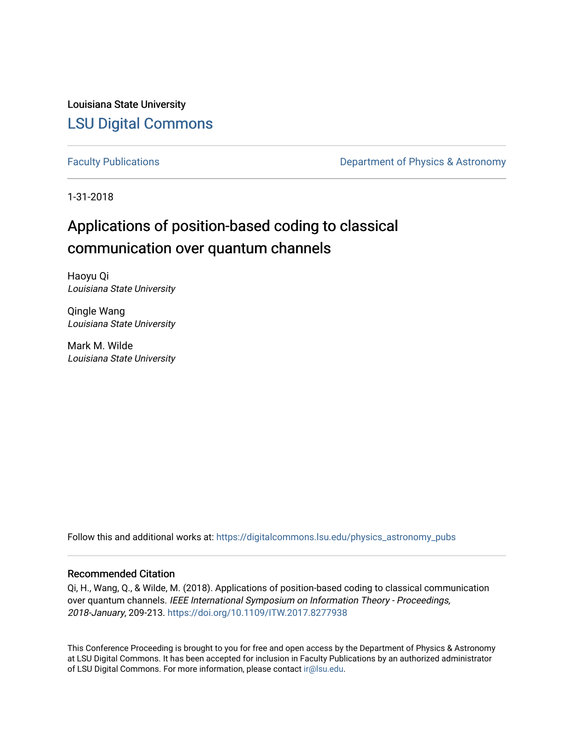Louisiana State University [LSU Digital Commons](https://digitalcommons.lsu.edu/)

[Faculty Publications](https://digitalcommons.lsu.edu/physics_astronomy_pubs) **Exercise 2 and Table 2 and Table 2 and Table 2 and Table 2 and Table 2 and Table 2 and Table 2 and Table 2 and Table 2 and Table 2 and Table 2 and Table 2 and Table 2 and Table 2 and Table 2 and Table** 

1-31-2018

# Applications of position-based coding to classical communication over quantum channels

Haoyu Qi Louisiana State University

Qingle Wang Louisiana State University

Mark M. Wilde Louisiana State University

Follow this and additional works at: [https://digitalcommons.lsu.edu/physics\\_astronomy\\_pubs](https://digitalcommons.lsu.edu/physics_astronomy_pubs?utm_source=digitalcommons.lsu.edu%2Fphysics_astronomy_pubs%2F5644&utm_medium=PDF&utm_campaign=PDFCoverPages) 

#### Recommended Citation

Qi, H., Wang, Q., & Wilde, M. (2018). Applications of position-based coding to classical communication over quantum channels. IEEE International Symposium on Information Theory - Proceedings, 2018-January, 209-213. <https://doi.org/10.1109/ITW.2017.8277938>

This Conference Proceeding is brought to you for free and open access by the Department of Physics & Astronomy at LSU Digital Commons. It has been accepted for inclusion in Faculty Publications by an authorized administrator of LSU Digital Commons. For more information, please contact [ir@lsu.edu](mailto:ir@lsu.edu).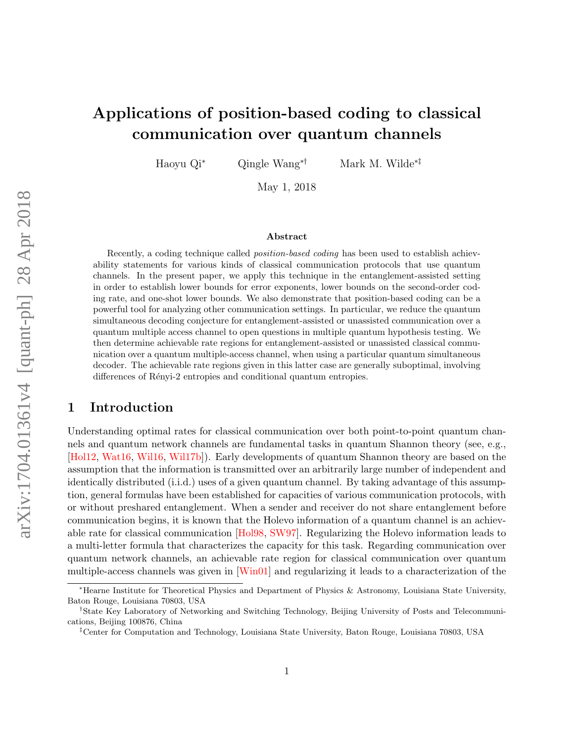## Applications of position-based coding to classical communication over quantum channels

Haoyu Qi<sup>∗</sup> Qingle Wang∗† Mark M. Wilde∗‡

May 1, 2018

#### Abstract

Recently, a coding technique called *position-based coding* has been used to establish achievability statements for various kinds of classical communication protocols that use quantum channels. In the present paper, we apply this technique in the entanglement-assisted setting in order to establish lower bounds for error exponents, lower bounds on the second-order coding rate, and one-shot lower bounds. We also demonstrate that position-based coding can be a powerful tool for analyzing other communication settings. In particular, we reduce the quantum simultaneous decoding conjecture for entanglement-assisted or unassisted communication over a quantum multiple access channel to open questions in multiple quantum hypothesis testing. We then determine achievable rate regions for entanglement-assisted or unassisted classical communication over a quantum multiple-access channel, when using a particular quantum simultaneous decoder. The achievable rate regions given in this latter case are generally suboptimal, involving differences of Rényi-2 entropies and conditional quantum entropies.

## 1 Introduction

Understanding optimal rates for classical communication over both point-to-point quantum channels and quantum network channels are fundamental tasks in quantum Shannon theory (see, e.g., [\[Hol12,](#page-41-0) [Wat16,](#page-43-0) [Wil16,](#page-43-1) [Wil17b\]](#page-43-2)). Early developments of quantum Shannon theory are based on the assumption that the information is transmitted over an arbitrarily large number of independent and identically distributed (i.i.d.) uses of a given quantum channel. By taking advantage of this assumption, general formulas have been established for capacities of various communication protocols, with or without preshared entanglement. When a sender and receiver do not share entanglement before communication begins, it is known that the Holevo information of a quantum channel is an achievable rate for classical communication [\[Hol98,](#page-41-1) [SW97\]](#page-42-0). Regularizing the Holevo information leads to a multi-letter formula that characterizes the capacity for this task. Regarding communication over quantum network channels, an achievable rate region for classical communication over quantum multiple-access channels was given in [\[Win01\]](#page-44-0) and regularizing it leads to a characterization of the

<sup>∗</sup>Hearne Institute for Theoretical Physics and Department of Physics & Astronomy, Louisiana State University, Baton Rouge, Louisiana 70803, USA

<sup>†</sup>State Key Laboratory of Networking and Switching Technology, Beijing University of Posts and Telecommunications, Beijing 100876, China

<sup>‡</sup>Center for Computation and Technology, Louisiana State University, Baton Rouge, Louisiana 70803, USA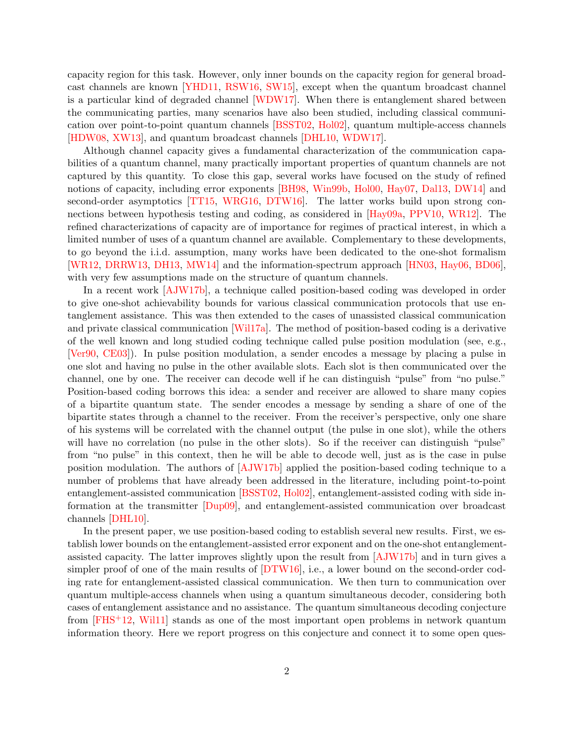capacity region for this task. However, only inner bounds on the capacity region for general broadcast channels are known [\[YHD11,](#page-44-1) [RSW16,](#page-42-1) [SW15\]](#page-43-3), except when the quantum broadcast channel is a particular kind of degraded channel [\[WDW17\]](#page-43-4). When there is entanglement shared between the communicating parties, many scenarios have also been studied, including classical communication over point-to-point quantum channels [\[BSST02,](#page-39-0) [Hol02\]](#page-41-2), quantum multiple-access channels [\[HDW08,](#page-41-3) [XW13\]](#page-44-2), and quantum broadcast channels [\[DHL10,](#page-39-1) [WDW17\]](#page-43-4).

Although channel capacity gives a fundamental characterization of the communication capabilities of a quantum channel, many practically important properties of quantum channels are not captured by this quantity. To close this gap, several works have focused on the study of refined notions of capacity, including error exponents [\[BH98,](#page-38-0) [Win99b,](#page-44-3) [Hol00,](#page-41-4) [Hay07,](#page-40-0) [Dal13,](#page-39-2) [DW14\]](#page-40-1) and second-order asymptotics [\[TT15,](#page-43-5) [WRG16,](#page-44-4) [DTW16\]](#page-40-2). The latter works build upon strong connections between hypothesis testing and coding, as considered in [\[Hay09a,](#page-41-5) [PPV10,](#page-42-2) [WR12\]](#page-44-5). The refined characterizations of capacity are of importance for regimes of practical interest, in which a limited number of uses of a quantum channel are available. Complementary to these developments, to go beyond the i.i.d. assumption, many works have been dedicated to the one-shot formalism [\[WR12,](#page-44-5) [DRRW13,](#page-40-3) [DH13,](#page-39-3) [MW14\]](#page-42-3) and the information-spectrum approach [\[HN03,](#page-41-6) [Hay06,](#page-40-4) [BD06\]](#page-38-1), with very few assumptions made on the structure of quantum channels.

In a recent work [\[AJW17b\]](#page-38-2), a technique called position-based coding was developed in order to give one-shot achievability bounds for various classical communication protocols that use entanglement assistance. This was then extended to the cases of unassisted classical communication and private classical communication [\[Wil17a\]](#page-43-6). The method of position-based coding is a derivative of the well known and long studied coding technique called pulse position modulation (see, e.g., [\[Ver90,](#page-43-7) [CE03\]](#page-39-4)). In pulse position modulation, a sender encodes a message by placing a pulse in one slot and having no pulse in the other available slots. Each slot is then communicated over the channel, one by one. The receiver can decode well if he can distinguish "pulse" from "no pulse." Position-based coding borrows this idea: a sender and receiver are allowed to share many copies of a bipartite quantum state. The sender encodes a message by sending a share of one of the bipartite states through a channel to the receiver. From the receiver's perspective, only one share of his systems will be correlated with the channel output (the pulse in one slot), while the others will have no correlation (no pulse in the other slots). So if the receiver can distinguish "pulse" from "no pulse" in this context, then he will be able to decode well, just as is the case in pulse position modulation. The authors of [\[AJW17b\]](#page-38-2) applied the position-based coding technique to a number of problems that have already been addressed in the literature, including point-to-point entanglement-assisted communication [\[BSST02,](#page-39-0) [Hol02\]](#page-41-2), entanglement-assisted coding with side information at the transmitter [\[Dup09\]](#page-40-5), and entanglement-assisted communication over broadcast channels [\[DHL10\]](#page-39-1).

In the present paper, we use position-based coding to establish several new results. First, we establish lower bounds on the entanglement-assisted error exponent and on the one-shot entanglementassisted capacity. The latter improves slightly upon the result from [\[AJW17b\]](#page-38-2) and in turn gives a simpler proof of one of the main results of [\[DTW16\]](#page-40-2), i.e., a lower bound on the second-order coding rate for entanglement-assisted classical communication. We then turn to communication over quantum multiple-access channels when using a quantum simultaneous decoder, considering both cases of entanglement assistance and no assistance. The quantum simultaneous decoding conjecture from  $[FHS^+12, Will1]$  stands as one of the most important open problems in network quantum information theory. Here we report progress on this conjecture and connect it to some open ques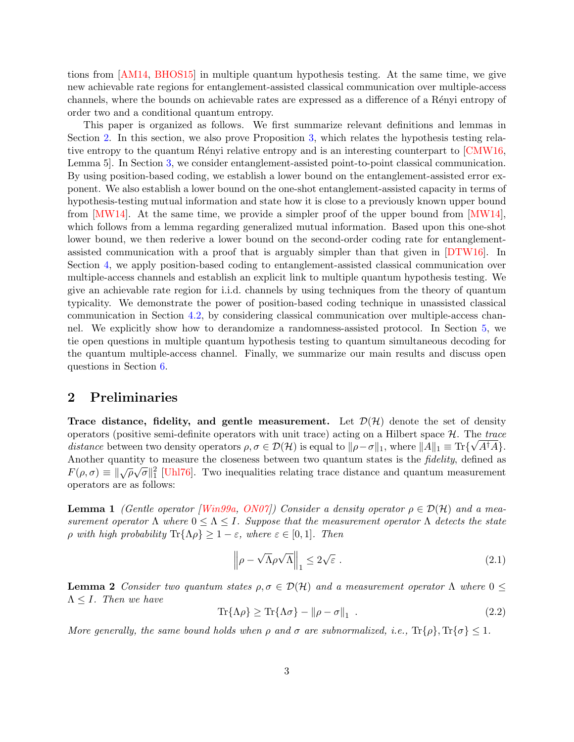tions from [\[AM14,](#page-38-3) [BHOS15\]](#page-38-4) in multiple quantum hypothesis testing. At the same time, we give new achievable rate regions for entanglement-assisted classical communication over multiple-access channels, where the bounds on achievable rates are expressed as a difference of a Rényi entropy of order two and a conditional quantum entropy.

This paper is organized as follows. We first summarize relevant definitions and lemmas in Section [2.](#page-3-0) In this section, we also prove Proposition [3,](#page-4-0) which relates the hypothesis testing rela-tive entropy to the quantum Rényi relative entropy and is an interesting counterpart to [\[CMW16,](#page-39-5) Lemma 5]. In Section [3,](#page-6-0) we consider entanglement-assisted point-to-point classical communication. By using position-based coding, we establish a lower bound on the entanglement-assisted error exponent. We also establish a lower bound on the one-shot entanglement-assisted capacity in terms of hypothesis-testing mutual information and state how it is close to a previously known upper bound from  $[MW14]$ . At the same time, we provide a simpler proof of the upper bound from  $[MW14]$ . which follows from a lemma regarding generalized mutual information. Based upon this one-shot lower bound, we then rederive a lower bound on the second-order coding rate for entanglementassisted communication with a proof that is arguably simpler than that given in [\[DTW16\]](#page-40-2). In Section [4,](#page-15-0) we apply position-based coding to entanglement-assisted classical communication over multiple-access channels and establish an explicit link to multiple quantum hypothesis testing. We give an achievable rate region for i.i.d. channels by using techniques from the theory of quantum typicality. We demonstrate the power of position-based coding technique in unassisted classical communication in Section [4.2,](#page-18-0) by considering classical communication over multiple-access channel. We explicitly show how to derandomize a randomness-assisted protocol. In Section [5,](#page-26-0) we tie open questions in multiple quantum hypothesis testing to quantum simultaneous decoding for the quantum multiple-access channel. Finally, we summarize our main results and discuss open questions in Section [6.](#page-34-0)

### <span id="page-3-0"></span>2 Preliminaries

Trace distance, fidelity, and gentle measurement. Let  $\mathcal{D}(\mathcal{H})$  denote the set of density operators (positive semi-definite operators with unit trace) acting on a Hilbert space  $H$ . The trace distance between two density operators  $\rho, \sigma \in \mathcal{D}(\mathcal{H})$  is equal to  $\|\rho - \sigma\|_1$ , where  $\|A\|_1 \equiv \text{Tr}\{\sqrt{A^{\dagger}A}\}.$ Another quantity to measure the closeness between two quantum states is the *fidelity*, defined as  $F(\rho, \sigma) \equiv ||\sqrt{\rho}\sqrt{\sigma}||_1^2$  [\[Uhl76\]](#page-43-9). Two inequalities relating trace distance and quantum measurement operators are as follows:

<span id="page-3-2"></span>**Lemma 1** (Gentle operator [\[Win99a,](#page-44-6) [ON07\]](#page-42-4)) Consider a density operator  $\rho \in \mathcal{D}(\mathcal{H})$  and a measurement operator  $\Lambda$  where  $0 \leq \Lambda \leq I$ . Suppose that the measurement operator  $\Lambda$  detects the state  $\rho$  with high probability  $\text{Tr}\{\Lambda\rho\} \geq 1-\varepsilon$ , where  $\varepsilon \in [0,1]$ . Then

$$
\left\|\rho - \sqrt{\Lambda}\rho\sqrt{\Lambda}\right\|_{1} \le 2\sqrt{\varepsilon} \tag{2.1}
$$

<span id="page-3-1"></span>**Lemma 2** Consider two quantum states  $\rho, \sigma \in \mathcal{D}(\mathcal{H})$  and a measurement operator  $\Lambda$  where  $0 \leq \Lambda$  $\Lambda \leq I$ . Then we have

$$
\operatorname{Tr}\{\Lambda \rho\} \ge \operatorname{Tr}\{\Lambda \sigma\} - \|\rho - \sigma\|_1 \tag{2.2}
$$

More generally, the same bound holds when  $\rho$  and  $\sigma$  are subnormalized, i.e.,  $\text{Tr}\{\rho\}$ ,  $\text{Tr}\{\sigma\} \leq 1$ .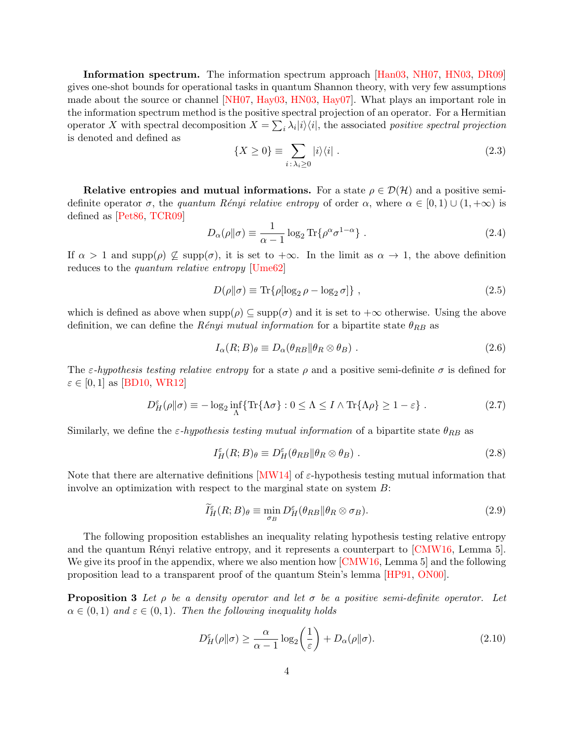Information spectrum. The information spectrum approach [\[Han03,](#page-40-7) [NH07,](#page-42-5) [HN03,](#page-41-6) [DR09\]](#page-40-8) gives one-shot bounds for operational tasks in quantum Shannon theory, with very few assumptions made about the source or channel [\[NH07,](#page-42-5) [Hay03,](#page-40-9) [HN03,](#page-41-6) [Hay07\]](#page-40-0). What plays an important role in the information spectrum method is the positive spectral projection of an operator. For a Hermitian operator X with spectral decomposition  $X = \sum_i \lambda_i |i\rangle\langle i|$ , the associated positive spectral projection is denoted and defined as

$$
\{X \ge 0\} \equiv \sum_{i \colon \lambda_i \ge 0} |i\rangle\langle i| \ . \tag{2.3}
$$

Relative entropies and mutual informations. For a state  $\rho \in \mathcal{D}(\mathcal{H})$  and a positive semidefinite operator  $\sigma$ , the quantum Rényi relative entropy of order  $\alpha$ , where  $\alpha \in [0,1) \cup (1,+\infty)$  is defined as [\[Pet86,](#page-42-6) [TCR09\]](#page-43-10)

$$
D_{\alpha}(\rho \| \sigma) \equiv \frac{1}{\alpha - 1} \log_2 \text{Tr} \{ \rho^{\alpha} \sigma^{1 - \alpha} \} . \tag{2.4}
$$

If  $\alpha > 1$  and supp( $\rho$ )  $\nsubseteq$  supp( $\sigma$ ), it is set to  $+\infty$ . In the limit as  $\alpha \to 1$ , the above definition reduces to the quantum relative entropy [\[Ume62\]](#page-43-11)

$$
D(\rho \|\sigma) \equiv \text{Tr}\{\rho[\log_2 \rho - \log_2 \sigma]\},\tag{2.5}
$$

which is defined as above when  $\text{supp}(\rho) \subseteq \text{supp}(\sigma)$  and it is set to  $+\infty$  otherwise. Using the above definition, we can define the Rényi mutual information for a bipartite state  $\theta_{RB}$  as

<span id="page-4-1"></span>
$$
I_{\alpha}(R;B)_{\theta} \equiv D_{\alpha}(\theta_{RB} \|\theta_R \otimes \theta_B) \ . \tag{2.6}
$$

The  $\varepsilon$ -hypothesis testing relative entropy for a state  $\rho$  and a positive semi-definite  $\sigma$  is defined for  $\varepsilon \in [0, 1]$  as [\[BD10,](#page-38-5) [WR12\]](#page-44-5)

$$
D_H^{\varepsilon}(\rho \| \sigma) \equiv -\log_2 \inf_{\Lambda} \{ \text{Tr} \{ \Lambda \sigma \} : 0 \le \Lambda \le I \wedge \text{Tr} \{ \Lambda \rho \} \ge 1 - \varepsilon \} . \tag{2.7}
$$

Similarly, we define the  $\varepsilon$ -hypothesis testing mutual information of a bipartite state  $\theta_{RB}$  as

<span id="page-4-2"></span>
$$
I_H^{\varepsilon}(R;B)_{\theta} \equiv D_H^{\varepsilon}(\theta_{RB} \|\theta_R \otimes \theta_B) \tag{2.8}
$$

Note that there are alternative definitions [\[MW14\]](#page-42-3) of  $\varepsilon$ -hypothesis testing mutual information that involve an optimization with respect to the marginal state on system  $B$ :

$$
\widetilde{I}^{\varepsilon}_{H}(R;B)_{\theta} \equiv \min_{\sigma_{B}} D^{\varepsilon}_{H}(\theta_{RB} \| \theta_{R} \otimes \sigma_{B}). \tag{2.9}
$$

The following proposition establishes an inequality relating hypothesis testing relative entropy and the quantum Rényi relative entropy, and it represents a counterpart to  $\lfloor CMW16 \rfloor$ , Lemma 5. We give its proof in the appendix, where we also mention how [\[CMW16,](#page-39-5) Lemma 5] and the following proposition lead to a transparent proof of the quantum Stein's lemma [\[HP91,](#page-41-7) [ON00\]](#page-42-7).

<span id="page-4-0"></span>**Proposition 3** Let  $\rho$  be a density operator and let  $\sigma$  be a positive semi-definite operator. Let  $\alpha \in (0,1)$  and  $\varepsilon \in (0,1)$ . Then the following inequality holds

$$
D_H^{\varepsilon}(\rho \|\sigma) \ge \frac{\alpha}{\alpha - 1} \log_2 \left(\frac{1}{\varepsilon}\right) + D_{\alpha}(\rho \|\sigma). \tag{2.10}
$$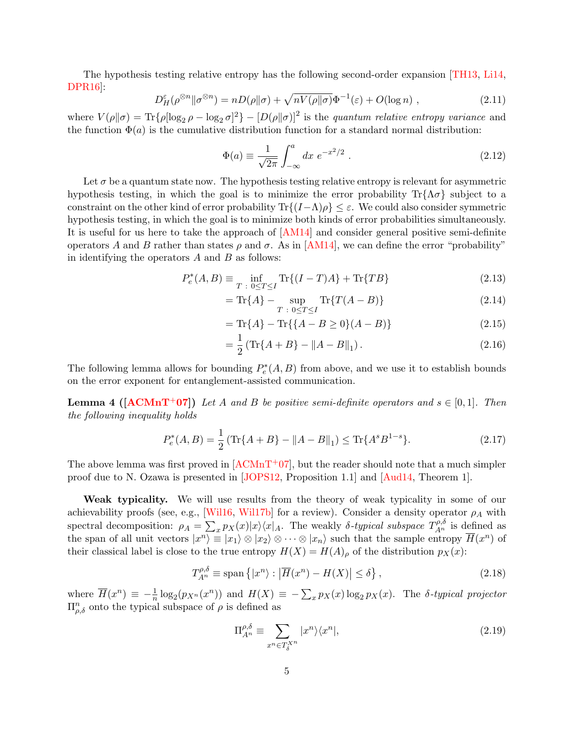The hypothesis testing relative entropy has the following second-order expansion [\[TH13,](#page-43-12) [Li14,](#page-42-8) [DPR16\]](#page-39-6):

<span id="page-5-3"></span>
$$
D_H^{\varepsilon}(\rho^{\otimes n}||\sigma^{\otimes n}) = nD(\rho||\sigma) + \sqrt{nV(\rho||\sigma)}\Phi^{-1}(\varepsilon) + O(\log n) , \qquad (2.11)
$$

where  $V(\rho||\sigma) = \text{Tr}\{\rho[\log_2 \rho - \log_2 \sigma]^2\} - [D(\rho||\sigma)]^2$  is the *quantum relative entropy variance* and the function  $\Phi(a)$  is the cumulative distribution function for a standard normal distribution:

$$
\Phi(a) \equiv \frac{1}{\sqrt{2\pi}} \int_{-\infty}^{a} dx \ e^{-x^2/2} . \tag{2.12}
$$

Let  $\sigma$  be a quantum state now. The hypothesis testing relative entropy is relevant for asymmetric hypothesis testing, in which the goal is to minimize the error probability  $\text{Tr}\{\Lambda \sigma\}$  subject to a constraint on the other kind of error probability  $\text{Tr}\{(I-\Lambda)\rho\}\leq \varepsilon$ . We could also consider symmetric hypothesis testing, in which the goal is to minimize both kinds of error probabilities simultaneously. It is useful for us here to take the approach of [\[AM14\]](#page-38-3) and consider general positive semi-definite operators A and B rather than states  $ρ$  and  $σ$ . As in [\[AM14\]](#page-38-3), we can define the error "probability" in identifying the operators  $A$  and  $B$  as follows:

$$
P_e^*(A, B) \equiv \inf_{T \; : \; 0 \le T \le I} \text{Tr}\{(I - T)A\} + \text{Tr}\{TB\}
$$
\n(2.13)

<span id="page-5-0"></span>
$$
= \text{Tr}\{A\} - \sup_{T \; : \; 0 \le T \le I} \text{Tr}\{T(A - B)\}
$$
\n(2.14)

$$
= \text{Tr}\{A\} - \text{Tr}\{\{A - B \ge 0\}(A - B)\}\tag{2.15}
$$

<span id="page-5-1"></span>
$$
= \frac{1}{2} \left( \text{Tr} \{ A + B \} - \| A - B \|_{1} \right). \tag{2.16}
$$

The following lemma allows for bounding  $P_e^*(A, B)$  from above, and we use it to establish bounds on the error exponent for entanglement-assisted communication.

<span id="page-5-2"></span>**Lemma 4 ([\[ACMnT](#page-37-0)<sup>+</sup>07])** Let A and B be positive semi-definite operators and  $s \in [0,1]$ . Then the following inequality holds

$$
P_e^*(A, B) = \frac{1}{2} \left( \text{Tr}\{A + B\} - \|A - B\|_1 \right) \le \text{Tr}\{A^s B^{1-s}\}.
$$
 (2.17)

The above lemma was first proved in  $[ACMnT+07]$ , but the reader should note that a much simpler proof due to N. Ozawa is presented in [\[JOPS12,](#page-41-8) Proposition 1.1] and [\[Aud14,](#page-38-6) Theorem 1].

Weak typicality. We will use results from the theory of weak typicality in some of our achievability proofs (see, e.g., [\[Wil16,](#page-43-1) [Wil17b\]](#page-43-2) for a review). Consider a density operator  $\rho_A$  with spectral decomposition:  $\rho_A = \sum_x p_X(x)|x\rangle\langle x|_A$ . The weakly  $\delta$ -typical subspace  $T_{A^n}^{\rho,\delta}$  is defined as the span of all unit vectors  $|x^n\rangle \equiv |x_1\rangle \otimes |x_2\rangle \otimes \cdots \otimes |x_n\rangle$  such that the sample entropy  $\overline{H}(x^n)$  of their classical label is close to the true entropy  $H(X) = H(A)_{\rho}$  of the distribution  $p_X(x)$ :

$$
T_{A^n}^{\rho,\delta} \equiv \text{span}\left\{|x^n\rangle : \left|\overline{H}(x^n) - H(X)\right| \le \delta\right\},\tag{2.18}
$$

where  $\overline{H}(x^n) \equiv -\frac{1}{n} \log_2(p_{X^n}(x^n))$  and  $H(X) \equiv -\sum_x p_X(x) \log_2 p_X(x)$ . The  $\delta$ -typical projector  $\Pi_{\rho,\delta}^n$  onto the typical subspace of  $\rho$  is defined as

$$
\Pi_{A^n}^{\rho,\delta} \equiv \sum_{x^n \in T_{\delta}^{X^n}} |x^n\rangle\langle x^n|,\tag{2.19}
$$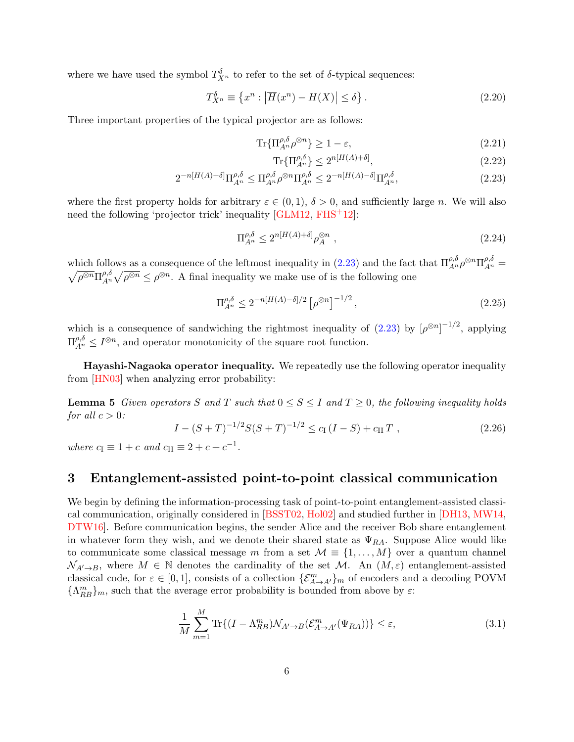where we have used the symbol  $T_{X^n}^{\delta}$  to refer to the set of  $\delta$ -typical sequences:

$$
T_{X^n}^{\delta} \equiv \{x^n : |\overline{H}(x^n) - H(X)| \le \delta\}.
$$
\n(2.20)

Three important properties of the typical projector are as follows:

$$
\text{Tr}\{\Pi_{A^n}^{\rho,\delta}\rho^{\otimes n}\} \ge 1 - \varepsilon,\tag{2.21}
$$

<span id="page-6-3"></span><span id="page-6-1"></span>
$$
\operatorname{Tr}\{\Pi_{A^n}^{\rho,\delta}\} \le 2^{n[H(A)+\delta]},\tag{2.22}
$$

$$
2^{-n[H(A)+\delta]} \Pi_{A^n}^{\rho,\delta} \leq \Pi_{A^n}^{\rho,\delta} \rho^{\otimes n} \Pi_{A^n}^{\rho,\delta} \leq 2^{-n[H(A)-\delta]} \Pi_{A^n}^{\rho,\delta},\tag{2.23}
$$

where the first property holds for arbitrary  $\varepsilon \in (0,1)$ ,  $\delta > 0$ , and sufficiently large n. We will also need the following 'projector trick' inequality [\[GLM12,](#page-40-10) [FHS](#page-40-6)<sup>+</sup>12]:

<span id="page-6-4"></span>
$$
\Pi_{A^n}^{\rho,\delta} \le 2^{n[H(A)+\delta]} \rho_A^{\otimes n} \tag{2.24}
$$

which follows as a consequence of the leftmost inequality in [\(2.23\)](#page-6-1) and the fact that  $\Pi_{A^n}^{\rho,\delta} \rho^{\otimes n} \Pi_{A^n}^{\rho,\delta} = \sqrt{\rho^{\otimes n}} \Gamma_{A^n}^{\rho,\delta} \sqrt{\rho^{\otimes n}} \leq \rho^{\otimes n}$ . A final inequality we make use of is the following one  $\overline{\rho^{\otimes n}} \Pi^{\rho,\delta}_{{\scriptscriptstyle A}^n}$  $\rho^{\beta}_{A^n} \sqrt{\rho^{\otimes n}} \leq \rho^{\otimes n}$ . A final inequality we make use of is the following one

<span id="page-6-5"></span>
$$
\Pi_{A^n}^{\rho,\delta} \le 2^{-n[H(A) - \delta]/2} \left[ \rho^{\otimes n} \right]^{-1/2},\tag{2.25}
$$

which is a consequence of sandwiching the rightmost inequality of  $(2.23)$  by  $[\rho^{\otimes n}]^{-1/2}$ , applying  $\Pi_{A^n}^{\rho,\delta} \leq I^{\otimes n}$ , and operator monotonicity of the square root function.

Hayashi-Nagaoka operator inequality. We repeatedly use the following operator inequality from [\[HN03\]](#page-41-6) when analyzing error probability:

<span id="page-6-2"></span>**Lemma 5** Given operators S and T such that  $0 \leq S \leq I$  and  $T \geq 0$ , the following inequality holds for all  $c > 0$ :

$$
I - (S+T)^{-1/2} S(S+T)^{-1/2} \le c_{\rm I} (I - S) + c_{\rm II} T , \qquad (2.26)
$$

where  $c_{\text{I}} \equiv 1 + c$  and  $c_{\text{II}} \equiv 2 + c + c^{-1}$ .

## <span id="page-6-0"></span>3 Entanglement-assisted point-to-point classical communication

We begin by defining the information-processing task of point-to-point entanglement-assisted classical communication, originally considered in [\[BSST02,](#page-39-0) [Hol02\]](#page-41-2) and studied further in [\[DH13,](#page-39-3) [MW14,](#page-42-3) DTW16. Before communication begins, the sender Alice and the receiver Bob share entanglement in whatever form they wish, and we denote their shared state as  $\Psi_{RA}$ . Suppose Alice would like to communicate some classical message m from a set  $\mathcal{M} \equiv \{1, \ldots, M\}$  over a quantum channel  $\mathcal{N}_{A'\to B}$ , where  $M \in \mathbb{N}$  denotes the cardinality of the set M. An  $(M,\varepsilon)$  entanglement-assisted classical code, for  $\varepsilon \in [0, 1]$ , consists of a collection  $\{\mathcal{E}_{A\to A'}^m\}$  of encoders and a decoding POVM  $\{\Lambda_{RB}^m\}_m$ , such that the average error probability is bounded from above by  $\varepsilon$ :

$$
\frac{1}{M} \sum_{m=1}^{M} \text{Tr}\{(I - \Lambda_{RB}^{m})\mathcal{N}_{A' \to B}(\mathcal{E}_{A \to A'}^{m}(\Psi_{RA}))\} \le \varepsilon,
$$
\n(3.1)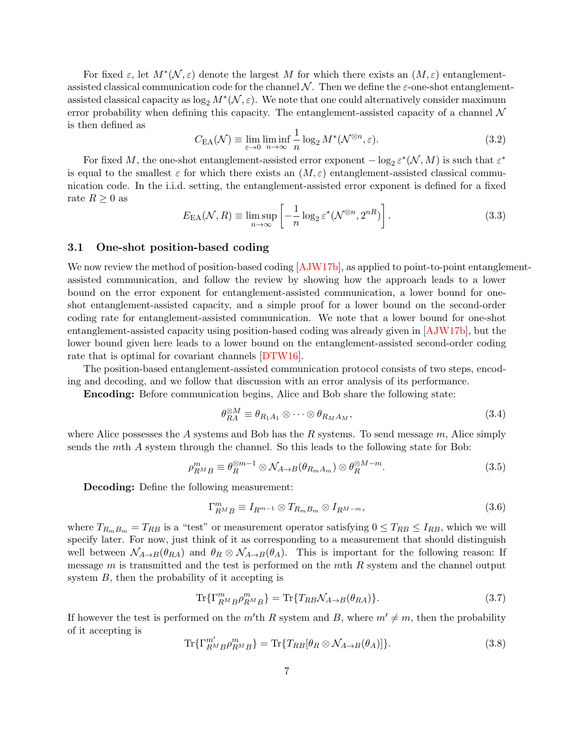For fixed  $\varepsilon$ , let  $M^*(\mathcal{N}, \varepsilon)$  denote the largest M for which there exists an  $(M, \varepsilon)$  entanglementassisted classical communication code for the channel  $\mathcal N$ . Then we define the  $\varepsilon$ -one-shot entanglementassisted classical capacity as  $\log_2 M^*(\mathcal{N}, \varepsilon)$ . We note that one could alternatively consider maximum error probability when defining this capacity. The entanglement-assisted capacity of a channel  $\mathcal N$ is then defined as

$$
C_{\text{EA}}(\mathcal{N}) \equiv \lim_{\varepsilon \to 0} \liminf_{n \to \infty} \frac{1}{n} \log_2 M^*(\mathcal{N}^{\otimes n}, \varepsilon). \tag{3.2}
$$

For fixed M, the one-shot entanglement-assisted error exponent  $-\log_2 \varepsilon^*(\mathcal{N}, M)$  is such that  $\varepsilon^*$ is equal to the smallest  $\varepsilon$  for which there exists an  $(M, \varepsilon)$  entanglement-assisted classical communication code. In the i.i.d. setting, the entanglement-assisted error exponent is defined for a fixed rate  $R \geq 0$  as

<span id="page-7-1"></span>
$$
E_{\text{EA}}(\mathcal{N}, R) \equiv \limsup_{n \to \infty} \left[ -\frac{1}{n} \log_2 \varepsilon^*(\mathcal{N}^{\otimes n}, 2^{nR}) \right]. \tag{3.3}
$$

#### <span id="page-7-0"></span>3.1 One-shot position-based coding

We now review the method of position-based coding [\[AJW17b\]](#page-38-2), as applied to point-to-point entanglementassisted communication, and follow the review by showing how the approach leads to a lower bound on the error exponent for entanglement-assisted communication, a lower bound for oneshot entanglement-assisted capacity, and a simple proof for a lower bound on the second-order coding rate for entanglement-assisted communication. We note that a lower bound for one-shot entanglement-assisted capacity using position-based coding was already given in [\[AJW17b\]](#page-38-2), but the lower bound given here leads to a lower bound on the entanglement-assisted second-order coding rate that is optimal for covariant channels [\[DTW16\]](#page-40-2).

The position-based entanglement-assisted communication protocol consists of two steps, encoding and decoding, and we follow that discussion with an error analysis of its performance.

Encoding: Before communication begins, Alice and Bob share the following state:

$$
\theta_{RA}^{\otimes M} \equiv \theta_{R_1 A_1} \otimes \cdots \otimes \theta_{R_M A_M},\tag{3.4}
$$

where Alice possesses the A systems and Bob has the R systems. To send message  $m$ , Alice simply sends the mth A system through the channel. So this leads to the following state for Bob:

$$
\rho_{R^M B}^m \equiv \theta_R^{\otimes m-1} \otimes \mathcal{N}_{A \to B}(\theta_{R_m A_m}) \otimes \theta_R^{\otimes M-m}.
$$
\n(3.5)

Decoding: Define the following measurement:

$$
\Gamma_{R^{M}B}^{m} \equiv I_{R^{m-1}} \otimes T_{R_{m}B_{m}} \otimes I_{R^{M-m}},\tag{3.6}
$$

where  $T_{R_mB_m} = T_{RB}$  is a "test" or measurement operator satisfying  $0 \le T_{RB} \le I_{RB}$ , which we will specify later. For now, just think of it as corresponding to a measurement that should distinguish well between  $\mathcal{N}_{A\to B}(\theta_{RA})$  and  $\theta_R \otimes \mathcal{N}_{A\to B}(\theta_A)$ . This is important for the following reason: If message  $m$  is transmitted and the test is performed on the  $m$ th  $R$  system and the channel output system B, then the probability of it accepting is

$$
\text{Tr}\{\Gamma_{R^M B}^m \rho_{R^M B}^m\} = \text{Tr}\{T_{RB} \mathcal{N}_{A \to B}(\theta_{RA})\}.
$$
\n(3.7)

If however the test is performed on the  $m'$ <sup>th</sup> R system and B, where  $m' \neq m$ , then the probability of it accepting is

$$
\operatorname{Tr}\{\Gamma_{R^M B}^{m'} \rho_{R^M B}^m\} = \operatorname{Tr}\{T_{RB}[\theta_R \otimes \mathcal{N}_{A \to B}(\theta_A)]\}.
$$
\n(3.8)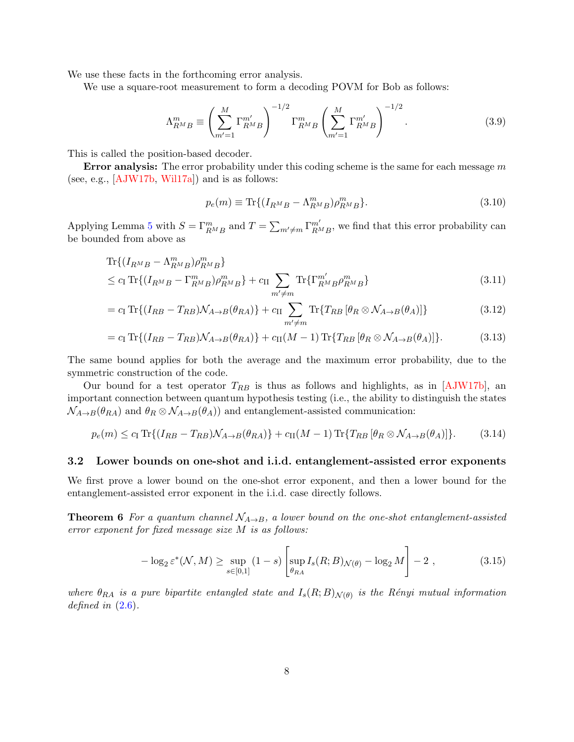We use these facts in the forthcoming error analysis.

We use a square-root measurement to form a decoding POVM for Bob as follows:

$$
\Lambda_{RMB}^{m} \equiv \left(\sum_{m'=1}^{M} \Gamma_{RMB}^{m'}\right)^{-1/2} \Gamma_{RMB}^{m} \left(\sum_{m'=1}^{M} \Gamma_{RMB}^{m'}\right)^{-1/2}.
$$
 (3.9)

This is called the position-based decoder.

**Error analysis:** The error probability under this coding scheme is the same for each message  $m$ (see, e.g.,  $[AJW17b, Will17a]$ ) and is as follows:

$$
p_e(m) \equiv \text{Tr}\{(I_{R^M B} - \Lambda_{R^M B}^m)\rho_{R^M B}^m\}.
$$
\n(3.10)

Applying Lemma [5](#page-6-2) with  $S = \Gamma^m_{R^M B}$  and  $T = \sum_{m' \neq m} \Gamma^{m'}_{R^M}$  $\frac{m'}{R^M B}$ , we find that this error probability can be bounded from above as

$$
\text{Tr}\{(I_{R^{M}B} - \Lambda_{R^{M}B}^{m})\rho_{R^{M}B}^{m}\}\
$$
  
\n
$$
\leq c_{\text{I}} \text{Tr}\{(I_{R^{M}B} - \Gamma_{R^{M}B}^{m})\rho_{R^{M}B}^{m}\} + c_{\text{II}} \sum_{m' \neq m} \text{Tr}\{\Gamma_{R^{M}B}^{m'}\rho_{R^{M}B}^{m}\}\
$$
\n(3.11)

$$
= c_{\rm I} \operatorname{Tr}\{(I_{RB} - T_{RB})\mathcal{N}_{A \to B}(\theta_{RA})\} + c_{\rm II} \sum_{m' \neq m} \operatorname{Tr}\{T_{RB} [\theta_R \otimes \mathcal{N}_{A \to B}(\theta_A)]\} \tag{3.12}
$$

$$
= c_{\text{I}} \operatorname{Tr} \{ (I_{RB} - T_{RB}) \mathcal{N}_{A \to B}(\theta_{RA}) \} + c_{\text{II}}(M-1) \operatorname{Tr} \{ T_{RB} [\theta_R \otimes \mathcal{N}_{A \to B}(\theta_A)] \}.
$$
 (3.13)

The same bound applies for both the average and the maximum error probability, due to the symmetric construction of the code.

Our bound for a test operator  $T_{RB}$  is thus as follows and highlights, as in [\[AJW17b\]](#page-38-2), an important connection between quantum hypothesis testing (i.e., the ability to distinguish the states  $\mathcal{N}_{A\to B}(\theta_{RA})$  and  $\theta_R \otimes \mathcal{N}_{A\to B}(\theta_A)$  and entanglement-assisted communication:

<span id="page-8-0"></span>
$$
p_e(m) \le c_\text{I} \operatorname{Tr} \{ (I_{RB} - T_{RB}) \mathcal{N}_{A \to B}(\theta_{RA}) \} + c_\text{II}(M - 1) \operatorname{Tr} \{ T_{RB} [\theta_R \otimes \mathcal{N}_{A \to B}(\theta_A)] \}. \tag{3.14}
$$

#### 3.2 Lower bounds on one-shot and i.i.d. entanglement-assisted error exponents

We first prove a lower bound on the one-shot error exponent, and then a lower bound for the entanglement-assisted error exponent in the i.i.d. case directly follows.

**Theorem 6** For a quantum channel  $\mathcal{N}_{A\rightarrow B}$ , a lower bound on the one-shot entanglement-assisted error exponent for fixed message size M is as follows:

<span id="page-8-1"></span>
$$
-\log_2 \varepsilon^* (\mathcal{N}, M) \ge \sup_{s \in [0,1]} (1-s) \left[ \sup_{\theta_{RA}} I_s(R; B)_{\mathcal{N}(\theta)} - \log_2 M \right] - 2 , \qquad (3.15)
$$

where  $\theta_{RA}$  is a pure bipartite entangled state and  $I_s(R;B)_{\mathcal{N}(\theta)}$  is the Rényi mutual information defined in  $(2.6)$ .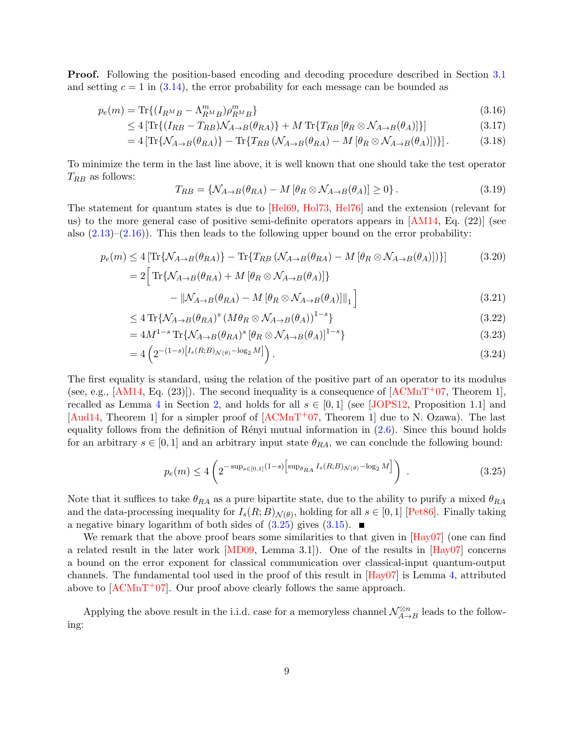Proof. Following the position-based encoding and decoding procedure described in Section [3.1](#page-7-0) and setting  $c = 1$  in [\(3.14\)](#page-8-0), the error probability for each message can be bounded as

$$
p_e(m) = \text{Tr}\{(I_{R^M B} - \Lambda_{R^M B}^m)\rho_{R^M B}^m\}
$$
\n(3.16)

$$
\leq 4\left[\text{Tr}\left\{\left(I_{RB} - T_{RB}\right)\mathcal{N}_{A\to B}(\theta_{RA})\right\} + M\,\text{Tr}\left\{T_{RB}\left[\theta_R \otimes \mathcal{N}_{A\to B}(\theta_A)\right]\right\}\right] \tag{3.17}
$$

$$
=4\left[\text{Tr}\{\mathcal{N}_{A\to B}(\theta_{RA})\}-\text{Tr}\{T_{RB}\left(\mathcal{N}_{A\to B}(\theta_{RA})-M\left[\theta_{R}\otimes\mathcal{N}_{A\to B}(\theta_{A})\right]\right)\}\right].
$$
 (3.18)

To minimize the term in the last line above, it is well known that one should take the test operator  $T_{RB}$  as follows:

$$
T_{RB} = \{ \mathcal{N}_{A \to B}(\theta_{RA}) - M \left[ \theta_R \otimes \mathcal{N}_{A \to B}(\theta_A) \right] \ge 0 \}.
$$
 (3.19)

The statement for quantum states is due to [\[Hel69,](#page-41-9) [Hol73,](#page-41-10) [Hel76\]](#page-41-11) and the extension (relevant for us) to the more general case of positive semi-definite operators appears in [\[AM14,](#page-38-3) Eq. (22)] (see also  $(2.13)$ – $(2.16)$ ). This then leads to the following upper bound on the error probability:

$$
p_e(m) \le 4 \left[ \text{Tr} \{ \mathcal{N}_{A \to B}(\theta_{RA}) \} - \text{Tr} \{ T_{RB} \left( \mathcal{N}_{A \to B}(\theta_{RA}) - M \left[ \theta_R \otimes \mathcal{N}_{A \to B}(\theta_A) \right] \right) \} \right]
$$
(3.20)  
= 2 \left[ \text{Tr} \{ \mathcal{N}\_{A \to B}(\theta\_{RA}) + M \left[ \theta\_R \otimes \mathcal{N}\_{A \to B}(\theta\_A) \right] \} \right]

$$
-\left\|\mathcal{N}_{A\to B}(\theta_{RA}) - M\left[\theta_R \otimes \mathcal{N}_{A\to B}(\theta_A)\right]\right\|_1\right] \tag{3.21}
$$

$$
\leq 4 \operatorname{Tr} \{ \mathcal{N}_{A \to B}(\theta_{RA})^s \left( M \theta_R \otimes \mathcal{N}_{A \to B}(\theta_A) \right)^{1-s} \} \tag{3.22}
$$

$$
=4M^{1-s}\operatorname{Tr}\{\mathcal{N}_{A\to B}(\theta_{RA})^s\left[\theta_R\otimes\mathcal{N}_{A\to B}(\theta_A)\right]^{1-s}\}\tag{3.23}
$$

$$
=4\left(2^{-(1-s)[I_s(R;B)_{\mathcal{N}(\theta)}-\log_2 M]}\right). \tag{3.24}
$$

The first equality is standard, using the relation of the positive part of an operator to its modulus (see, e.g., [\[AM14,](#page-38-3) Eq. (23)]). The second inequality is a consequence of  $[ACMnT<sup>+</sup>07$ , Theorem 1]. recalled as Lemma [4](#page-5-2) in Section [2,](#page-3-0) and holds for all  $s \in [0,1]$  (see [\[JOPS12,](#page-41-8) Proposition 1.1] and [\[Aud14,](#page-38-6) Theorem 1] for a simpler proof of  $[ACMnT<sup>+</sup>07$ , Theorem 1] due to N. Ozawa). The last equality follows from the definition of Rényi mutual information in  $(2.6)$ . Since this bound holds for an arbitrary  $s \in [0,1]$  and an arbitrary input state  $\theta_{RA}$ , we can conclude the following bound:

<span id="page-9-0"></span>
$$
p_e(m) \le 4\left(2^{-\sup_{s \in [0,1]} (1-s)\left[\sup_{\theta_{RA}} I_s(R;B)_{\mathcal{N}(\theta)} - \log_2 M\right]}\right) \tag{3.25}
$$

Note that it suffices to take  $\theta_{RA}$  as a pure bipartite state, due to the ability to purify a mixed  $\theta_{RA}$ and the data-processing inequality for  $I_s(R;B)_{\mathcal{N}(\theta)}$ , holding for all  $s \in [0,1]$  [\[Pet86\]](#page-42-6). Finally taking a negative binary logarithm of both sides of  $(3.25)$  gives  $(3.15)$ .

We remark that the above proof bears some similarities to that given in [\[Hay07\]](#page-40-0) (one can find a related result in the later work [\[MD09,](#page-42-9) Lemma 3.1]). One of the results in [\[Hay07\]](#page-40-0) concerns a bound on the error exponent for classical communication over classical-input quantum-output channels. The fundamental tool used in the proof of this result in [\[Hay07\]](#page-40-0) is Lemma [4,](#page-5-2) attributed above to  $[ACMnT+07]$ . Our proof above clearly follows the same approach.

Applying the above result in the i.i.d. case for a memoryless channel  $\mathcal{N}_{A \rightarrow}^{\otimes n}$  $\chi_{A\rightarrow B}^{\infty n}$  leads to the following: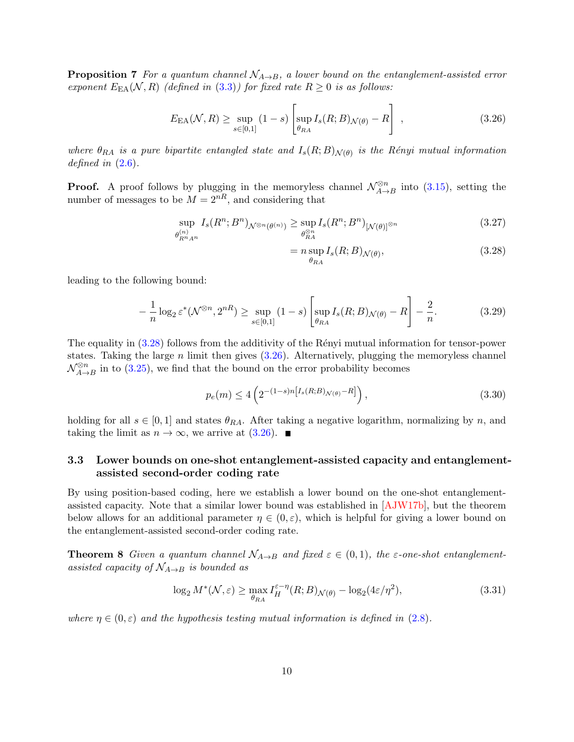**Proposition 7** For a quantum channel  $N_{A\rightarrow B}$ , a lower bound on the entanglement-assisted error exponent  $E_{EA}(\mathcal{N}, R)$  (defined in [\(3.3\)](#page-7-1)) for fixed rate  $R \geq 0$  is as follows:

<span id="page-10-1"></span>
$$
E_{\rm EA}(\mathcal{N}, R) \ge \sup_{s \in [0,1]} (1-s) \left[ \sup_{\theta_{RA}} I_s(R; B)_{\mathcal{N}(\theta)} - R \right], \qquad (3.26)
$$

where  $\theta_{RA}$  is a pure bipartite entangled state and  $I_s(R;B)_{\mathcal{N}(\theta)}$  is the Rényi mutual information defined in  $(2.6)$ .

**Proof.** A proof follows by plugging in the memoryless channel  $\mathcal{N}_{A\rightarrow}^{\otimes n}$  $\lim_{A\to B}$  into  $(3.15)$ , setting the number of messages to be  $M = 2^{nR}$ , and considering that

$$
\sup_{\theta_{R^n A^n}^{(n)}} I_s(R^n; B^n)_{\mathcal{N}^{\otimes n}(\theta^{(n)})} \ge \sup_{\theta_{R A}^{\otimes n}} I_s(R^n; B^n)_{[\mathcal{N}(\theta)]^{\otimes n}} \tag{3.27}
$$

<span id="page-10-0"></span>
$$
= n \sup_{\theta_{RA}} I_s(R;B)_{\mathcal{N}(\theta)},
$$
\n(3.28)

leading to the following bound:

$$
-\frac{1}{n}\log_2\varepsilon^*(\mathcal{N}^{\otimes n}, 2^{nR}) \ge \sup_{s\in[0,1]} (1-s) \left[\sup_{\theta_{RA}} I_s(R;B)_{\mathcal{N}(\theta)} - R\right] - \frac{2}{n}.\tag{3.29}
$$

The equality in  $(3.28)$  follows from the additivity of the Rényi mutual information for tensor-power states. Taking the large  $n$  limit then gives  $(3.26)$ . Alternatively, plugging the memoryless channel  $\mathcal{N}_{A \rightarrow}^{\otimes n}$  $\sum_{A\to B}^{\infty n}$  in to [\(3.25\)](#page-9-0), we find that the bound on the error probability becomes

$$
p_e(m) \le 4\left(2^{-(1-s)n[I_s(R;B)_{\mathcal{N}(\theta)}-R]}\right),\tag{3.30}
$$

holding for all  $s \in [0,1]$  and states  $\theta_{RA}$ . After taking a negative logarithm, normalizing by n, and taking the limit as  $n \to \infty$ , we arrive at  $(3.26)$ .

## 3.3 Lower bounds on one-shot entanglement-assisted capacity and entanglementassisted second-order coding rate

By using position-based coding, here we establish a lower bound on the one-shot entanglementassisted capacity. Note that a similar lower bound was established in [\[AJW17b\]](#page-38-2), but the theorem below allows for an additional parameter  $\eta \in (0,\varepsilon)$ , which is helpful for giving a lower bound on the entanglement-assisted second-order coding rate.

**Theorem 8** Given a quantum channel  $\mathcal{N}_{A\rightarrow B}$  and fixed  $\varepsilon \in (0,1)$ , the  $\varepsilon$ -one-shot entanglementassisted capacity of  $\mathcal{N}_{A\rightarrow B}$  is bounded as

<span id="page-10-2"></span>
$$
\log_2 M^*(\mathcal{N}, \varepsilon) \ge \max_{\theta_{RA}} I_H^{\varepsilon - \eta}(R; B)_{\mathcal{N}(\theta)} - \log_2(4\varepsilon/\eta^2),\tag{3.31}
$$

where  $\eta \in (0,\varepsilon)$  and the hypothesis testing mutual information is defined in [\(2.8\)](#page-4-2).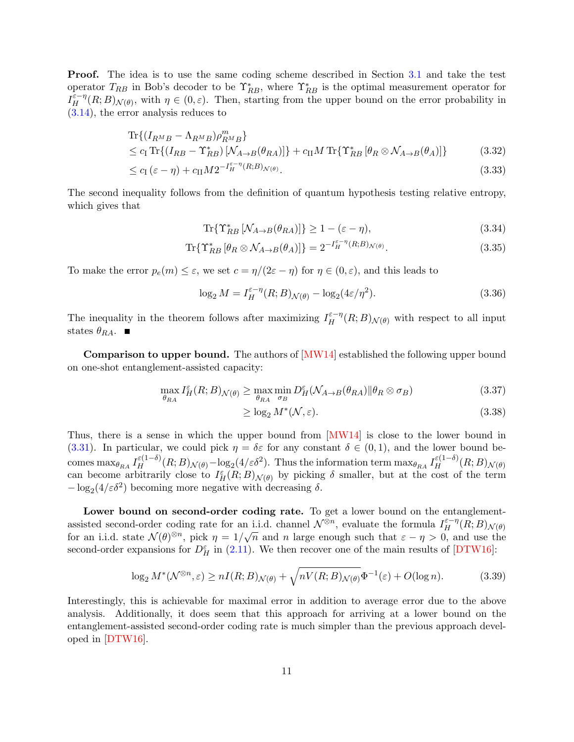Proof. The idea is to use the same coding scheme described in Section [3.1](#page-7-0) and take the test operator  $T_{RB}$  in Bob's decoder to be  $\Upsilon_{RB}^*$ , where  $\Upsilon_{RB}^*$  is the optimal measurement operator for  $I_H^{\varepsilon-\eta}(R;B)_{\mathcal{N}(\theta)}$ , with  $\eta \in (0,\varepsilon)$ . Then, starting from the upper bound on the error probability in [\(3.14\)](#page-8-0), the error analysis reduces to

$$
\text{Tr}\{(I_{R^{M}B} - \Lambda_{R^{M}B})\rho_{R^{M}B}^{m}\}\
$$
  
\n
$$
\leq c_{\text{I}} \text{Tr}\{(I_{RB} - \Upsilon_{RB}^{*})\left[\mathcal{N}_{A\to B}(\theta_{RA})\right]\} + c_{\text{II}}M \text{Tr}\{\Upsilon_{RB}^{*}\left[\theta_{R}\otimes\mathcal{N}_{A\to B}(\theta_{A})\right]\}\
$$
\n(3.32)

$$
\leq c_{\mathrm{I}}\left(\varepsilon-\eta\right)+c_{\mathrm{II}}M2^{-I_{H}^{\varepsilon-\eta}\left(R;B\right)_{\mathcal{N}\left(\theta\right)}}.\tag{3.33}
$$

The second inequality follows from the definition of quantum hypothesis testing relative entropy, which gives that

$$
\text{Tr}\{\Upsilon_{RB}^* \left[\mathcal{N}_{A \to B}(\theta_{RA})\right]\} \ge 1 - (\varepsilon - \eta),\tag{3.34}
$$

$$
\operatorname{Tr}\{\Upsilon_{RB}^* \left[\theta_R \otimes \mathcal{N}_{A \to B}(\theta_A)\right]\} = 2^{-I_H^{\varepsilon - \eta}(R;B)_{\mathcal{N}(\theta)}}.
$$
\n(3.35)

To make the error  $p_e(m) \leq \varepsilon$ , we set  $c = \eta/(2\varepsilon - \eta)$  for  $\eta \in (0, \varepsilon)$ , and this leads to

$$
\log_2 M = I_H^{\varepsilon - \eta}(R;B)_{\mathcal{N}(\theta)} - \log_2(4\varepsilon/\eta^2). \tag{3.36}
$$

The inequality in the theorem follows after maximizing  $I_H^{\varepsilon-\eta}(R;B)_{\mathcal{N}(\theta)}$  with respect to all input states  $\theta_{RA}$ .

**Comparison to upper bound.** The authors of  $[MW14]$  established the following upper bound on one-shot entanglement-assisted capacity:

$$
\max_{\theta_{RA}} I_H^{\varepsilon}(R;B)_{\mathcal{N}(\theta)} \ge \max_{\theta_{RA}} \min_{\sigma_B} D_H^{\varepsilon}(\mathcal{N}_{A \to B}(\theta_{RA}) \| \theta_R \otimes \sigma_B)
$$
(3.37)

$$
\geq \log_2 M^*(\mathcal{N}, \varepsilon). \tag{3.38}
$$

Thus, there is a sense in which the upper bound from [\[MW14\]](#page-42-3) is close to the lower bound in [\(3.31\)](#page-10-2). In particular, we could pick  $\eta = \delta \varepsilon$  for any constant  $\delta \in (0,1)$ , and the lower bound becomes  $\max_{\theta_{RA}} I_H^{\varepsilon(1-\delta)}(R;B)_{\mathcal{N}(\theta)} - \log_2(4/\varepsilon\delta^2)$ . Thus the information term  $\max_{\theta_{RA}} I_H^{\varepsilon(1-\delta)}(R;B)_{\mathcal{N}(\theta)}$ can become arbitrarily close to  $I_H^{\varepsilon}(R;B)_{\mathcal{N}(\theta)}$  by picking  $\delta$  smaller, but at the cost of the term  $-\log_2(4/\varepsilon\delta^2)$  becoming more negative with decreasing  $\delta$ .

Lower bound on second-order coding rate. To get a lower bound on the entanglementassisted second-order coding rate for an i.i.d. channel  $\mathcal{N}^{\otimes n}$ , evaluate the formula  $I_H^{\varepsilon-\eta}(R;B)_{\mathcal{N}(\theta)}$ for an i.i.d. state  $\mathcal{N}(\theta)^{\otimes n}$ , pick  $\eta = 1/\sqrt{n}$  and n large enough such that  $\varepsilon - \eta > 0$ , and use the second-order expansions for  $D_H^{\varepsilon}$  in [\(2.11\)](#page-5-3). We then recover one of the main results of [\[DTW16\]](#page-40-2):

$$
\log_2 M^*(\mathcal{N}^{\otimes n}, \varepsilon) \ge nI(R; B)_{\mathcal{N}(\theta)} + \sqrt{nV(R; B)_{\mathcal{N}(\theta)}} \Phi^{-1}(\varepsilon) + O(\log n). \tag{3.39}
$$

Interestingly, this is achievable for maximal error in addition to average error due to the above analysis. Additionally, it does seem that this approach for arriving at a lower bound on the entanglement-assisted second-order coding rate is much simpler than the previous approach developed in [\[DTW16\]](#page-40-2).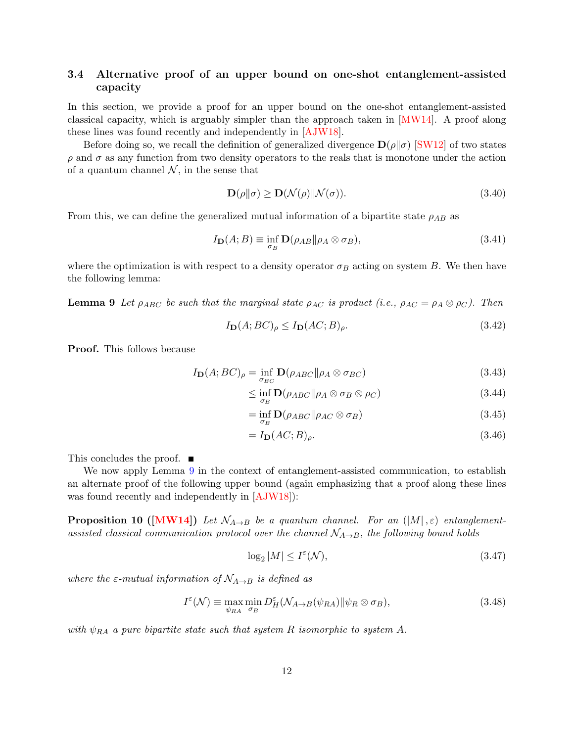#### 3.4 Alternative proof of an upper bound on one-shot entanglement-assisted capacity

In this section, we provide a proof for an upper bound on the one-shot entanglement-assisted classical capacity, which is arguably simpler than the approach taken in [\[MW14\]](#page-42-3). A proof along these lines was found recently and independently in [\[AJW18\]](#page-38-7).

Before doing so, we recall the definition of generalized divergence  $\mathbf{D}(\rho||\sigma)$  [\[SW12\]](#page-43-13) of two states  $\rho$  and  $\sigma$  as any function from two density operators to the reals that is monotone under the action of a quantum channel  $\mathcal{N}$ , in the sense that

$$
\mathbf{D}(\rho \| \sigma) \ge \mathbf{D}(\mathcal{N}(\rho) \| \mathcal{N}(\sigma)). \tag{3.40}
$$

From this, we can define the generalized mutual information of a bipartite state  $\rho_{AB}$  as

$$
I_{\mathbf{D}}(A;B) \equiv \inf_{\sigma_B} \mathbf{D}(\rho_{AB} || \rho_A \otimes \sigma_B), \tag{3.41}
$$

where the optimization is with respect to a density operator  $\sigma_B$  acting on system B. We then have the following lemma:

<span id="page-12-0"></span>**Lemma 9** Let  $\rho_{ABC}$  be such that the marginal state  $\rho_{AC}$  is product (i.e.,  $\rho_{AC} = \rho_A \otimes \rho_C$ ). Then

$$
I_{\mathbf{D}}(A;BC)_{\rho} \le I_{\mathbf{D}}(AC;B)_{\rho}.
$$
\n(3.42)

Proof. This follows because

$$
I_{\mathbf{D}}(A;BC)_{\rho} = \inf_{\sigma_{BC}} \mathbf{D}(\rho_{ABC} || \rho_A \otimes \sigma_{BC})
$$
\n(3.43)

$$
\leq \inf_{\sigma_B} \mathbf{D}(\rho_{ABC} || \rho_A \otimes \sigma_B \otimes \rho_C) \tag{3.44}
$$

$$
= \inf_{\sigma_B} \mathbf{D}(\rho_{ABC} \|\rho_{AC} \otimes \sigma_B) \tag{3.45}
$$

$$
=I_{\mathbf{D}}(AC;B)_{\rho}.\tag{3.46}
$$

This concludes the proof.  $\blacksquare$ 

We now apply Lemma [9](#page-12-0) in the context of entanglement-assisted communication, to establish an alternate proof of the following upper bound (again emphasizing that a proof along these lines was found recently and independently in [\[AJW18\]](#page-38-7)):

**Proposition 10 ([\[MW14\]](#page-42-3))** Let  $\mathcal{N}_{A\rightarrow B}$  be a quantum channel. For an (|M|, $\varepsilon$ ) entanglementassisted classical communication protocol over the channel  $\mathcal{N}_{A\rightarrow B}$ , the following bound holds

$$
\log_2|M| \le I^{\varepsilon}(\mathcal{N}),\tag{3.47}
$$

where the  $\varepsilon$ -mutual information of  $\mathcal{N}_{A\rightarrow B}$  is defined as

$$
I^{\varepsilon}(\mathcal{N}) \equiv \max_{\psi_{RA}} \min_{\sigma_B} D_H^{\varepsilon}(\mathcal{N}_{A \to B}(\psi_{RA}) || \psi_R \otimes \sigma_B), \tag{3.48}
$$

with  $\psi_{RA}$  a pure bipartite state such that system R isomorphic to system A.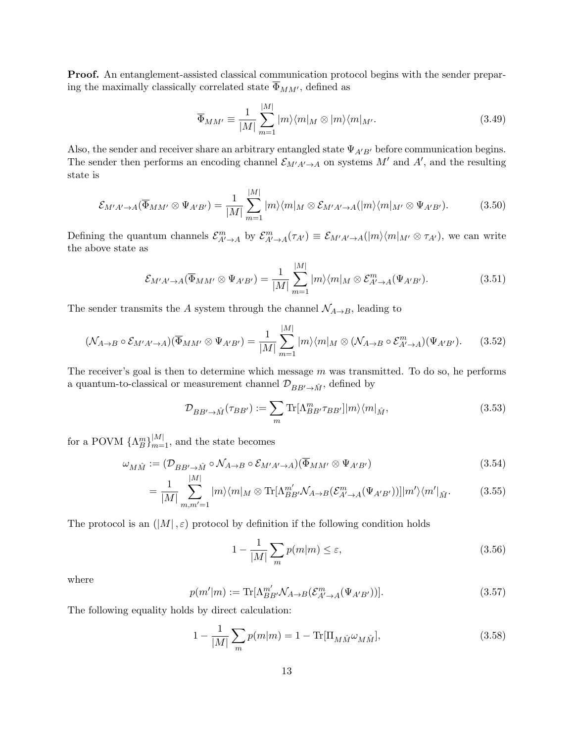Proof. An entanglement-assisted classical communication protocol begins with the sender preparing the maximally classically correlated state  $\overline{\Phi}_{MM'} ,$  defined as

$$
\overline{\Phi}_{MM'} \equiv \frac{1}{|M|} \sum_{m=1}^{|M|} |m\rangle\langle m|_M \otimes |m\rangle\langle m|_{M'}.\tag{3.49}
$$

Also, the sender and receiver share an arbitrary entangled state  $\Psi_{A'B'}$  before communication begins. The sender then performs an encoding channel  $\mathcal{E}_{M'A'\to A}$  on systems  $M'$  and  $A'$ , and the resulting state is

$$
\mathcal{E}_{M'A'\to A}(\overline{\Phi}_{MM'}\otimes\Psi_{A'B'})=\frac{1}{|M|}\sum_{m=1}^{|M|}|m\rangle\langle m|_M\otimes\mathcal{E}_{M'A'\to A}(|m\rangle\langle m|_{M'}\otimes\Psi_{A'B'}).
$$
(3.50)

Defining the quantum channels  $\mathcal{E}_{A'\to A}^m$  by  $\mathcal{E}_{A'\to A}^m(\tau_{A'}) \equiv \mathcal{E}_{M'A'\to A}(|m\rangle\langle m|_{M'} \otimes \tau_{A'})$ , we can write the above state as

$$
\mathcal{E}_{M'A'\to A}(\overline{\Phi}_{MM'}\otimes\Psi_{A'B'})=\frac{1}{|M|}\sum_{m=1}^{|M|}|m\rangle\langle m|_M\otimes\mathcal{E}_{A'\to A}^m(\Psi_{A'B'}).
$$
\n(3.51)

The sender transmits the A system through the channel  $\mathcal{N}_{A\rightarrow B}$ , leading to

<span id="page-13-3"></span>
$$
(\mathcal{N}_{A\to B}\circ\mathcal{E}_{M'A'\to A})(\overline{\Phi}_{MM'}\otimes\Psi_{A'B'})=\frac{1}{|M|}\sum_{m=1}^{|M|}|m\rangle\langle m|_M\otimes(\mathcal{N}_{A\to B}\circ\mathcal{E}_{A'\to A}^m)(\Psi_{A'B'}).
$$
 (3.52)

The receiver's goal is then to determine which message  $m$  was transmitted. To do so, he performs a quantum-to-classical or measurement channel  $\mathcal{D}_{BB'\to \hat{M}},$  defined by

$$
\mathcal{D}_{BB'\to\hat{M}}(\tau_{BB'}) := \sum_{m} \text{Tr}[\Lambda_{BB'}^{m} \tau_{BB'}] |m\rangle\langle m|_{\hat{M}},\tag{3.53}
$$

for a POVM  $\{\Lambda_B^m\}_{m=1}^{|M|}$ , and the state becomes

$$
\omega_{M\hat{M}} := (\mathcal{D}_{BB' \to \hat{M}} \circ \mathcal{N}_{A \to B} \circ \mathcal{E}_{M'A' \to A})(\overline{\Phi}_{MM'} \otimes \Psi_{A'B'})
$$
(3.54)

$$
= \frac{1}{|M|} \sum_{m,m'=1}^{|M|} |m\rangle\langle m|_M \otimes \text{Tr}[\Lambda_{BB'}^{m'} \mathcal{N}_{A\to B}(\mathcal{E}_{A'\to A}^m(\Psi_{A'B'}))]|m'\rangle\langle m'|_{\hat{M}}.\tag{3.55}
$$

The protocol is an  $(|M|, \varepsilon)$  protocol by definition if the following condition holds

<span id="page-13-2"></span><span id="page-13-0"></span>
$$
1 - \frac{1}{|M|} \sum_{m} p(m|m) \le \varepsilon,\tag{3.56}
$$

where

$$
p(m'|m) := \text{Tr}[\Lambda_{BB'}^{m'} \mathcal{N}_{A \to B}(\mathcal{E}_{A' \to A}^{m}(\Psi_{A'B'}))]. \tag{3.57}
$$

The following equality holds by direct calculation:

<span id="page-13-1"></span>
$$
1 - \frac{1}{|M|} \sum_{m} p(m|m) = 1 - \text{Tr}[\Pi_{M\hat{M}}\omega_{M\hat{M}}],
$$
\n(3.58)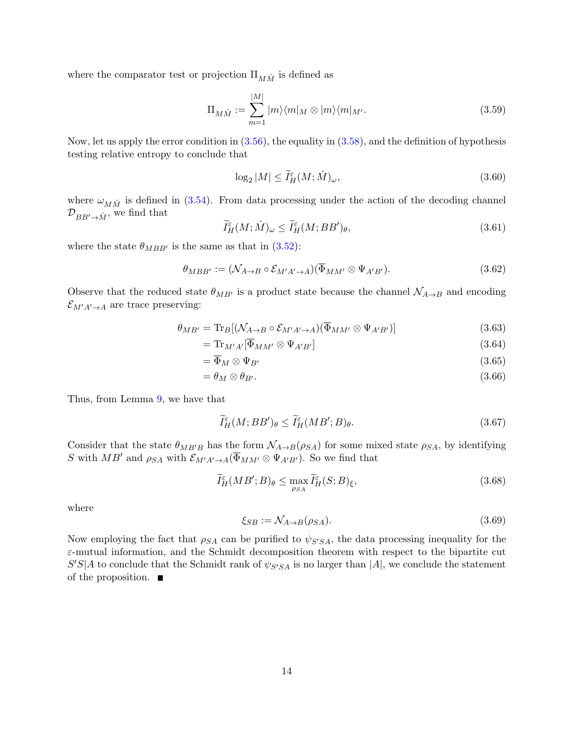where the comparator test or projection  $\Pi_{M\hat{M}}$  is defined as

$$
\Pi_{M\hat{M}} := \sum_{m=1}^{|M|} |m\rangle\langle m|_M \otimes |m\rangle\langle m|_{M'}.
$$
\n(3.59)

Now, let us apply the error condition in  $(3.56)$ , the equality in  $(3.58)$ , and the definition of hypothesis testing relative entropy to conclude that

$$
\log_2|M| \le \widetilde{I}_H^{\varepsilon}(M; \hat{M})_\omega,\tag{3.60}
$$

where  $\omega_{M\hat{M}}$  is defined in [\(3.54\)](#page-13-2). From data processing under the action of the decoding channel  $\mathcal{D}_{BB'\to \hat{M}}$ , we find that

$$
\widetilde{I}^{\varepsilon}_H(M; \hat{M})_\omega \le \widetilde{I}^{\varepsilon}_H(M; BB')_\theta,\tag{3.61}
$$

where the state  $\theta_{MBB'}$  is the same as that in [\(3.52\)](#page-13-3):

$$
\theta_{MBB'} := (\mathcal{N}_{A \to B} \circ \mathcal{E}_{M'A' \to A})(\overline{\Phi}_{MM'} \otimes \Psi_{A'B'}).
$$
\n(3.62)

Observe that the reduced state  $\theta_{MB'}$  is a product state because the channel  $\mathcal{N}_{A\rightarrow B}$  and encoding  $\mathcal{E}_{M'A'\to A}$  are trace preserving:

$$
\theta_{MB'} = \text{Tr}_B[(\mathcal{N}_{A \to B} \circ \mathcal{E}_{M'A' \to A})(\overline{\Phi}_{MM'} \otimes \Psi_{A'B'})]
$$
(3.63)

$$
= \operatorname{Tr}_{M'A'}[\overline{\Phi}_{MM'} \otimes \Psi_{A'B'}]
$$
(3.64)

$$
=\overline{\Phi}_M\otimes\Psi_{B'}\tag{3.65}
$$

$$
=\theta_M\otimes\theta_{B'}.\tag{3.66}
$$

Thus, from Lemma [9,](#page-12-0) we have that

$$
\widetilde{I}^{\varepsilon}_H(M; BB')_{\theta} \le \widetilde{I}^{\varepsilon}_H(MB'; B)_{\theta}.
$$
\n(3.67)

Consider that the state  $\theta_{MB'B}$  has the form  $\mathcal{N}_{A\rightarrow B}(\rho_{SA})$  for some mixed state  $\rho_{SA}$ , by identifying S with MB' and  $\rho_{SA}$  with  $\mathcal{E}_{M'A'\to A}(\overline{\Phi}_{MM'}\otimes \Psi_{A'B'})$ . So we find that

$$
\widetilde{I}^{\varepsilon}_H(MB';B)_{\theta} \le \max_{\rho_{SA}} \widetilde{I}^{\varepsilon}_H(S;B)_{\xi},\tag{3.68}
$$

where

$$
\xi_{SB} := \mathcal{N}_{A \to B}(\rho_{SA}).\tag{3.69}
$$

Now employing the fact that  $\rho_{SA}$  can be purified to  $\psi_{S'SA}$ , the data processing inequality for the  $\varepsilon$ -mutual information, and the Schmidt decomposition theorem with respect to the bipartite cut  $S'S|A$  to conclude that the Schmidt rank of  $\psi_{S'SA}$  is no larger than  $|A|$ , we conclude the statement of the proposition.  $\blacksquare$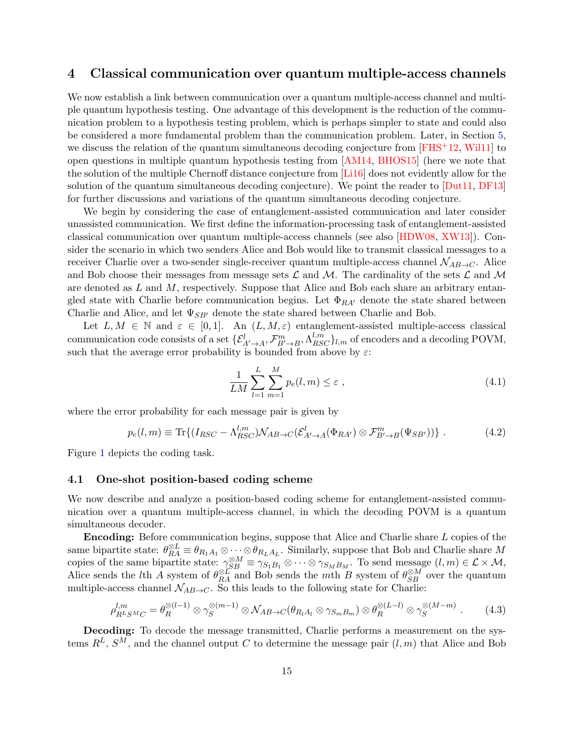## <span id="page-15-0"></span>4 Classical communication over quantum multiple-access channels

We now establish a link between communication over a quantum multiple-access channel and multiple quantum hypothesis testing. One advantage of this development is the reduction of the communication problem to a hypothesis testing problem, which is perhaps simpler to state and could also be considered a more fundamental problem than the communication problem. Later, in Section [5,](#page-26-0) we discuss the relation of the quantum simultaneous decoding conjecture from [\[FHS](#page-40-6)<sup>+</sup>12, [Wil11\]](#page-43-8) to open questions in multiple quantum hypothesis testing from [\[AM14,](#page-38-3) [BHOS15\]](#page-38-4) (here we note that the solution of the multiple Chernoff distance conjecture from [\[Li16\]](#page-42-10) does not evidently allow for the solution of the quantum simultaneous decoding conjecture). We point the reader to [\[Dut11,](#page-40-11) [DF13\]](#page-39-7) for further discussions and variations of the quantum simultaneous decoding conjecture.

We begin by considering the case of entanglement-assisted communication and later consider unassisted communication. We first define the information-processing task of entanglement-assisted classical communication over quantum multiple-access channels (see also [\[HDW08,](#page-41-3) [XW13\]](#page-44-2)). Consider the scenario in which two senders Alice and Bob would like to transmit classical messages to a receiver Charlie over a two-sender single-receiver quantum multiple-access channel  $\mathcal{N}_{AB\rightarrow C}$ . Alice and Bob choose their messages from message sets  $\mathcal L$  and  $\mathcal M$ . The cardinality of the sets  $\mathcal L$  and  $\mathcal M$ are denoted as  $L$  and  $M$ , respectively. Suppose that Alice and Bob each share an arbitrary entangled state with Charlie before communication begins. Let  $\Phi_{RA'}$  denote the state shared between Charlie and Alice, and let  $\Psi_{SB'}$  denote the state shared between Charlie and Bob.

Let  $L, M \in \mathbb{N}$  and  $\varepsilon \in [0, 1]$ . An  $(L, M, \varepsilon)$  entanglement-assisted multiple-access classical communication code consists of a set  $\{\mathcal{E}_{A'\to A}^l, \mathcal{F}_{B'\to B}^m, \Lambda_{RSC}^{l,m}\}_l$  of encoders and a decoding POVM, such that the average error probability is bounded from above by  $\varepsilon$ :

$$
\frac{1}{LM} \sum_{l=1}^{L} \sum_{m=1}^{M} p_e(l, m) \le \varepsilon , \qquad (4.1)
$$

where the error probability for each message pair is given by

$$
p_e(l,m) \equiv \text{Tr}\{(I_{RSC} - \Lambda_{RSC}^{l,m})\mathcal{N}_{AB \to C}(\mathcal{E}_{A' \to A}^l(\Phi_{RA'}) \otimes \mathcal{F}_{B' \to B}^m(\Psi_{SB'}))\}.
$$
 (4.2)

Figure [1](#page-16-0) depicts the coding task.

#### <span id="page-15-2"></span>4.1 One-shot position-based coding scheme

We now describe and analyze a position-based coding scheme for entanglement-assisted communication over a quantum multiple-access channel, in which the decoding POVM is a quantum simultaneous decoder.

Encoding: Before communication begins, suppose that Alice and Charlie share L copies of the same bipartite state:  $\theta_{RA}^{\otimes L} \equiv \theta_{R_1A_1} \otimes \cdots \otimes \theta_{R_LA_L}$ . Similarly, suppose that Bob and Charlie share M copies of the same bipartite state:  $\gamma_{SB}^{\otimes M} \equiv \gamma_{S_1B_1} \otimes \cdots \otimes \gamma_{S_MB_M}$ . To send message  $(l,m) \in \mathcal{L} \times \mathcal{M}$ , Alice sends the *l*th A system of  $\theta_{RA}^{\otimes L}$  and Bob sends the *mth* B system of  $\theta_{SB}^{\otimes M}$  over the quantum multiple-access channel  $\mathcal{N}_{AB\rightarrow C}$ . So this leads to the following state for Charlie:

<span id="page-15-1"></span>
$$
\rho_{R^LS^MC}^{l,m} = \theta_R^{\otimes (l-1)} \otimes \gamma_S^{\otimes (m-1)} \otimes \mathcal{N}_{AB \to C}(\theta_{R_l A_l} \otimes \gamma_{S_m B_m}) \otimes \theta_R^{\otimes (L-l)} \otimes \gamma_S^{\otimes (M-m)}.
$$
 (4.3)

Decoding: To decode the message transmitted, Charlie performs a measurement on the systems  $R^L$ ,  $S^M$ , and the channel output C to determine the message pair  $(l, m)$  that Alice and Bob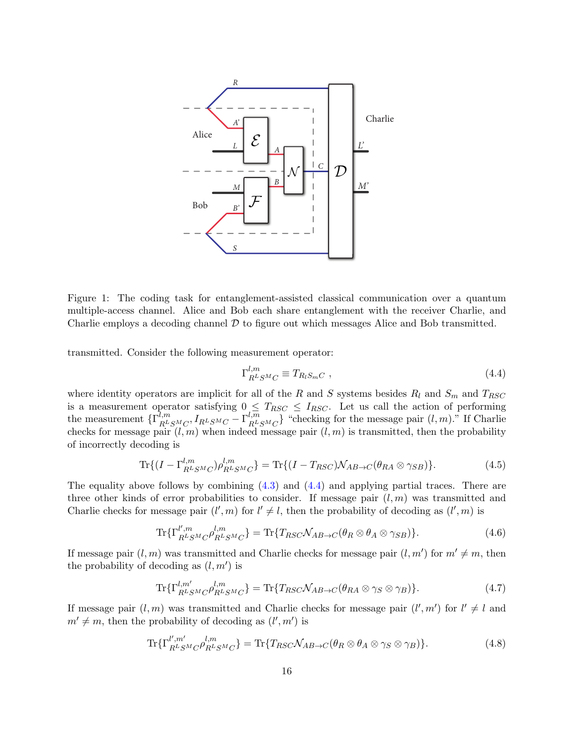

<span id="page-16-0"></span>Figure 1: The coding task for entanglement-assisted classical communication over a quantum multiple-access channel. Alice and Bob each share entanglement with the receiver Charlie, and Charlie employs a decoding channel  $D$  to figure out which messages Alice and Bob transmitted.

transmitted. Consider the following measurement operator:

<span id="page-16-1"></span>
$$
\Gamma_{R^LS^MC}^{l,m} \equiv T_{R_l S_m C} \ , \tag{4.4}
$$

where identity operators are implicit for all of the R and S systems besides  $R_l$  and  $S_m$  and  $T_{RSC}$ is a measurement operator satisfying  $0 \leq T_{RSC} \leq I_{RSC}$ . Let us call the action of performing the measurement  $\{\Gamma_{R^L}^{\overline{l},m}\}$  $\frac{d_{l,m}}{d_{R^L S^M C}, I_{R^L S^M C}-\Gamma_{R^L}^{l,m}}$  $\binom{l,m}{R^LSM_C}$  "checking for the message pair  $(l,m)$ ." If Charlie checks for message pair  $(l, m)$  when indeed message pair  $(l, m)$  is transmitted, then the probability of incorrectly decoding is

<span id="page-16-2"></span>
$$
\operatorname{Tr}\{(I-\Gamma_{R^LS^MC}^{l,m})\rho_{R^LS^MC}^{l,m}\} = \operatorname{Tr}\{(I-T_{RSC})\mathcal{N}_{AB\to C}(\theta_{RA}\otimes\gamma_{SB})\}.\tag{4.5}
$$

The equality above follows by combining  $(4.3)$  and  $(4.4)$  and applying partial traces. There are three other kinds of error probabilities to consider. If message pair  $(l, m)$  was transmitted and Charlie checks for message pair  $(l', m)$  for  $l' \neq l$ , then the probability of decoding as  $(l', m)$  is

$$
\text{Tr}\{\Gamma_{R^LS^MC}^{l',m}\rho_{R^LS^MC}^{l,m}\} = \text{Tr}\{T_{RSC}\mathcal{N}_{AB\to C}(\theta_R \otimes \theta_A \otimes \gamma_{SB})\}.
$$
\n(4.6)

If message pair  $(l, m)$  was transmitted and Charlie checks for message pair  $(l, m')$  for  $m' \neq m$ , then the probability of decoding as  $(l, m')$  is

$$
\text{Tr}\{\Gamma^{l,m'}_{R^LS^MC}\rho^{l,m}_{R^LS^MC}\} = \text{Tr}\{T_{RSC}\mathcal{N}_{AB\to C}(\theta_{RA}\otimes\gamma_S\otimes\gamma_B)\}.
$$
\n(4.7)

If message pair  $(l, m)$  was transmitted and Charlie checks for message pair  $(l', m')$  for  $l' \neq l$  and  $m' \neq m$ , then the probability of decoding as  $(l', m')$  is

<span id="page-16-3"></span>
$$
\text{Tr}\{\Gamma_{R^LS^MC}^{l',m'}\rho_{R^LS^MC}^{l,m}\} = \text{Tr}\{T_{RSC}\mathcal{N}_{AB\to C}(\theta_R \otimes \theta_A \otimes \gamma_S \otimes \gamma_B)\}.
$$
 (4.8)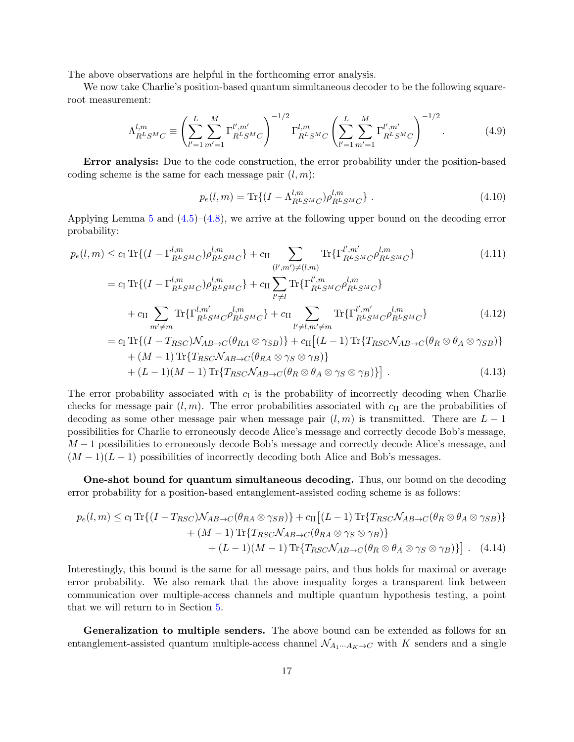The above observations are helpful in the forthcoming error analysis.

We now take Charlie's position-based quantum simultaneous decoder to be the following squareroot measurement:

<span id="page-17-0"></span>
$$
\Lambda_{R^LS^MC}^{l,m} \equiv \left(\sum_{l'=1}^L \sum_{m'=1}^M \Gamma_{R^LS^MC}^{l',m'}\right)^{-1/2} \Gamma_{R^LS^MC}^{l,m} \left(\sum_{l'=1}^L \sum_{m'=1}^M \Gamma_{R^LS^MC}^{l',m'}\right)^{-1/2}.
$$
 (4.9)

Error analysis: Due to the code construction, the error probability under the position-based coding scheme is the same for each message pair  $(l, m)$ :

$$
p_e(l,m) = \text{Tr}\{(I - \Lambda_{R^LS^MC}^{l,m})\rho_{R^LS^MC}^{l,m}\}.
$$
\n(4.10)

Applying Lemma [5](#page-6-2) and  $(4.5)$ – $(4.8)$ , we arrive at the following upper bound on the decoding error probability:

$$
p_e(l,m) \leq c_{\rm I} \operatorname{Tr}\{(I - \Gamma_{RLSM}^{l,m}C)\rho_{RLSM}^{l,m}C}\} + c_{\rm II} \sum_{(l',m') \neq (l,m)} \operatorname{Tr}\{\Gamma_{RLSM}^{l',m'}C\rho_{RLSM}^{l,m}C}\} \tag{4.11}
$$
\n
$$
= c_{\rm I} \operatorname{Tr}\{(I - \Gamma_{RLSM}^{l,m}C)\rho_{RLSM}^{l,m}C}\} + c_{\rm II} \sum_{l' \neq l} \operatorname{Tr}\{\Gamma_{RLSM}^{l',m}C\rho_{RLSM}^{l,m}C}\} + c_{\rm II} \sum_{m' \neq m} \operatorname{Tr}\{\Gamma_{RLSM}^{l',m}C\rho_{RLSM}^{l,m}C}\} + c_{\rm II} \sum_{l' \neq l,m' \neq m} \operatorname{Tr}\{\Gamma_{RLSM}^{l',m'}C\rho_{RLSM}^{l,m}C}\} \tag{4.12}
$$
\n
$$
= c_{\rm I} \operatorname{Tr}\{(I - T_{RSC})M_{4R} \cdot c(\theta_{RAS} \otimes \infty) + c_{\rm II} [(L - 1) \operatorname{Tr}\{T_{RSC}M_{4R} \cdot c(\theta_{RAS} \otimes \infty))}\} + c_{\rm II} [(L - 1) \operatorname{Tr}\{T_{RSC}M_{4R} \cdot c(\theta_{RAS} \otimes \infty))}\} + c_{\rm II} [(L - 1) \operatorname{Tr}\{T_{RSC}M_{4R} \cdot c(\theta_{RAS} \otimes \infty))}\} + c_{\rm II} [(L - 1) \operatorname{Tr}\{T_{RSC}M_{4R} \cdot c(\theta_{RAS} \otimes \infty))}\} + c_{\rm II} [(L - 1) \operatorname{Tr}\{T_{RSC}M_{4R} \cdot c(\theta_{RAS} \otimes \infty))}\} + c_{\rm II} [(L - 1) \operatorname{Tr}\{T_{RSC}M_{4R} \cdot c(\theta_{RAS} \otimes \infty))}\} + c_{\rm II} [(L - 1) \operatorname{Tr}\{T_{RSC}M_{4R} \cdot c(\theta_{RAS} \otimes \infty))} + c_{\rm III} [(L - 1) \operatorname{Tr}\{T_{RSC}M_{4R} \cdot c(\theta_{RAS} \otimes \infty))
$$

$$
= c_{\text{I}} \text{Tr}\{(I - T_{RSC})\mathcal{N}_{AB \to C}(\theta_{RA} \otimes \gamma_{SB})\} + c_{\text{II}}[(L-1)\text{Tr}\{T_{RSC}\mathcal{N}_{AB \to C}(\theta_{R} \otimes \theta_{A} \otimes \gamma_{SB})\} + (M-1)\text{Tr}\{T_{RSC}\mathcal{N}_{AB \to C}(\theta_{RA} \otimes \gamma_{S} \otimes \gamma_{B})\} + (L-1)(M-1)\text{Tr}\{T_{RSC}\mathcal{N}_{AB \to C}(\theta_{R} \otimes \theta_{A} \otimes \gamma_{S} \otimes \gamma_{B})\}.
$$
\n(4.13)

The error probability associated with  $c<sub>I</sub>$  is the probability of incorrectly decoding when Charlie checks for message pair  $(l, m)$ . The error probabilities associated with  $c_{II}$  are the probabilities of decoding as some other message pair when message pair  $(l, m)$  is transmitted. There are  $L - 1$ possibilities for Charlie to erroneously decode Alice's message and correctly decode Bob's message,  $M-1$  possibilities to erroneously decode Bob's message and correctly decode Alice's message, and  $(M-1)(L-1)$  possibilities of incorrectly decoding both Alice and Bob's messages.

One-shot bound for quantum simultaneous decoding. Thus, our bound on the decoding error probability for a position-based entanglement-assisted coding scheme is as follows:

<span id="page-17-1"></span>
$$
p_e(l,m) \leq c_{\text{I}} \operatorname{Tr}\{(I - T_{RSC})\mathcal{N}_{AB \to C}(\theta_{RA} \otimes \gamma_{SB})\} + c_{\text{II}}[(L-1)\operatorname{Tr}\{T_{RSC}\mathcal{N}_{AB \to C}(\theta_R \otimes \theta_A \otimes \gamma_{SB})\} + (M-1)\operatorname{Tr}\{T_{RSC}\mathcal{N}_{AB \to C}(\theta_{RA} \otimes \gamma_S \otimes \gamma_B)\} + (L-1)(M-1)\operatorname{Tr}\{T_{RSC}\mathcal{N}_{AB \to C}(\theta_R \otimes \theta_A \otimes \gamma_S \otimes \gamma_B)\}].
$$
 (4.14)

Interestingly, this bound is the same for all message pairs, and thus holds for maximal or average error probability. We also remark that the above inequality forges a transparent link between communication over multiple-access channels and multiple quantum hypothesis testing, a point that we will return to in Section [5.](#page-26-0)

Generalization to multiple senders. The above bound can be extended as follows for an entanglement-assisted quantum multiple-access channel  $\mathcal{N}_{A_1\cdots A_K\to C}$  with K senders and a single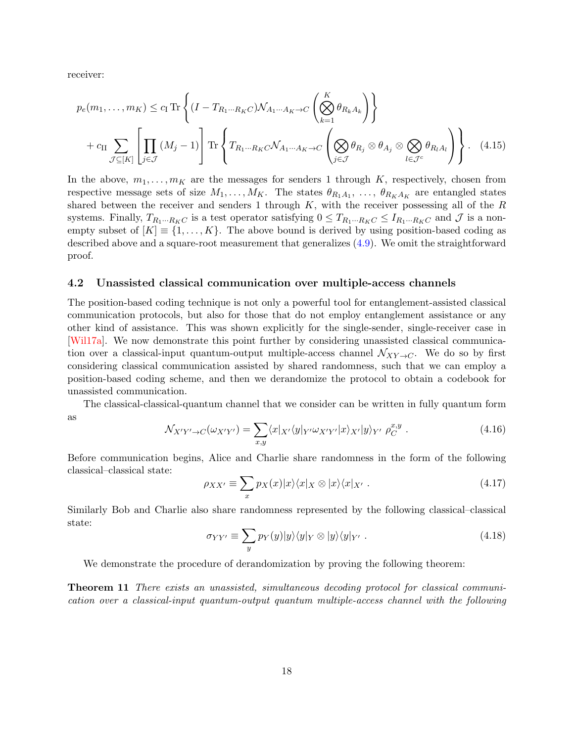receiver:

<span id="page-18-1"></span>
$$
p_e(m_1, \dots, m_K) \le c_\mathrm{I} \mathrm{Tr} \left\{ (I - T_{R_1 \cdots R_K C}) \mathcal{N}_{A_1 \cdots A_K \to C} \left( \bigotimes_{k=1}^K \theta_{R_k A_k} \right) \right\}
$$
  
+  $c_\mathrm{II} \sum_{\mathcal{J} \subseteq [K]} \left[ \prod_{j \in \mathcal{J}} (M_j - 1) \right] \mathrm{Tr} \left\{ T_{R_1 \cdots R_K C} \mathcal{N}_{A_1 \cdots A_K \to C} \left( \bigotimes_{j \in \mathcal{J}} \theta_{R_j} \otimes \theta_{A_j} \otimes \bigotimes_{l \in \mathcal{J}^c} \theta_{R_l A_l} \right) \right\}. \tag{4.15}$ 

In the above,  $m_1, \ldots, m_K$  are the messages for senders 1 through K, respectively, chosen from respective message sets of size  $M_1, \ldots, M_K$ . The states  $\theta_{R_1A_1}, \ldots, \theta_{R_KA_K}$  are entangled states shared between the receiver and senders 1 through  $K$ , with the receiver possessing all of the  $R$ systems. Finally,  $T_{R_1\cdots R_KC}$  is a test operator satisfying  $0 \le T_{R_1\cdots R_KC} \le I_{R_1\cdots R_KC}$  and  $\mathcal J$  is a nonempty subset of  $[K] \equiv \{1, \ldots, K\}$ . The above bound is derived by using position-based coding as described above and a square-root measurement that generalizes [\(4.9\)](#page-17-0). We omit the straightforward proof.

#### <span id="page-18-0"></span>4.2 Unassisted classical communication over multiple-access channels

The position-based coding technique is not only a powerful tool for entanglement-assisted classical communication protocols, but also for those that do not employ entanglement assistance or any other kind of assistance. This was shown explicitly for the single-sender, single-receiver case in [\[Wil17a\]](#page-43-6). We now demonstrate this point further by considering unassisted classical communication over a classical-input quantum-output multiple-access channel  $\mathcal{N}_{XY\to C}$ . We do so by first considering classical communication assisted by shared randomness, such that we can employ a position-based coding scheme, and then we derandomize the protocol to obtain a codebook for unassisted communication.

The classical-classical-quantum channel that we consider can be written in fully quantum form as

$$
\mathcal{N}_{X'Y'\to C}(\omega_{X'Y'}) = \sum_{x,y} \langle x|_{X'} \langle y|_{Y'} \omega_{X'Y'} |x\rangle_{X'} |y\rangle_{Y'} \rho_C^{x,y} . \tag{4.16}
$$

Before communication begins, Alice and Charlie share randomness in the form of the following classical–classical state:

$$
\rho_{XX'} \equiv \sum_{x} p_X(x) |x\rangle\langle x|_X \otimes |x\rangle\langle x|_{X'} . \qquad (4.17)
$$

Similarly Bob and Charlie also share randomness represented by the following classical–classical state:

$$
\sigma_{YY'} \equiv \sum_{y} p_Y(y)|y\rangle\langle y|_Y \otimes |y\rangle\langle y|_{Y'} . \qquad (4.18)
$$

We demonstrate the procedure of derandomization by proving the following theorem:

<span id="page-18-2"></span>**Theorem 11** There exists an unassisted, simultaneous decoding protocol for classical communication over a classical-input quantum-output quantum multiple-access channel with the following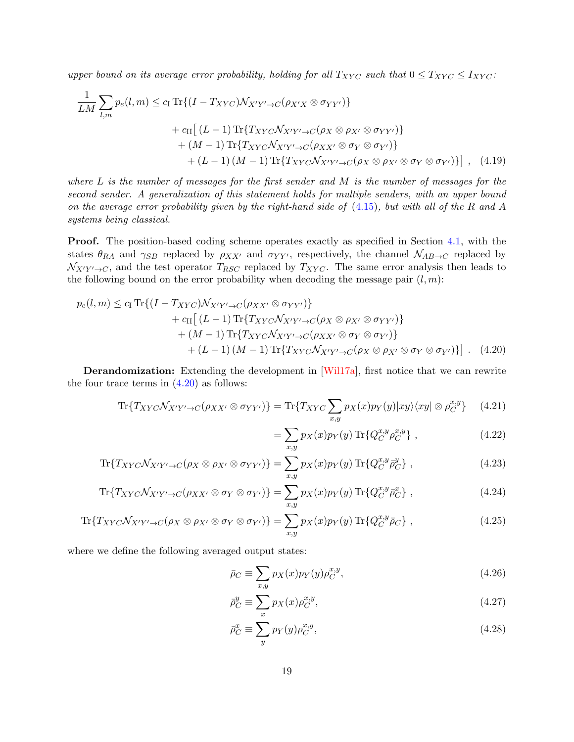upper bound on its average error probability, holding for all  $T_{XYC}$  such that  $0 \leq T_{XYC} \leq I_{XYZ}$ :

$$
\frac{1}{LM} \sum_{l,m} p_e(l,m) \le c_\mathrm{I} \mathrm{Tr}\{(I - T_{XYZ})\mathcal{N}_{X'Y'\to C}(\rho_{X'X} \otimes \sigma_{YY'})\}
$$
  
+  $c_\mathrm{II}[(L-1)\mathrm{Tr}\{T_{XYZ}\mathcal{N}_{X'Y'\to C}(\rho_X \otimes \rho_{X'} \otimes \sigma_{YY'})\}$   
+  $(M-1)\mathrm{Tr}\{T_{XYZ}\mathcal{N}_{X'Y'\to C}(\rho_{XX'} \otimes \sigma_Y \otimes \sigma_{Y'})\}$   
+  $(L-1)(M-1)\mathrm{Tr}\{T_{XYZ}\mathcal{N}_{X'Y'\to C}(\rho_X \otimes \rho_{X'} \otimes \sigma_Y \otimes \sigma_{Y'})\}] , (4.19)$ 

where  $L$  is the number of messages for the first sender and  $M$  is the number of messages for the second sender. A generalization of this statement holds for multiple senders, with an upper bound on the average error probability given by the right-hand side of [\(4.15\)](#page-18-1), but with all of the R and A systems being classical.

Proof. The position-based coding scheme operates exactly as specified in Section [4.1,](#page-15-2) with the states  $\theta_{RA}$  and  $\gamma_{SB}$  replaced by  $\rho_{XX'}$  and  $\sigma_{YY'}$ , respectively, the channel  $\mathcal{N}_{AB\to C}$  replaced by  $\mathcal{N}_{X'Y' \to C}$ , and the test operator  $T_{RSC}$  replaced by  $T_{XYC}$ . The same error analysis then leads to the following bound on the error probability when decoding the message pair  $(l, m)$ :

$$
p_e(l,m) \le c_\text{I} \operatorname{Tr}\{(I - T_{XYC})\mathcal{N}_{X'Y'\to C}(\rho_{XX'} \otimes \sigma_{YY'})\} + c_\text{II} [(L-1) \operatorname{Tr}\{T_{XYC}\mathcal{N}_{X'Y'\to C}(\rho_{X} \otimes \rho_{X'} \otimes \sigma_{YY'})\} + (M-1) \operatorname{Tr}\{T_{XYC}\mathcal{N}_{X'Y'\to C}(\rho_{XX'} \otimes \sigma_{Y} \otimes \sigma_{Y'})\} + (L-1) (M-1) \operatorname{Tr}\{T_{XYC}\mathcal{N}_{X'Y'\to C}(\rho_{X} \otimes \rho_{X'} \otimes \sigma_{Y} \otimes \sigma_{Y'})\}].
$$
 (4.20)

Derandomization: Extending the development in [\[Wil17a\]](#page-43-6), first notice that we can rewrite the four trace terms in  $(4.20)$  as follows:

$$
\text{Tr}\{T_{XYC}\mathcal{N}_{X'Y'\to C}(\rho_{XX'}\otimes\sigma_{YY'})\} = \text{Tr}\{T_{XYZ}\sum_{x,y}p_X(x)p_Y(y)|xy\rangle\langle xy|\otimes\rho_C^{x,y}\}\qquad(4.21)
$$

<span id="page-19-0"></span>
$$
= \sum_{x,y} p_X(x) p_Y(y) \operatorname{Tr} \{ Q_C^{x,y} \rho_C^{x,y} \}, \qquad (4.22)
$$

$$
\text{Tr}\{T_{XYC}\mathcal{N}_{X'Y'\to C}(\rho_X\otimes\rho_{X'}\otimes\sigma_{YY'})\} = \sum_{x,y} p_X(x)p_Y(y)\,\text{Tr}\{Q_C^{x,y}\bar{\rho}_C^y\},\tag{4.23}
$$

$$
\text{Tr}\{T_{XYC}\mathcal{N}_{X'Y'\to C}(\rho_{XX'}\otimes\sigma_Y\otimes\sigma_{Y'})\} = \sum_{x,y} p_X(x)p_Y(y)\,\text{Tr}\{Q_C^{x,y}\bar{\rho}_C^x\}\,,\tag{4.24}
$$

$$
\text{Tr}\{T_{XYZ}\mathcal{N}_{X'Y'\to C}(\rho_X\otimes\rho_{X'}\otimes\sigma_Y\otimes\sigma_{Y'})\} = \sum_{x,y}p_X(x)p_Y(y)\,\text{Tr}\{Q_C^{x,y}\bar{\rho}_C\}\,,\tag{4.25}
$$

where we define the following averaged output states:

$$
\bar{\rho}_C \equiv \sum_{x,y} p_X(x) p_Y(y) \rho_C^{x,y},\tag{4.26}
$$

$$
\bar{\rho}_C^y \equiv \sum_x p_X(x) \rho_C^{x,y},\tag{4.27}
$$

$$
\bar{\rho}_C^x \equiv \sum_y p_Y(y) \rho_C^{x,y},\tag{4.28}
$$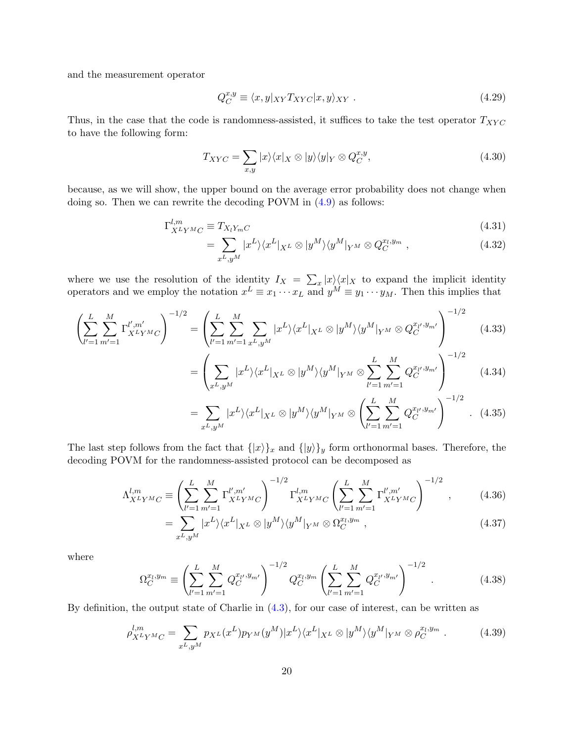and the measurement operator

$$
Q_C^{x,y} \equiv \langle x, y |_{XY} T_{XYZ} | x, y \rangle_{XY} . \tag{4.29}
$$

Thus, in the case that the code is randomness-assisted, it suffices to take the test operator  $T_{XYZ}$ to have the following form:

$$
T_{XYC} = \sum_{x,y} |x\rangle\langle x|_X \otimes |y\rangle\langle y|_Y \otimes Q_C^{x,y},\tag{4.30}
$$

because, as we will show, the upper bound on the average error probability does not change when doing so. Then we can rewrite the decoding POVM in [\(4.9\)](#page-17-0) as follows:

$$
\Gamma_{X^L Y^M C}^{l,m} \equiv T_{X_l Y_m C} \tag{4.31}
$$

$$
=\sum_{x^L,y^M} |x^L\rangle\langle x^L|_{X^L} \otimes |y^M\rangle\langle y^M|_{Y^M} \otimes Q_C^{x_l,y_m} , \qquad (4.32)
$$

where we use the resolution of the identity  $I_X = \sum_x |x\rangle\langle x|_X$  to expand the implicit identity operators and we employ the notation  $x^L \equiv x_1 \cdots x_L$  and  $y^M \equiv y_1 \cdots y_M$ . Then this implies that

$$
\left(\sum_{l'=1}^{L} \sum_{m'=1}^{M} \Gamma_{X^{L}Y^{M}C}^{l',m'}\right)^{-1/2} = \left(\sum_{l'=1}^{L} \sum_{m'=1}^{M} \sum_{x^{L},y^{M}} |x^{L}\rangle \langle x^{L}|_{X^{L}} \otimes |y^{M}\rangle \langle y^{M}|_{Y^{M}} \otimes Q_{C}^{x_{l'},y_{m'}}\right)^{-1/2}
$$
(4.33)

$$
= \left(\sum_{x^L, y^M} |x^L\rangle \langle x^L|_{X^L} \otimes |y^M\rangle \langle y^M|_{Y^M} \otimes \sum_{l'=1}^L \sum_{m'=1}^M Q_C^{x_{l'}, y_{m'}}\right)^{-1/2} \tag{4.34}
$$

<span id="page-20-0"></span>
$$
= \sum_{x^L, y^M} |x^L\rangle \langle x^L|_{X^L} \otimes |y^M\rangle \langle y^M|_{Y^M} \otimes \left(\sum_{l'=1}^L \sum_{m'=1}^M Q_C^{x_{l'}, y_{m'}}\right)^{-1/2} . \tag{4.35}
$$

The last step follows from the fact that  $\{|x\rangle\}_x$  and  $\{|y\rangle\}_y$  form orthonormal bases. Therefore, the decoding POVM for the randomness-assisted protocol can be decomposed as

$$
\Lambda_{X^L Y^M C}^{l,m} \equiv \left(\sum_{l'=1}^L \sum_{m'=1}^M \Gamma_{X^L Y^M C}^{l', m'}\right)^{-1/2} \Gamma_{X^L Y^M C}^{l,m} \left(\sum_{l'=1}^L \sum_{m'=1}^M \Gamma_{X^L Y^M C}^{l', m'}\right)^{-1/2},\tag{4.36}
$$

$$
= \sum_{x^L, y^M} |x^L\rangle \langle x^L|_{X^L} \otimes |y^M\rangle \langle y^M|_{Y^M} \otimes \Omega_C^{x_l, y_m} , \qquad (4.37)
$$

where

$$
\Omega_C^{x_l, y_m} \equiv \left( \sum_{l'=1}^L \sum_{m'=1}^M Q_C^{x_{l'}, y_{m'}} \right)^{-1/2} Q_C^{x_l, y_m} \left( \sum_{l'=1}^L \sum_{m'=1}^M Q_C^{x_{l'}, y_{m'}} \right)^{-1/2} . \tag{4.38}
$$

By definition, the output state of Charlie in  $(4.3)$ , for our case of interest, can be written as

<span id="page-20-1"></span>
$$
\rho_{X^L Y^M C}^{l,m} = \sum_{x^L, y^M} p_{X^L}(x^L) p_{Y^M}(y^M) |x^L\rangle \langle x^L|_{X^L} \otimes |y^M\rangle \langle y^M|_{Y^M} \otimes \rho_C^{x_l, y_m} . \tag{4.39}
$$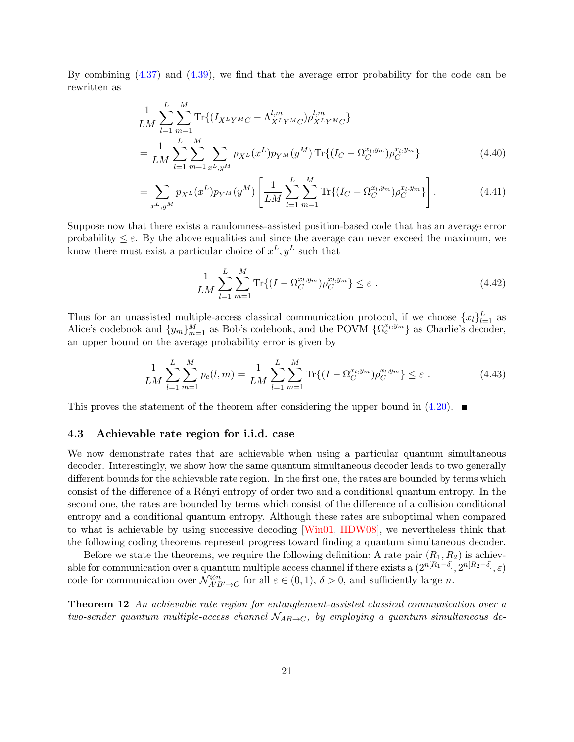By combining [\(4.37\)](#page-20-0) and [\(4.39\)](#page-20-1), we find that the average error probability for the code can be rewritten as

$$
\frac{1}{LM} \sum_{l=1}^{L} \sum_{m=1}^{M} \text{Tr}\{(I_{X^L Y^M C} - \Lambda_{X^L Y^M C}^{l,m}) \rho_{X^L Y^M C}^{l,m}\}
$$
\n
$$
= \frac{1}{LM} \sum_{l=1}^{L} \sum_{m=1}^{M} \sum_{x^L, y^M} p_{X^L} (x^L) p_{Y^M} (y^M) \text{Tr}\{(I_C - \Omega_C^{x_l, y_m}) \rho_C^{x_l, y_m}\}
$$
\n(4.40)

$$
= \sum_{x^L, y^M} p_{X^L}(x^L) p_{Y^M}(y^M) \left[ \frac{1}{LM} \sum_{l=1}^L \sum_{m=1}^M \text{Tr}\{(I_C - \Omega_C^{x_l, y_m}) \rho_C^{x_l, y_m}\}\right]. \tag{4.41}
$$

Suppose now that there exists a randomness-assisted position-based code that has an average error probability  $\leq \varepsilon$ . By the above equalities and since the average can never exceed the maximum, we know there must exist a particular choice of  $x^L, y^L$  such that

$$
\frac{1}{LM} \sum_{l=1}^{L} \sum_{m=1}^{M} \text{Tr}\{(I - \Omega_C^{x_l, y_m}) \rho_C^{x_l, y_m}\} \le \varepsilon \tag{4.42}
$$

Thus for an unassisted multiple-access classical communication protocol, if we choose  $\{x_l\}_{l=1}^L$  as Alice's codebook and  $\{y_m\}_{m=1}^M$  as Bob's codebook, and the POVM  $\{\Omega_c^{x_l, y_m}\}$  as Charlie's decoder, an upper bound on the average probability error is given by

$$
\frac{1}{LM} \sum_{l=1}^{L} \sum_{m=1}^{M} p_e(l, m) = \frac{1}{LM} \sum_{l=1}^{L} \sum_{m=1}^{M} \text{Tr}\{(I - \Omega_C^{x_l, y_m}) \rho_C^{x_l, y_m}\} \le \varepsilon.
$$
\n(4.43)

This proves the statement of the theorem after considering the upper bound in  $(4.20)$ .

#### 4.3 Achievable rate region for i.i.d. case

We now demonstrate rates that are achievable when using a particular quantum simultaneous decoder. Interestingly, we show how the same quantum simultaneous decoder leads to two generally different bounds for the achievable rate region. In the first one, the rates are bounded by terms which consist of the difference of a Rényi entropy of order two and a conditional quantum entropy. In the second one, the rates are bounded by terms which consist of the difference of a collision conditional entropy and a conditional quantum entropy. Although these rates are suboptimal when compared to what is achievable by using successive decoding [\[Win01,](#page-44-0) [HDW08\]](#page-41-3), we nevertheless think that the following coding theorems represent progress toward finding a quantum simultaneous decoder.

Before we state the theorems, we require the following definition: A rate pair  $(R_1, R_2)$  is achievable for communication over a quantum multiple access channel if there exists a  $(2^{n[R_1-\delta]}, 2^{n[R_2-\delta]}, \varepsilon)$ code for communication over  $\mathcal{N}_{A'B'\to C}^{\otimes n}$  for all  $\varepsilon \in (0,1)$ ,  $\delta > 0$ , and sufficiently large *n*.

<span id="page-21-0"></span>Theorem 12 An achievable rate region for entanglement-assisted classical communication over a two-sender quantum multiple-access channel  $N_{AB\rightarrow C}$ , by employing a quantum simultaneous de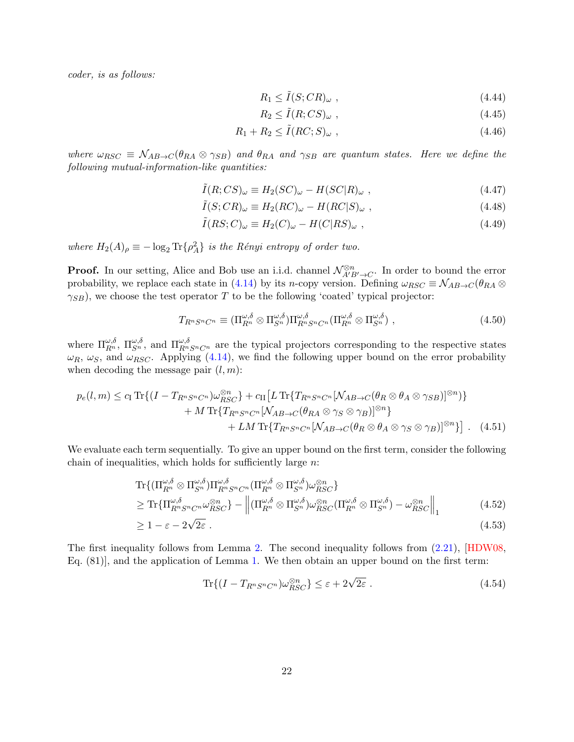coder, is as follows:

$$
R_1 \le \tilde{I}(S; CR)_{\omega} , \qquad (4.44)
$$

$$
R_2 \le \tilde{I}(R;CS)_{\omega} ,\qquad (4.45)
$$

$$
R_1 + R_2 \le \tilde{I}(RC; S)_{\omega} , \qquad (4.46)
$$

where  $\omega_{RSC} \equiv \mathcal{N}_{AB\rightarrow C}(\theta_{RA} \otimes \gamma_{SB})$  and  $\theta_{RA}$  and  $\gamma_{SB}$  are quantum states. Here we define the following mutual-information-like quantities:

$$
\tilde{I}(R;CS)_{\omega} \equiv H_2(SC)_{\omega} - H(SC|R)_{\omega} , \qquad (4.47)
$$

$$
\tilde{I}(S;CR)_{\omega} \equiv H_2(RC)_{\omega} - H(RC|S)_{\omega} , \qquad (4.48)
$$

$$
\tilde{I}(RS;C)_{\omega} \equiv H_2(C)_{\omega} - H(C|RS)_{\omega} , \qquad (4.49)
$$

where  $H_2(A)_{\rho} \equiv -\log_2 \text{Tr} \{ \rho_A^2 \}$  is the Rényi entropy of order two.

**Proof.** In our setting, Alice and Bob use an i.i.d. channel  $\mathcal{N}_{A'B'\to C}^{\otimes n}$ . In order to bound the error probability, we replace each state in [\(4.14\)](#page-17-1) by its n-copy version. Defining  $\omega_{RSC} \equiv \mathcal{N}_{AB\rightarrow C}(\theta_{RA} \otimes$  $\gamma_{SB}$ ), we choose the test operator T to be the following 'coated' typical projector:

<span id="page-22-1"></span><span id="page-22-0"></span>
$$
T_{R^n S^n C^n} \equiv (\Pi_{R^n}^{\omega,\delta} \otimes \Pi_{S^n}^{\omega,\delta}) \Pi_{R^n S^n C^n}^{\omega,\delta} (\Pi_{R^n}^{\omega,\delta} \otimes \Pi_{S^n}^{\omega,\delta}), \qquad (4.50)
$$

where  $\Pi_{R^n}^{\omega,\delta}$ ,  $\Pi_{S^n}^{\omega,\delta}$ , and  $\Pi_{R^nS^nC^n}^{\omega,\delta}$  are the typical projectors corresponding to the respective states  $\omega_R$ ,  $\omega_S$ , and  $\omega_{RSC}$ . Applying [\(4.14\)](#page-17-1), we find the following upper bound on the error probability when decoding the message pair  $(l, m)$ :

$$
p_e(l,m) \leq c_{\text{I}} \operatorname{Tr}\{(I - T_{R^n S^n C^n}) \omega_{RSC}^{\otimes n}\} + c_{\text{II}} \left[L \operatorname{Tr}\{T_{R^n S^n C^n} [\mathcal{N}_{AB \to C}(\theta_R \otimes \theta_A \otimes \gamma_{SB})]^{\otimes n}\} + M \operatorname{Tr}\{T_{R^n S^n C^n} [\mathcal{N}_{AB \to C}(\theta_{RA} \otimes \gamma_S \otimes \gamma_B)]^{\otimes n}\} + LM \operatorname{Tr}\{T_{R^n S^n C^n} [\mathcal{N}_{AB \to C}(\theta_R \otimes \theta_A \otimes \gamma_S \otimes \gamma_B)]^{\otimes n}\} \right].
$$
 (4.51)

We evaluate each term sequentially. To give an upper bound on the first term, consider the following chain of inequalities, which holds for sufficiently large  $n$ :

$$
\mathrm{Tr}\{(\Pi_{R^n}^{\omega,\delta} \otimes \Pi_{S^n}^{\omega,\delta})\Pi_{R^n S^n C^n}^{\omega,\delta}(\Pi_{R^n}^{\omega,\delta} \otimes \Pi_{S^n}^{\omega,\delta})\omega_{RSC}^{\otimes n}\}\n\geq \mathrm{Tr}\{\Pi_{R^n S^n C^n}^{\omega,\delta}\omega_{RSC}^{\otimes n}\} - \left\|(\Pi_{R^n}^{\omega,\delta} \otimes \Pi_{S^n}^{\omega,\delta})\omega_{RSC}^{\otimes n}(\Pi_{R^n}^{\omega,\delta} \otimes \Pi_{S^n}^{\omega,\delta}) - \omega_{RSC}^{\otimes n}\right\|_{1} \tag{4.52}
$$

$$
\geq 1 - \varepsilon - 2\sqrt{2\varepsilon} \tag{4.53}
$$

The first inequality follows from Lemma [2.](#page-3-1) The second inequality follows from [\(2.21\)](#page-6-3), [\[HDW08,](#page-41-3) Eq. (81)], and the application of Lemma [1.](#page-3-2) We then obtain an upper bound on the first term:

$$
\text{Tr}\{(I - T_{R^n S^n C^n})\omega_{RSC}^{\otimes n}\} \le \varepsilon + 2\sqrt{2\varepsilon} \ . \tag{4.54}
$$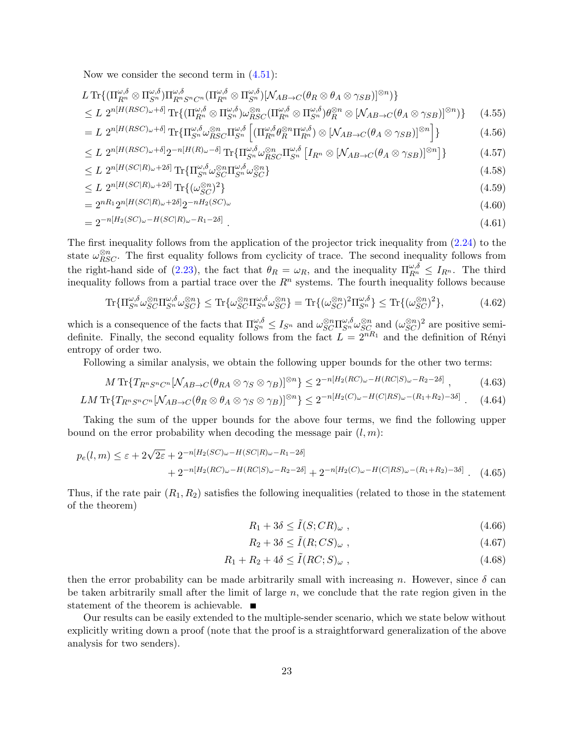Now we consider the second term in  $(4.51)$ :

$$
L \operatorname{Tr}\{(\Pi_{R^n}^{\omega,\delta} \otimes \Pi_{S^n}^{\omega,\delta})\Pi_{R^n S^n C^n}^{\omega,\delta}(\Pi_{R^n}^{\omega,\delta} \otimes \Pi_{S^n}^{\omega,\delta})[\mathcal{N}_{AB \to C}(\theta_R \otimes \theta_A \otimes \gamma_{SB})]^{\otimes n})\} \leq L \ 2^{n[H(RSC)_{\omega} + \delta]} \operatorname{Tr}\{(\Pi_{R^n}^{\omega,\delta} \otimes \Pi_{S^n}^{\omega,\delta})\omega_{RSC}^{\otimes n}(\Pi_{R^n}^{\omega,\delta} \otimes \Pi_{S^n}^{\omega,\delta})\theta_R^{\otimes n} \otimes [\mathcal{N}_{AB \to C}(\theta_A \otimes \gamma_{SB})]^{\otimes n})\} \qquad (4.55)
$$

$$
= L \ 2^{n[H(RSC)\omega + \delta]} \operatorname{Tr} \{ \Pi_{S^n}^{\omega, \delta} \omega_{RSC}^{\otimes n} \Pi_{S^n}^{\omega, \delta} \left[ (\Pi_{R^n}^{\omega, \delta} \theta_R^{\otimes n} \Pi_{R^n}^{\omega, \delta}) \otimes [\mathcal{N}_{AB \to C} (\theta_A \otimes \gamma_{SB})]^{\otimes n} \right] \} \tag{4.56}
$$

$$
\leq L \ 2^{n[H(RSC)_{\omega}+\delta]} 2^{-n[H(R)_{\omega}-\delta]} \operatorname{Tr} \{ \Pi_{S^n}^{\omega,\delta} \omega_{RSC}^{\otimes n} \Pi_{S^n}^{\omega,\delta} \left[ I_{R^n} \otimes \left[ \mathcal{N}_{AB \to C}(\theta_A \otimes \gamma_{SB}) \right]^{\otimes n} \right] \} \tag{4.57}
$$

<span id="page-23-1"></span>
$$
\leq L \ 2^{n[H(SC|R)_\omega + 2\delta]} \operatorname{Tr} \{ \Pi_{S^n}^{\omega, \delta} \omega_{SC}^{\otimes n} \Pi_{S^n}^{\omega, \delta} \omega_{SC}^{\otimes n} \} \tag{4.58}
$$

$$
\leq L \ 2^{n[H(SC|R)\omega+2\delta]} \operatorname{Tr}\{(\omega_{SC}^{\otimes n})^2\} \tag{4.59}
$$

$$
=2^{nR_1}2^{n[H(SC|R)_\omega+2\delta]}2^{-nH_2(SC)_\omega}
$$
\n(4.60)

$$
=2^{-n[H_2(SC)\omega - H(SC|R)\omega - R_1 - 2\delta]} \tag{4.61}
$$

The first inequality follows from the application of the projector trick inequality from [\(2.24\)](#page-6-4) to the state  $\omega_{RSC}^{\otimes n}$ . The first equality follows from cyclicity of trace. The second inequality follows from the right-hand side of [\(2.23\)](#page-6-1), the fact that  $\theta_R = \omega_R$ , and the inequality  $\prod_{R}^{\omega,\delta} \leq I_{R^n}$ . The third inequality follows from a partial trace over the  $R<sup>n</sup>$  systems. The fourth inequality follows because

$$
\operatorname{Tr}\{\Pi_{S^n}^{\omega,\delta}\omega_{SC}^{\otimes n}\Pi_{S^n}^{\omega,\delta}\omega_{SC}^{\otimes n}\} \leq \operatorname{Tr}\{\omega_{SC}^{\otimes n}\Pi_{S^n}^{\omega,\delta}\omega_{SC}^{\otimes n}\} = \operatorname{Tr}\{(\omega_{SC}^{\otimes n})^2\Pi_{S^n}^{\omega,\delta}\} \leq \operatorname{Tr}\{(\omega_{SC}^{\otimes n})^2\},\tag{4.62}
$$

which is a consequence of the facts that  $\Pi_{S^n}^{\omega,\delta} \leq I_{S^n}$  and  $\omega_{SC}^{\otimes n} \Pi_{S^n}^{\omega,\delta} \omega_{SC}^{\otimes n}$  and  $(\omega_{SC}^{\otimes n})^2$  are positive semidefinite. Finally, the second equality follows from the fact  $\tilde{L} = 2^{nR_1}$  and the definition of Rényi entropy of order two.

Following a similar analysis, we obtain the following upper bounds for the other two terms:

$$
M \operatorname{Tr} \{ T_{R^n S^n C^n} [\mathcal{N}_{AB \to C} (\theta_{RA} \otimes \gamma_S \otimes \gamma_B)]^{\otimes n} \} \leq 2^{-n[H_2(RC)\omega - H(RC|S)\omega - R_2 - 2\delta]} \,, \tag{4.63}
$$

$$
LM \operatorname{Tr} \{ T_{R^n S^n C^n} [\mathcal{N}_{AB \to C} (\theta_R \otimes \theta_A \otimes \gamma_S \otimes \gamma_B)]^{\otimes n} \} \leq 2^{-n[H_2(C)\omega - H(C|RS)\omega - (R_1 + R_2) - 3\delta]} \ . \tag{4.64}
$$

Taking the sum of the upper bounds for the above four terms, we find the following upper bound on the error probability when decoding the message pair  $(l, m)$ :

$$
p_e(l,m) \le \varepsilon + 2\sqrt{2\varepsilon} + 2^{-n[H_2(SC)\omega - H(SC|R)\omega - R_1 - 2\delta]} + 2^{-n[H_2(RC)\omega - H(RC|S)\omega - R_2 - 2\delta]} + 2^{-n[H_2(C)\omega - H(C|RS)\omega - (R_1 + R_2) - 3\delta]}.
$$
(4.65)

Thus, if the rate pair  $(R_1, R_2)$  satisfies the following inequalities (related to those in the statement of the theorem)

$$
R_1 + 3\delta \le \tilde{I}(S; CR)_{\omega} , \qquad (4.66)
$$

$$
R_2 + 3\delta \le \tilde{I}(R; CS)_{\omega} , \qquad (4.67)
$$

$$
R_1 + R_2 + 4\delta \le \tilde{I}(RC; S)_{\omega} , \qquad (4.68)
$$

then the error probability can be made arbitrarily small with increasing n. However, since  $\delta$  can be taken arbitrarily small after the limit of large  $n$ , we conclude that the rate region given in the statement of the theorem is achievable.  $\blacksquare$ 

<span id="page-23-0"></span>Our results can be easily extended to the multiple-sender scenario, which we state below without explicitly writing down a proof (note that the proof is a straightforward generalization of the above analysis for two senders).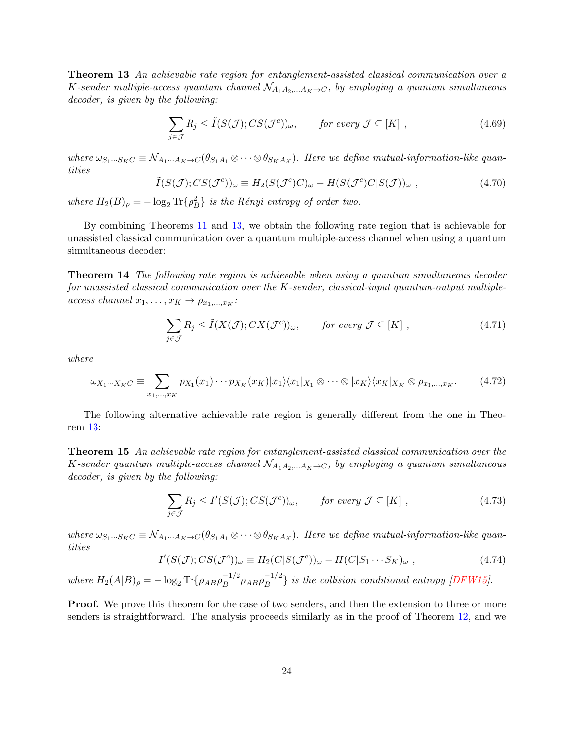Theorem 13 An achievable rate region for entanglement-assisted classical communication over a K-sender multiple-access quantum channel  $\mathcal{N}_{A_1A_2,...A_K\to C}$ , by employing a quantum simultaneous decoder, is given by the following:

<span id="page-24-3"></span>
$$
\sum_{j \in \mathcal{J}} R_j \le \tilde{I}(S(\mathcal{J}); CS(\mathcal{J}^c))_{\omega}, \qquad \text{for every } \mathcal{J} \subseteq [K],
$$
\n(4.69)

where  $\omega_{S_1\cdots S_KC} \equiv \mathcal{N}_{A_1\cdots A_K\to C}(\theta_{S_1A_1}\otimes\cdots\otimes\theta_{S_KA_K})$ . Here we define mutual-information-like quantities

$$
\tilde{I}(S(\mathcal{J});CS(\mathcal{J}^c))_{\omega} \equiv H_2(S(\mathcal{J}^c)C)_{\omega} - H(S(\mathcal{J}^c)C|S(\mathcal{J}))_{\omega}, \qquad (4.70)
$$

where  $H_2(B)_{\rho} = -\log_2 \text{Tr}\{\rho_B^2\}$  is the Rényi entropy of order two.

By combining Theorems [11](#page-18-2) and [13,](#page-23-0) we obtain the following rate region that is achievable for unassisted classical communication over a quantum multiple-access channel when using a quantum simultaneous decoder:

<span id="page-24-1"></span>Theorem 14 The following rate region is achievable when using a quantum simultaneous decoder for unassisted classical communication over the K-sender, classical-input quantum-output multipleaccess channel  $x_1, \ldots, x_K \rightarrow \rho_{x_1, \ldots, x_K}$ :

$$
\sum_{j \in \mathcal{J}} R_j \le \tilde{I}(X(\mathcal{J}); CX(\mathcal{J}^c))_{\omega}, \qquad \text{for every } \mathcal{J} \subseteq [K] \;, \tag{4.71}
$$

where

$$
\omega_{X_1\cdots X_KC} \equiv \sum_{x_1,\ldots,x_K} p_{X_1}(x_1)\cdots p_{X_K}(x_K) |x_1\rangle\langle x_1|_{X_1} \otimes \cdots \otimes |x_K\rangle\langle x_K|_{X_K} \otimes \rho_{x_1,\ldots,x_K}.\tag{4.72}
$$

The following alternative achievable rate region is generally different from the one in Theorem [13:](#page-23-0)

<span id="page-24-0"></span>Theorem 15 An achievable rate region for entanglement-assisted classical communication over the K-sender quantum multiple-access channel  $\mathcal{N}_{A_1A_2,...A_K\to C}$ , by employing a quantum simultaneous decoder, is given by the following:

<span id="page-24-2"></span>
$$
\sum_{j \in \mathcal{J}} R_j \le I'(S(\mathcal{J}); CS(\mathcal{J}^c))_{\omega}, \qquad \text{for every } \mathcal{J} \subseteq [K] \;, \tag{4.73}
$$

where  $\omega_{S_1\cdots S_KC} \equiv \mathcal{N}_{A_1\cdots A_K\to C}(\theta_{S_1A_1}\otimes\cdots\otimes\theta_{S_KA_K})$ . Here we define mutual-information-like quantities

$$
I'(S(\mathcal{J});CS(\mathcal{J}^c))_{\omega} \equiv H_2(C|S(\mathcal{J}^c))_{\omega} - H(C|S_1 \cdots S_K)_{\omega}, \qquad (4.74)
$$

where  $H_2(A|B)_{\rho} = -\log_2 \text{Tr}\{\rho_{AB}\rho_B^{-1/2}\}$  $\sigma_B^{-1/2} \rho_{AB} \rho_B^{-1/2}$  $\binom{-1/2}{B}$  is the collision conditional entropy [\[DFW15\]](#page-39-8).

**Proof.** We prove this theorem for the case of two senders, and then the extension to three or more senders is straightforward. The analysis proceeds similarly as in the proof of Theorem [12,](#page-21-0) and we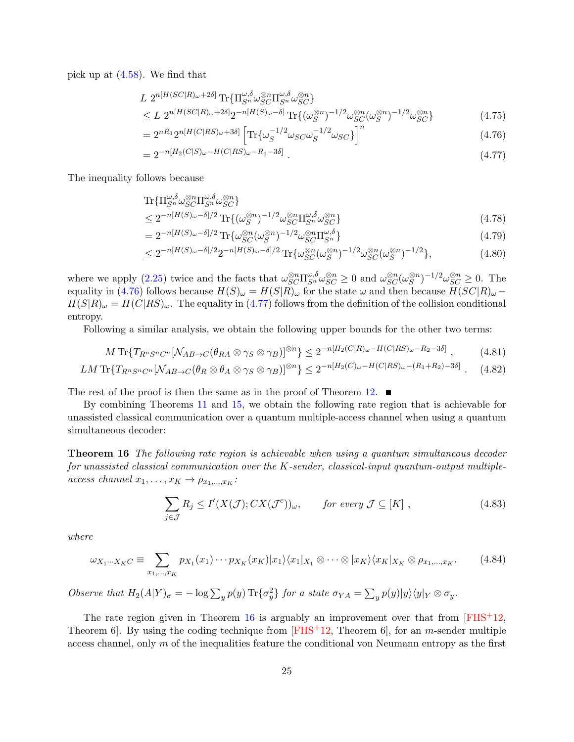pick up at [\(4.58\)](#page-23-1). We find that

$$
L \ 2^{n[H(SC|R)\omega+2\delta]} \operatorname{Tr} \{ \Pi_{S^n}^{\omega,\delta} \omega_{SC}^{\otimes n} \Pi_{S^n}^{\omega,\delta} \omega_{SC}^{\otimes n} \}
$$
  
\n
$$
\leq L \ 2^{n[H(SC|R)\omega+2\delta]} 2^{-n[H(S)\omega-\delta]} \operatorname{Tr} \{ (\omega_S^{\otimes n})^{-1/2} \omega_{SC}^{\otimes n} (\omega_S^{\otimes n})^{-1/2} \omega_{SC}^{\otimes n} \}
$$
\n(4.75)

$$
=2^{nR_1}2^{n[H(C|RS)\omega+3\delta]}\left[\text{Tr}\{\omega_S^{-1/2}\omega_{SC}\omega_S^{-1/2}\omega_{SC}\}\right]^n\tag{4.76}
$$

<span id="page-25-1"></span><span id="page-25-0"></span>
$$
=2^{-n[H_2(C|S)\omega - H(C|RS)\omega - R_1 - 3\delta]}.
$$
\n(4.77)

The inequality follows because

$$
\begin{split} &\text{Tr}\{\Pi_{S^n}^{\omega,\delta}\omega_{SC}^{\otimes n}\Pi_{S^n}^{\omega,\delta}\omega_{SC}^{\otimes n}\} \\ &\leq 2^{-n[H(S)\omega-\delta]/2}\text{Tr}\{(\omega_{S}^{\otimes n})^{-1/2}\omega_{SC}^{\otimes n}\Pi_{S^n}^{\omega,\delta}\omega_{SC}^{\otimes n}\} \end{split} \tag{4.78}
$$

S = 2−n[H(S)ω−δ]/<sup>2</sup> Tr{<sup>ω</sup> ⊗n SC(ω S ) ⊗n <sup>−</sup>1/2ω ⊗n SCΠ ω,δ <sup>S</sup><sup>n</sup> } (4.79)

$$
\leq 2^{-n[H(S)\omega-\delta]/2} 2^{-n[H(S)\omega-\delta]/2} \operatorname{Tr} \{ \omega_{SC}^{\otimes n} (\omega_S^{\otimes n})^{-1/2} \omega_{SC}^{\otimes n} (\omega_S^{\otimes n})^{-1/2} \},\tag{4.80}
$$

where we apply [\(2.25\)](#page-6-5) twice and the facts that  $\omega_{SC}^{\otimes n} \Pi_{S^n}^{\omega, \delta} \omega_{SC}^{\otimes n} \geq 0$  and  $\omega_{SC}^{\otimes n} (\omega_{S}^{\otimes n})$  $(S^{n})^{-1/2}\omega_{SC}^{\otimes n} \geq 0$ . The equality in [\(4.76\)](#page-25-0) follows because  $H(S)_{\omega} = H(S|\widetilde{R})_{\omega}$  for the state  $\omega$  and then because  $H(SC|R)_{\omega}$  –  $H(S|R)_{\omega} = H(C|RS)_{\omega}$ . The equality in [\(4.77\)](#page-25-1) follows from the definition of the collision conditional entropy.

Following a similar analysis, we obtain the following upper bounds for the other two terms:

$$
M \operatorname{Tr} \{ T_{R^n S^n C^n} [\mathcal{N}_{AB \to C} (\theta_{RA} \otimes \gamma_S \otimes \gamma_B)]^{\otimes n} \} \leq 2^{-n[H_2(C|R)_{\omega} - H(C|RS)_{\omega} - R_2 - 3\delta]}, \tag{4.81}
$$

$$
LM \operatorname{Tr} \{ T_{R^n S^n C^n} [\mathcal{N}_{AB \to C} (\theta_R \otimes \theta_A \otimes \gamma_S \otimes \gamma_B)]^{\otimes n} \} \leq 2^{-n[H_2(C)\omega - H(C|RS)\omega - (R_1 + R_2) - 3\delta]} \ . \tag{4.82}
$$

The rest of the proof is then the same as in the proof of Theorem [12.](#page-21-0)  $\blacksquare$ 

By combining Theorems [11](#page-18-2) and [15,](#page-24-0) we obtain the following rate region that is achievable for unassisted classical communication over a quantum multiple-access channel when using a quantum simultaneous decoder:

<span id="page-25-2"></span>Theorem 16 The following rate region is achievable when using a quantum simultaneous decoder for unassisted classical communication over the K-sender, classical-input quantum-output multipleaccess channel  $x_1, \ldots, x_K \rightarrow \rho_{x_1, \ldots, x_K}$ :

$$
\sum_{j \in \mathcal{J}} R_j \le I'(X(\mathcal{J}); CX(\mathcal{J}^c))_{\omega}, \qquad \text{for every } \mathcal{J} \subseteq [K], \qquad (4.83)
$$

where

$$
\omega_{X_1\cdots X_KC} \equiv \sum_{x_1,\ldots,x_K} p_{X_1}(x_1)\cdots p_{X_K}(x_K) |x_1\rangle\langle x_1|_{X_1} \otimes \cdots \otimes |x_K\rangle\langle x_K|_{X_K} \otimes \rho_{x_1,\ldots,x_K}.\tag{4.84}
$$

Observe that  $H_2(A|Y)_{\sigma} = -\log \sum_y p(y) \text{Tr} \{\sigma_y^2\}$  for a state  $\sigma_{YA} = \sum_y p(y)|y\rangle\langle y|_Y \otimes \sigma_y$ .

The rate region given in Theorem [16](#page-25-2) is arguably an improvement over that from  $[FHS^+12]$ , Theorem 6. By using the coding technique from  $\text{[FHS}^{+12}$ , Theorem 6, for an *m*-sender multiple access channel, only  $m$  of the inequalities feature the conditional von Neumann entropy as the first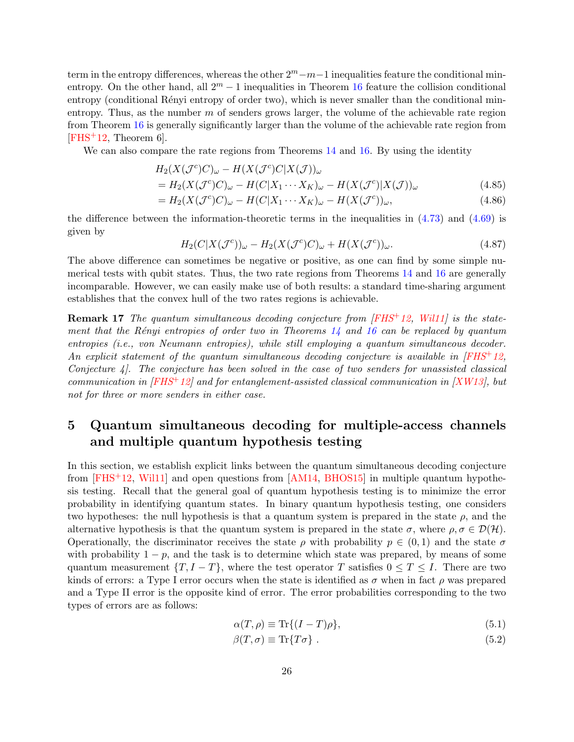term in the entropy differences, whereas the other  $2^m - m - 1$  inequalities feature the conditional minentropy. On the other hand, all  $2^m - 1$  inequalities in Theorem [16](#page-25-2) feature the collision conditional entropy (conditional Rényi entropy of order two), which is never smaller than the conditional minentropy. Thus, as the number  $m$  of senders grows larger, the volume of the achievable rate region from Theorem [16](#page-25-2) is generally significantly larger than the volume of the achievable rate region from  $[FHS<sup>+</sup>12, Theorem 6].$  $[FHS<sup>+</sup>12, Theorem 6].$ 

We can also compare the rate regions from Theorems [14](#page-24-1) and [16.](#page-25-2) By using the identity

$$
H_2(X(\mathcal{J}^c)C)_\omega - H(X(\mathcal{J}^c)C|X(\mathcal{J}))_\omega
$$

$$
=H_2(X(\mathcal{J}^c)C)_{\omega}-H(C|X_1\cdots X_K)_{\omega}-H(X(\mathcal{J}^c)|X(\mathcal{J}))_{\omega}
$$
\n(4.85)

$$
=H_2(X(\mathcal{J}^c)C)_\omega-H(C|X_1\cdots X_K)_\omega-H(X(\mathcal{J}^c))_\omega,
$$
\n(4.86)

the difference between the information-theoretic terms in the inequalities in [\(4.73\)](#page-24-2) and [\(4.69\)](#page-24-3) is given by

$$
H_2(C|X(\mathcal{J}^c))_{\omega} - H_2(X(\mathcal{J}^c)C)_{\omega} + H(X(\mathcal{J}^c))_{\omega}.
$$
\n(4.87)

The above difference can sometimes be negative or positive, as one can find by some simple numerical tests with qubit states. Thus, the two rate regions from Theorems [14](#page-24-1) and [16](#page-25-2) are generally incomparable. However, we can easily make use of both results: a standard time-sharing argument establishes that the convex hull of the two rates regions is achievable.

Remark 17 The quantum simultaneous decoding conjecture from [\[FHS](#page-40-6)<sup>+</sup>12, [Wil11\]](#page-43-8) is the statement that the Rényi entropies of order two in Theorems  $14$  and  $16$  can be replaced by quantum entropies (i.e., von Neumann entropies), while still employing a quantum simultaneous decoder. An explicit statement of the quantum simultaneous decoding conjecture is available in  $\sqrt{FHS}$ +12. Conjecture 4]. The conjecture has been solved in the case of two senders for unassisted classical communication in  $[FHS^+12]$  $[FHS^+12]$  and for entanglement-assisted classical communication in  $[XW13]$ , but not for three or more senders in either case.

## <span id="page-26-0"></span>5 Quantum simultaneous decoding for multiple-access channels and multiple quantum hypothesis testing

In this section, we establish explicit links between the quantum simultaneous decoding conjecture from  $[FHS+12, Will1]$  and open questions from  $[AM14, BHOS15]$  $[AM14, BHOS15]$  in multiple quantum hypothesis testing. Recall that the general goal of quantum hypothesis testing is to minimize the error probability in identifying quantum states. In binary quantum hypothesis testing, one considers two hypotheses: the null hypothesis is that a quantum system is prepared in the state  $\rho$ , and the alternative hypothesis is that the quantum system is prepared in the state  $\sigma$ , where  $\rho$ ,  $\sigma \in \mathcal{D}(\mathcal{H})$ . Operationally, the discriminator receives the state  $\rho$  with probability  $p \in (0,1)$  and the state  $\sigma$ with probability  $1 - p$ , and the task is to determine which state was prepared, by means of some quantum measurement  $\{T, I - T\}$ , where the test operator T satisfies  $0 \le T \le I$ . There are two kinds of errors: a Type I error occurs when the state is identified as  $\sigma$  when in fact  $\rho$  was prepared and a Type II error is the opposite kind of error. The error probabilities corresponding to the two types of errors are as follows:

$$
\alpha(T,\rho) \equiv \text{Tr}\{(I-T)\rho\},\tag{5.1}
$$

$$
\beta(T,\sigma) \equiv \text{Tr}\{T\sigma\} \ . \tag{5.2}
$$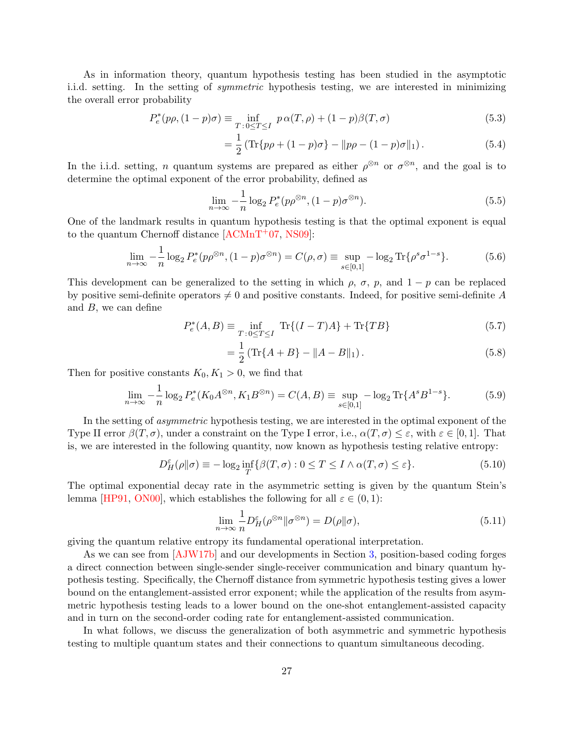As in information theory, quantum hypothesis testing has been studied in the asymptotic i.i.d. setting. In the setting of symmetric hypothesis testing, we are interested in minimizing the overall error probability

$$
P_e^*(p\rho, (1-p)\sigma) \equiv \inf_{T \,:\, 0 \le T \le I} \, p \, \alpha(T, \rho) + (1-p)\beta(T, \sigma) \tag{5.3}
$$

$$
= \frac{1}{2} \left( \text{Tr} \{ p\rho + (1 - p)\sigma \} - \| p\rho - (1 - p)\sigma \|_1 \right). \tag{5.4}
$$

In the i.i.d. setting, *n* quantum systems are prepared as either  $\rho^{\otimes n}$  or  $\sigma^{\otimes n}$ , and the goal is to determine the optimal exponent of the error probability, defined as

$$
\lim_{n \to \infty} -\frac{1}{n} \log_2 P_e^*(p\rho^{\otimes n}, (1-p)\sigma^{\otimes n}). \tag{5.5}
$$

One of the landmark results in quantum hypothesis testing is that the optimal exponent is equal to the quantum Chernoff distance  $[ACMnT^{+}07, NS09]$  $[ACMnT^{+}07, NS09]$ :

$$
\lim_{n \to \infty} -\frac{1}{n} \log_2 P_e^*(p\rho^{\otimes n}, (1-p)\sigma^{\otimes n}) = C(\rho, \sigma) \equiv \sup_{s \in [0,1]} -\log_2 \text{Tr}\{\rho^s \sigma^{1-s}\}. \tag{5.6}
$$

This development can be generalized to the setting in which  $\rho$ ,  $\sigma$ ,  $p$ , and  $1 - p$  can be replaced by positive semi-definite operators  $\neq 0$  and positive constants. Indeed, for positive semi-definite A and  $B$ , we can define

$$
P_e^*(A, B) \equiv \inf_{T \,:\, 0 \le T \le I} \, \text{Tr}\{(I - T)A\} + \text{Tr}\{TB\} \tag{5.7}
$$

<span id="page-27-2"></span><span id="page-27-1"></span>
$$
= \frac{1}{2} \left( \text{Tr} \{ A + B \} - \| A - B \|_{1} \right). \tag{5.8}
$$

Then for positive constants  $K_0, K_1 > 0$ , we find that

<span id="page-27-0"></span>
$$
\lim_{n \to \infty} -\frac{1}{n} \log_2 P_e^*(K_0 A^{\otimes n}, K_1 B^{\otimes n}) = C(A, B) \equiv \sup_{s \in [0, 1]} -\log_2 \text{Tr}\{A^s B^{1-s}\}.
$$
 (5.9)

In the setting of asymmetric hypothesis testing, we are interested in the optimal exponent of the Type II error  $\beta(T,\sigma)$ , under a constraint on the Type I error, i.e.,  $\alpha(T,\sigma) \leq \varepsilon$ , with  $\varepsilon \in [0,1]$ . That is, we are interested in the following quantity, now known as hypothesis testing relative entropy:

$$
D_H^{\varepsilon}(\rho \| \sigma) \equiv -\log_2 \inf_T \{ \beta(T, \sigma) : 0 \le T \le I \wedge \alpha(T, \sigma) \le \varepsilon \}. \tag{5.10}
$$

The optimal exponential decay rate in the asymmetric setting is given by the quantum Stein's lemma [\[HP91,](#page-41-7) [ON00\]](#page-42-7), which establishes the following for all  $\varepsilon \in (0,1)$ :

$$
\lim_{n \to \infty} \frac{1}{n} D_H^{\varepsilon}(\rho^{\otimes n} \| \sigma^{\otimes n}) = D(\rho \| \sigma), \tag{5.11}
$$

giving the quantum relative entropy its fundamental operational interpretation.

As we can see from [\[AJW17b\]](#page-38-2) and our developments in Section [3,](#page-6-0) position-based coding forges a direct connection between single-sender single-receiver communication and binary quantum hypothesis testing. Specifically, the Chernoff distance from symmetric hypothesis testing gives a lower bound on the entanglement-assisted error exponent; while the application of the results from asymmetric hypothesis testing leads to a lower bound on the one-shot entanglement-assisted capacity and in turn on the second-order coding rate for entanglement-assisted communication.

In what follows, we discuss the generalization of both asymmetric and symmetric hypothesis testing to multiple quantum states and their connections to quantum simultaneous decoding.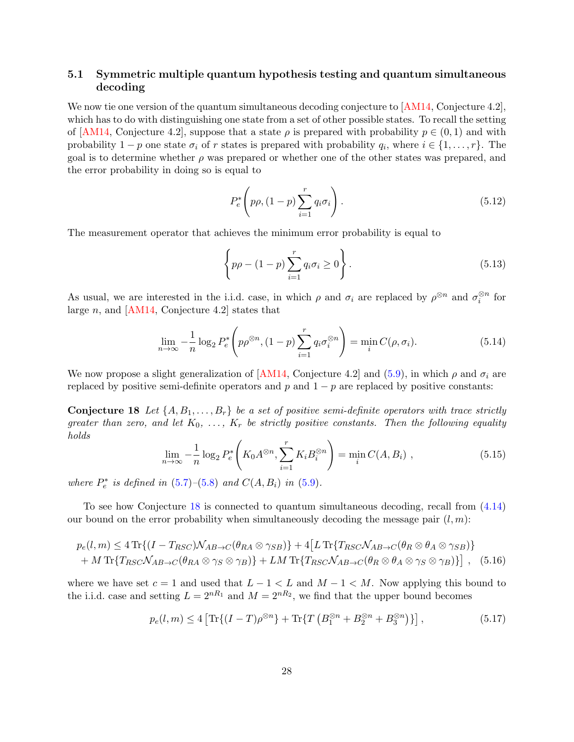#### 5.1 Symmetric multiple quantum hypothesis testing and quantum simultaneous decoding

We now tie one version of the quantum simultaneous decoding conjecture to [\[AM14,](#page-38-3) Conjecture 4.2], which has to do with distinguishing one state from a set of other possible states. To recall the setting of [\[AM14,](#page-38-3) Conjecture 4.2], suppose that a state  $\rho$  is prepared with probability  $p \in (0, 1)$  and with probability  $1 - p$  one state  $\sigma_i$  of r states is prepared with probability  $q_i$ , where  $i \in \{1, ..., r\}$ . The goal is to determine whether  $\rho$  was prepared or whether one of the other states was prepared, and the error probability in doing so is equal to

$$
P_e^*\left(p\rho, (1-p)\sum_{i=1}^r q_i \sigma_i\right). \tag{5.12}
$$

The measurement operator that achieves the minimum error probability is equal to

$$
\left\{p\rho - (1-p)\sum_{i=1}^{r} q_i \sigma_i \ge 0\right\}.
$$
\n(5.13)

As usual, we are interested in the i.i.d. case, in which  $\rho$  and  $\sigma_i$  are replaced by  $\rho^{\otimes n}$  and  $\sigma_i^{\otimes n}$  for large  $n$ , and [\[AM14,](#page-38-3) Conjecture 4.2] states that

$$
\lim_{n \to \infty} -\frac{1}{n} \log_2 P_e^* \left( p\rho^{\otimes n}, (1-p) \sum_{i=1}^r q_i \sigma_i^{\otimes n} \right) = \min_i C(\rho, \sigma_i). \tag{5.14}
$$

We now propose a slight generalization of [\[AM14,](#page-38-3) Conjecture 4.2] and [\(5.9\)](#page-27-0), in which  $\rho$  and  $\sigma_i$  are replaced by positive semi-definite operators and  $p$  and  $1 - p$  are replaced by positive constants:

<span id="page-28-0"></span>**Conjecture 18** Let  $\{A, B_1, \ldots, B_r\}$  be a set of positive semi-definite operators with trace strictly greater than zero, and let  $K_0, \ldots, K_r$  be strictly positive constants. Then the following equality holds

$$
\lim_{n \to \infty} -\frac{1}{n} \log_2 P_e^* \left( K_0 A^{\otimes n}, \sum_{i=1}^r K_i B_i^{\otimes n} \right) = \min_i C(A, B_i) , \qquad (5.15)
$$

where  $P_e^*$  is defined in [\(5.7\)](#page-27-1)–[\(5.8\)](#page-27-2) and  $C(A, B_i)$  in [\(5.9\)](#page-27-0).

To see how Conjecture [18](#page-28-0) is connected to quantum simultaneous decoding, recall from [\(4.14\)](#page-17-1) our bound on the error probability when simultaneously decoding the message pair  $(l, m)$ :

$$
p_e(l,m) \le 4 \operatorname{Tr} \{ (I - T_{RSC}) \mathcal{N}_{AB \to C}(\theta_{RA} \otimes \gamma_{SB}) \} + 4 \big[ L \operatorname{Tr} \{ T_{RSC} \mathcal{N}_{AB \to C}(\theta_R \otimes \theta_A \otimes \gamma_{SB}) \} + M \operatorname{Tr} \{ T_{RSC} \mathcal{N}_{AB \to C}(\theta_{RA} \otimes \gamma_S \otimes \gamma_B) \} + LM \operatorname{Tr} \{ T_{RSC} \mathcal{N}_{AB \to C}(\theta_R \otimes \theta_A \otimes \gamma_S \otimes \gamma_B) \} \big], \quad (5.16)
$$

where we have set  $c = 1$  and used that  $L - 1 < L$  and  $M - 1 < M$ . Now applying this bound to the i.i.d. case and setting  $L = 2^{nR_1}$  and  $M = 2^{nR_2}$ , we find that the upper bound becomes

$$
p_e(l,m) \le 4 \left[ \text{Tr}\{(I-T)\rho^{\otimes n}\} + \text{Tr}\{T\left(B_1^{\otimes n} + B_2^{\otimes n} + B_3^{\otimes n}\right)\}\right],\tag{5.17}
$$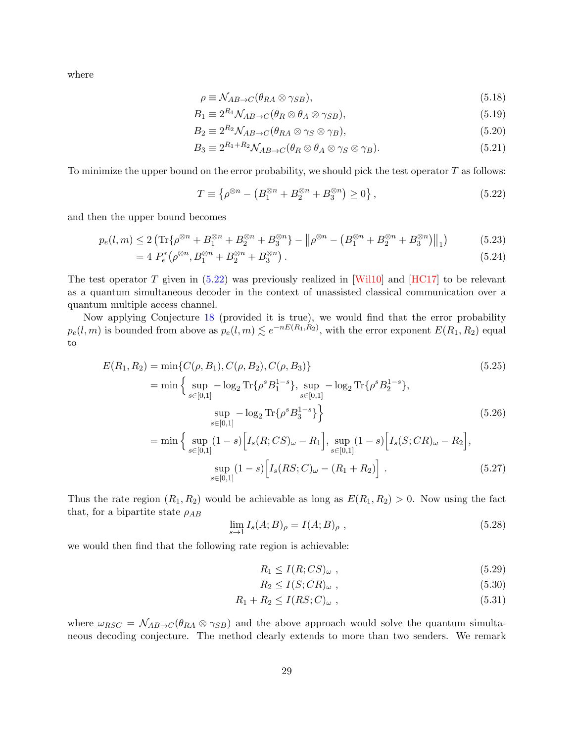where

$$
\rho \equiv \mathcal{N}_{AB \to C}(\theta_{RA} \otimes \gamma_{SB}),\tag{5.18}
$$

$$
B_1 \equiv 2^{R_1} \mathcal{N}_{AB \to C} (\theta_R \otimes \theta_A \otimes \gamma_{SB}), \tag{5.19}
$$

$$
B_2 \equiv 2^{R_2} \mathcal{N}_{AB \to C} (\theta_{RA} \otimes \gamma_S \otimes \gamma_B), \tag{5.20}
$$

$$
B_3 \equiv 2^{R_1 + R_2} \mathcal{N}_{AB \to C} (\theta_R \otimes \theta_A \otimes \gamma_S \otimes \gamma_B). \tag{5.21}
$$

To minimize the upper bound on the error probability, we should pick the test operator  $T$  as follows:

<span id="page-29-0"></span>
$$
T \equiv \left\{ \rho^{\otimes n} - \left( B_1^{\otimes n} + B_2^{\otimes n} + B_3^{\otimes n} \right) \ge 0 \right\},\tag{5.22}
$$

and then the upper bound becomes

$$
p_e(l,m) \le 2\left(\text{Tr}\{\rho^{\otimes n} + B_1^{\otimes n} + B_2^{\otimes n} + B_3^{\otimes n}\} - \left\|\rho^{\otimes n} - \left(B_1^{\otimes n} + B_2^{\otimes n} + B_3^{\otimes n}\right)\right\|_1\right) \tag{5.23}
$$

$$
=4 P_e^* \left( \rho^{\otimes n}, B_1^{\otimes n} + B_2^{\otimes n} + B_3^{\otimes n} \right). \tag{5.24}
$$

The test operator T given in  $(5.22)$  was previously realized in [\[Wil10\]](#page-43-14) and [\[HC17\]](#page-41-12) to be relevant as a quantum simultaneous decoder in the context of unassisted classical communication over a quantum multiple access channel.

Now applying Conjecture [18](#page-28-0) (provided it is true), we would find that the error probability  $p_e(l,m)$  is bounded from above as  $p_e(l,m) \lesssim e^{-nE(R_1,R_2)}$ , with the error exponent  $E(R_1,R_2)$  equal to

$$
E(R_1, R_2) = \min\{C(\rho, B_1), C(\rho, B_2), C(\rho, B_3)\}
$$
\n
$$
= \min\left\{\sup_{s \in [0,1]} -\log_2 \text{Tr}\{\rho^s B_1^{1-s}\}, \sup_{s \in [0,1]} -\log_2 \text{Tr}\{\rho^s B_2^{1-s}\}, \sup_{s \in [0,1]} -\log_2 \text{Tr}\{\rho^s B_3^{1-s}\}\right\}
$$
\n
$$
(5.25)
$$
\n
$$
(5.26)
$$

$$
= \min \Big\{ \sup_{s \in [0,1]} (1-s) \Big[ I_s(R;CS)_{\omega} - R_1 \Big], \sup_{s \in [0,1]} (1-s) \Big[ I_s(S;CR)_{\omega} - R_2 \Big],
$$
  

$$
\sup_{s \in [0,1]} (1-s) \Big[ I_s(RS;C)_{\omega} - (R_1 + R_2) \Big].
$$
 (5.27)

Thus the rate region  $(R_1, R_2)$  would be achievable as long as  $E(R_1, R_2) > 0$ . Now using the fact that, for a bipartite state  $\rho_{AB}$ 

$$
\lim_{s \to 1} I_s(A;B)_{\rho} = I(A;B)_{\rho} , \qquad (5.28)
$$

we would then find that the following rate region is achievable:

<span id="page-29-3"></span><span id="page-29-2"></span><span id="page-29-1"></span>
$$
R_1 \le I(R;CS)_{\omega} ,\t\t(5.29)
$$

$$
R_2 \le I(S; CR)_{\omega} , \qquad (5.30)
$$

$$
R_1 + R_2 \le I(RS; C)_{\omega} , \qquad (5.31)
$$

where  $\omega_{RSC} = \mathcal{N}_{AB\rightarrow C}(\theta_{RA} \otimes \gamma_{SB})$  and the above approach would solve the quantum simultaneous decoding conjecture. The method clearly extends to more than two senders. We remark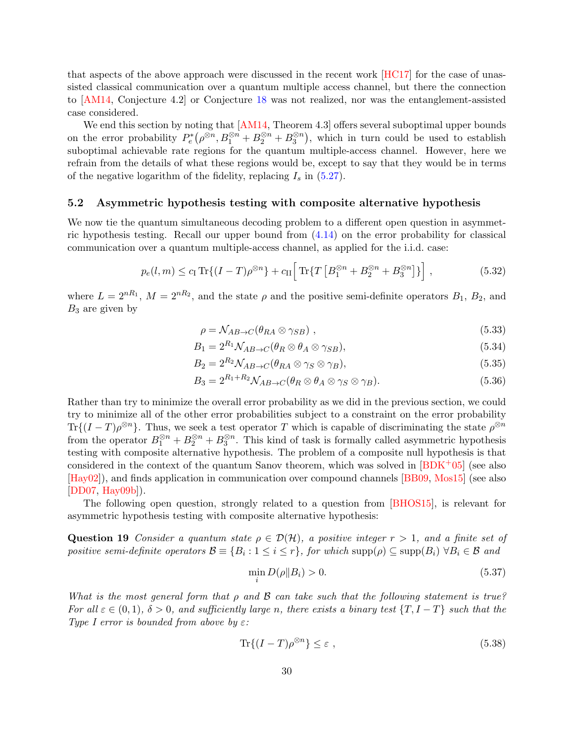that aspects of the above approach were discussed in the recent work [\[HC17\]](#page-41-12) for the case of unassisted classical communication over a quantum multiple access channel, but there the connection to [\[AM14,](#page-38-3) Conjecture 4.2] or Conjecture [18](#page-28-0) was not realized, nor was the entanglement-assisted case considered.

We end this section by noting that [\[AM14,](#page-38-3) Theorem 4.3] offers several suboptimal upper bounds on the error probability  $P_e^*(\rho^{\otimes n}, B_1^{\otimes n} + B_2^{\otimes n} + B_3^{\otimes n})$ , which in turn could be used to establish suboptimal achievable rate regions for the quantum multiple-access channel. However, here we refrain from the details of what these regions would be, except to say that they would be in terms of the negative logarithm of the fidelity, replacing  $I_s$  in  $(5.27)$ .

#### 5.2 Asymmetric hypothesis testing with composite alternative hypothesis

We now tie the quantum simultaneous decoding problem to a different open question in asymmetric hypothesis testing. Recall our upper bound from [\(4.14\)](#page-17-1) on the error probability for classical communication over a quantum multiple-access channel, as applied for the i.i.d. case:

$$
p_e(l,m) \le c_1 \text{Tr}\{(I-T)\rho^{\otimes n}\} + c_{II} \Big[\text{Tr}\{T\left[B_1^{\otimes n} + B_2^{\otimes n} + B_3^{\otimes n}\right]\}\Big],\tag{5.32}
$$

where  $L = 2^{nR_1}$ ,  $M = 2^{nR_2}$ , and the state  $\rho$  and the positive semi-definite operators  $B_1, B_2$ , and  $B_3$  are given by

<span id="page-30-2"></span><span id="page-30-1"></span>
$$
\rho = \mathcal{N}_{AB \to C}(\theta_{RA} \otimes \gamma_{SB}) , \qquad (5.33)
$$

$$
B_1 = 2^{R_1} \mathcal{N}_{AB \to C} (\theta_R \otimes \theta_A \otimes \gamma_{SB}), \tag{5.34}
$$

$$
B_2 = 2^{R_2} \mathcal{N}_{AB \to C} (\theta_{RA} \otimes \gamma_S \otimes \gamma_B), \tag{5.35}
$$

$$
B_3 = 2^{R_1 + R_2} \mathcal{N}_{AB \to C} (\theta_R \otimes \theta_A \otimes \gamma_S \otimes \gamma_B). \tag{5.36}
$$

Rather than try to minimize the overall error probability as we did in the previous section, we could try to minimize all of the other error probabilities subject to a constraint on the error probability  $\text{Tr}\{(I-T)\rho^{\otimes n}\}\.$  Thus, we seek a test operator T which is capable of discriminating the state  $\rho^{\otimes n}$ from the operator  $B_1^{\otimes n} + B_2^{\otimes n} + B_3^{\otimes n}$ . This kind of task is formally called asymmetric hypothesis testing with composite alternative hypothesis. The problem of a composite null hypothesis is that considered in the context of the quantum Sanov theorem, which was solved in  $[BDK^+05]$  (see also [\[Hay02\]](#page-40-12)), and finds application in communication over compound channels [\[BB09,](#page-38-9) [Mos15\]](#page-42-12) (see also [\[DD07,](#page-39-9) [Hay09b\]](#page-41-13)).

The following open question, strongly related to a question from [\[BHOS15\]](#page-38-4), is relevant for asymmetric hypothesis testing with composite alternative hypothesis:

<span id="page-30-0"></span>Question 19 Consider a quantum state  $\rho \in \mathcal{D}(\mathcal{H})$ , a positive integer  $r > 1$ , and a finite set of positive semi-definite operators  $\mathcal{B} \equiv \{B_i : 1 \le i \le r\}$ , for which  $\text{supp}(\rho) \subseteq \text{supp}(B_i) \ \forall B_i \in \mathcal{B}$  and

$$
\min_{i} D(\rho \| B_i) > 0. \tag{5.37}
$$

What is the most general form that  $\rho$  and  $\beta$  can take such that the following statement is true? For all  $\varepsilon \in (0,1)$ ,  $\delta > 0$ , and sufficiently large n, there exists a binary test  $\{T, I - T\}$  such that the Type I error is bounded from above by  $\varepsilon$ :

$$
\text{Tr}\{(I-T)\rho^{\otimes n}\}\leq\varepsilon\;, \tag{5.38}
$$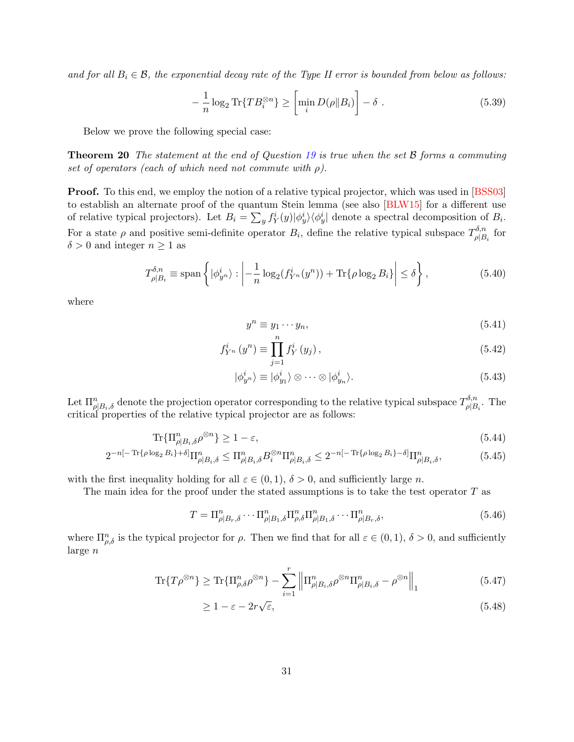and for all  $B_i \in \mathcal{B}$ , the exponential decay rate of the Type II error is bounded from below as follows:

$$
-\frac{1}{n}\log_2\text{Tr}\{TB_i^{\otimes n}\} \ge \left[\min_i D(\rho \| B_i)\right] - \delta \tag{5.39}
$$

Below we prove the following special case:

**Theorem 20** The statement at the end of Question [19](#page-30-0) is true when the set  $\beta$  forms a commuting set of operators (each of which need not commute with  $\rho$ ).

**Proof.** To this end, we employ the notion of a relative typical projector, which was used in [\[BSS03\]](#page-39-10) to establish an alternate proof of the quantum Stein lemma (see also [\[BLW15\]](#page-38-10) for a different use of relative typical projectors). Let  $B_i = \sum_y f_Y^i(y) |\phi_y^i\rangle\langle\phi_y^i|$  denote a spectral decomposition of  $B_i$ . For a state  $\rho$  and positive semi-definite operator  $B_i$ , define the relative typical subspace  $T_{\rho|B}^{\delta,n}$  $\Pr^{o,n}_{\rho|B_i}$  for  $\delta > 0$  and integer  $n \geq 1$  as

$$
T_{\rho|B_i}^{\delta,n} \equiv \text{span}\left\{ |\phi_{y^n}^i\rangle : \left| -\frac{1}{n} \log_2(f_{Y^n}^i(y^n)) + \text{Tr}\{\rho \log_2 B_i\} \right| \le \delta \right\},\tag{5.40}
$$

where

$$
y^n \equiv y_1 \cdots y_n,\tag{5.41}
$$

$$
f_{Y^n}^i(y^n) \equiv \prod_{j=1}^n f_Y^i(y_j), \qquad (5.42)
$$

$$
|\phi_{y^n}^i\rangle \equiv |\phi_{y_1}^i\rangle \otimes \cdots \otimes |\phi_{y_n}^i\rangle.
$$
 (5.43)

Let  $\Pi_{\rho|B_i,\delta}^n$  denote the projection operator corresponding to the relative typical subspace  $T_{\rho|B_i}^{\delta,n}$  $\Gamma_{\rho|B_i}^{0,n}$ . The critical properties of the relative typical projector are as follows:

$$
\text{Tr}\{\Pi_{\rho|B_i,\delta}^n\rho^{\otimes n}\} \ge 1 - \varepsilon,\tag{5.44}
$$

$$
2^{-n[-\operatorname{Tr}\{\rho\log_2 B_i\}+\delta]}\Pi_{\rho|B_i,\delta}^n \leq \Pi_{\rho|B_i,\delta}^n B_i^{\otimes n}\Pi_{\rho|B_i,\delta}^n \leq 2^{-n[-\operatorname{Tr}\{\rho\log_2 B_i\}-\delta]}\Pi_{\rho|B_i,\delta}^n,\tag{5.45}
$$

with the first inequality holding for all  $\varepsilon \in (0,1)$ ,  $\delta > 0$ , and sufficiently large n.

The main idea for the proof under the stated assumptions is to take the test operator T as

$$
T = \Pi_{\rho|B_r,\delta}^n \cdots \Pi_{\rho|B_1,\delta}^n \Pi_{\rho,\delta}^n \Pi_{\rho|B_1,\delta}^n \cdots \Pi_{\rho|B_r,\delta}^n, \tag{5.46}
$$

where  $\Pi_{\rho,\delta}^n$  is the typical projector for  $\rho$ . Then we find that for all  $\varepsilon \in (0,1)$ ,  $\delta > 0$ , and sufficiently large n

$$
\text{Tr}\{T\rho^{\otimes n}\} \ge \text{Tr}\{\Pi_{\rho,\delta}^n \rho^{\otimes n}\} - \sum_{i=1}^r \left\| \Pi_{\rho|B_i,\delta}^n \rho^{\otimes n} \Pi_{\rho|B_i,\delta}^n - \rho^{\otimes n} \right\|_1
$$
\n(5.47)

$$
\geq 1 - \varepsilon - 2r\sqrt{\varepsilon},\tag{5.48}
$$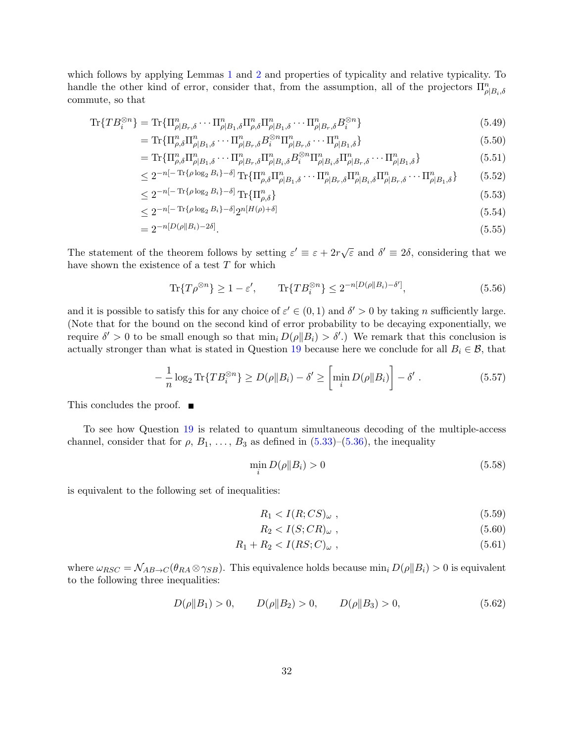which follows by applying Lemmas [1](#page-3-2) and [2](#page-3-1) and properties of typicality and relative typicality. To handle the other kind of error, consider that, from the assumption, all of the projectors  $\Pi_{\rho|B_i,\delta}^n$ commute, so that

$$
\text{Tr}\{TB_i^{\otimes n}\} = \text{Tr}\{\Pi_{\rho|B_r,\delta}^n \cdots \Pi_{\rho|B_1,\delta}^n \Pi_{\rho,\delta}^n \Pi_{\rho|B_1,\delta}^n \cdots \Pi_{\rho|B_r,\delta}^n B_i^{\otimes n}\}\tag{5.49}
$$

$$
= \text{Tr}\{\Pi_{\rho,\delta}^n \Pi_{\rho|B_1,\delta}^n \cdots \Pi_{\rho|B_r,\delta}^n B_i^{\otimes n} \Pi_{\rho|B_r,\delta}^n \cdots \Pi_{\rho|B_1,\delta}^n\} \tag{5.50}
$$

$$
= \text{Tr}\{\Pi_{\rho,\delta}^n \Pi_{\rho|B_1,\delta}^n \cdots \Pi_{\rho|B_r,\delta}^n \Pi_{\rho|B_i,\delta}^n B_i^{\otimes n} \Pi_{\rho|B_i,\delta}^n \Pi_{\rho|B_r,\delta}^n \cdots \Pi_{\rho|B_1,\delta}^n \}
$$
(5.51)

$$
\leq 2^{-n[-\operatorname{Tr}\{\rho\log_{2}B_{i}\}-\delta]}\operatorname{Tr}\{\Pi_{\rho,\delta}^{n}\Pi_{\rho|B_{1},\delta}^{n}\cdots\Pi_{\rho|B_{r},\delta}^{n}\Pi_{\rho|B_{i},\delta}^{n}\Pi_{\rho|B_{r},\delta}^{n}\cdots\Pi_{\rho|B_{1},\delta}^{n}\}\qquad(5.52)
$$

$$
\leq 2^{-n[-\operatorname{Tr}\{\rho\log_2 B_i\} - \delta]} \operatorname{Tr}\{\Pi_{\rho,\delta}^n\} \tag{5.53}
$$

$$
\leq 2^{-n[-\operatorname{Tr}\{\rho\log_2 B_i\}-\delta]}2^{n[H(\rho)+\delta]} \tag{5.54}
$$

$$
=2^{-n[D(\rho||B_i)-2\delta]}.\t(5.55)
$$

The statement of the theorem follows by setting  $\varepsilon' \equiv \varepsilon + 2r\sqrt{\varepsilon}$  and  $\delta' \equiv 2\delta$ , considering that we have shown the existence of a test  $T$  for which

$$
\text{Tr}\{T\rho^{\otimes n}\} \ge 1 - \varepsilon', \qquad \text{Tr}\{TB_i^{\otimes n}\} \le 2^{-n[D(\rho||B_i) - \delta']},\tag{5.56}
$$

and it is possible to satisfy this for any choice of  $\varepsilon' \in (0,1)$  and  $\delta' > 0$  by taking n sufficiently large. (Note that for the bound on the second kind of error probability to be decaying exponentially, we require  $\delta' > 0$  to be small enough so that  $\min_i D(\rho || B_i) > \delta'.$  We remark that this conclusion is actually stronger than what is stated in Question [19](#page-30-0) because here we conclude for all  $B_i \in \mathcal{B}$ , that

$$
-\frac{1}{n}\log_2\text{Tr}\{TB_i^{\otimes n}\}\geq D(\rho\|B_i)-\delta'\geq \left[\min_i D(\rho\|B_i)\right]-\delta'\;.\tag{5.57}
$$

This concludes the proof. ■

To see how Question [19](#page-30-0) is related to quantum simultaneous decoding of the multiple-access channel, consider that for  $\rho$ ,  $B_1$ , ...,  $B_3$  as defined in [\(5.33\)](#page-30-1)–[\(5.36\)](#page-30-2), the inequality

$$
\min_{i} D(\rho \| B_i) > 0 \tag{5.58}
$$

is equivalent to the following set of inequalities:

$$
R_1 < I(R;CS)\omega \tag{5.59}
$$

$$
R_2 < I(S; CR)_{\omega} \tag{5.60}
$$

$$
R_1 + R_2 < I(RS; C)_{\omega} \,,\tag{5.61}
$$

where  $\omega_{RSC} = \mathcal{N}_{AB\rightarrow C}(\theta_{RA} \otimes \gamma_{SB})$ . This equivalence holds because  $\min_i D(\rho||B_i) > 0$  is equivalent to the following three inequalities:

$$
D(\rho||B_1) > 0, \qquad D(\rho||B_2) > 0, \qquad D(\rho||B_3) > 0,
$$
\n(5.62)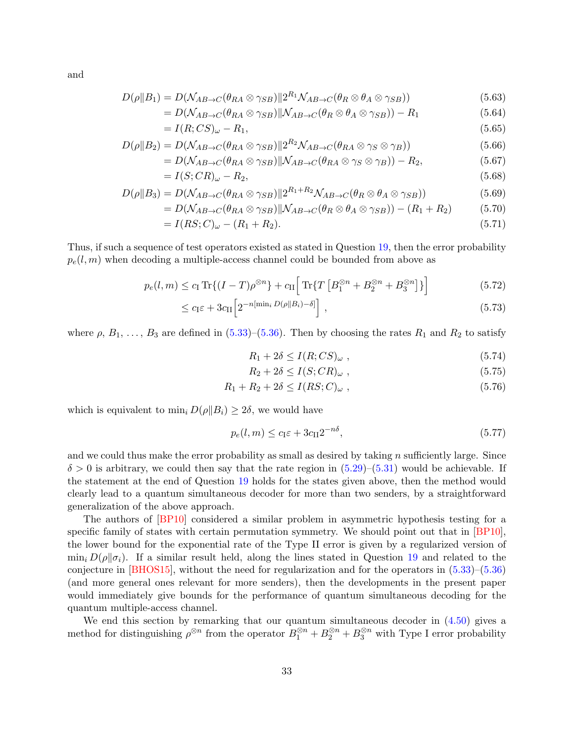and

$$
D(\rho||B_1) = D(\mathcal{N}_{AB \to C}(\theta_{RA} \otimes \gamma_{SB})||2^{R_1}\mathcal{N}_{AB \to C}(\theta_R \otimes \theta_A \otimes \gamma_{SB}))
$$
\n(5.63)

$$
=D(\mathcal{N}_{AB\to C}(\theta_{RA}\otimes\gamma_{SB})||\mathcal{N}_{AB\to C}(\theta_R\otimes\theta_A\otimes\gamma_{SB})) - R_1
$$
\n(5.64)

$$
= I(R;CS)\omega - R_1,
$$
\n<sup>(5.65)</sup>

$$
D(\rho||B_2) = D(\mathcal{N}_{AB \to C}(\theta_{RA} \otimes \gamma_{SB})||2^{R_2}\mathcal{N}_{AB \to C}(\theta_{RA} \otimes \gamma_S \otimes \gamma_B))
$$
(5.66)

$$
=D(\mathcal{N}_{AB\to C}(\theta_{RA}\otimes\gamma_{SB})||\mathcal{N}_{AB\to C}(\theta_{RA}\otimes\gamma_{S}\otimes\gamma_{B}))-R_2,
$$
\n(5.67)

$$
=I(S;CR)\omega - R_2, \tag{5.68}
$$

$$
D(\rho \| B_3) = D(\mathcal{N}_{AB \to C}(\theta_{RA} \otimes \gamma_{SB}) \| 2^{R_1 + R_2} \mathcal{N}_{AB \to C}(\theta_R \otimes \theta_A \otimes \gamma_{SB}))
$$
(5.69)

$$
=D(\mathcal{N}_{AB\to C}(\theta_{RA}\otimes\gamma_{SB})||\mathcal{N}_{AB\to C}(\theta_R\otimes\theta_A\otimes\gamma_{SB}))-(R_1+R_2)\tag{5.70}
$$

$$
= I(RS;C)_{\omega} - (R_1 + R_2). \tag{5.71}
$$

Thus, if such a sequence of test operators existed as stated in Question [19,](#page-30-0) then the error probability  $p_e(l,m)$  when decoding a multiple-access channel could be bounded from above as

$$
p_e(l,m) \le c_\text{I} \operatorname{Tr}\{(I-T)\rho^{\otimes n}\} + c_\text{II} \Big[ \operatorname{Tr}\{T \left[B_1^{\otimes n} + B_2^{\otimes n} + B_3^{\otimes n}\right]\} \Big] \tag{5.72}
$$

$$
\leq c_1 \varepsilon + 3c_{\text{II}} \Big[ 2^{-n[\min_i D(\rho || B_i) - \delta]} \Big], \tag{5.73}
$$

where  $\rho$ ,  $B_1, \ldots, B_3$  are defined in [\(5.33\)](#page-30-1)–[\(5.36\)](#page-30-2). Then by choosing the rates  $R_1$  and  $R_2$  to satisfy

$$
R_1 + 2\delta \le I(R;CS)_{\omega} ,\qquad (5.74)
$$

$$
R_2 + 2\delta \le I(S; CR)_{\omega} , \qquad (5.75)
$$

$$
R_1 + R_2 + 2\delta \le I(RS; C)_{\omega} , \qquad (5.76)
$$

which is equivalent to  $\min_i D(\rho || B_i) \ge 2\delta$ , we would have

$$
p_e(l,m) \le c_{\rm I} \varepsilon + 3c_{\rm II} 2^{-n\delta},\tag{5.77}
$$

and we could thus make the error probability as small as desired by taking  $n$  sufficiently large. Since  $\delta > 0$  is arbitrary, we could then say that the rate region in  $(5.29)$ – $(5.31)$  would be achievable. If the statement at the end of Question [19](#page-30-0) holds for the states given above, then the method would clearly lead to a quantum simultaneous decoder for more than two senders, by a straightforward generalization of the above approach.

The authors of [\[BP10\]](#page-39-11) considered a similar problem in asymmetric hypothesis testing for a specific family of states with certain permutation symmetry. We should point out that in [\[BP10\]](#page-39-11), the lower bound for the exponential rate of the Type II error is given by a regularized version of  $\min_i D(\rho||\sigma_i)$ . If a similar result held, along the lines stated in Question [19](#page-30-0) and related to the conjecture in [\[BHOS15\]](#page-38-4), without the need for regularization and for the operators in [\(5.33\)](#page-30-1)–[\(5.36\)](#page-30-2) (and more general ones relevant for more senders), then the developments in the present paper would immediately give bounds for the performance of quantum simultaneous decoding for the quantum multiple-access channel.

We end this section by remarking that our quantum simultaneous decoder in  $(4.50)$  gives a method for distinguishing  $\rho^{\otimes n}$  from the operator  $B_1^{\otimes n} + B_2^{\otimes n} + B_3^{\otimes n}$  with Type I error probability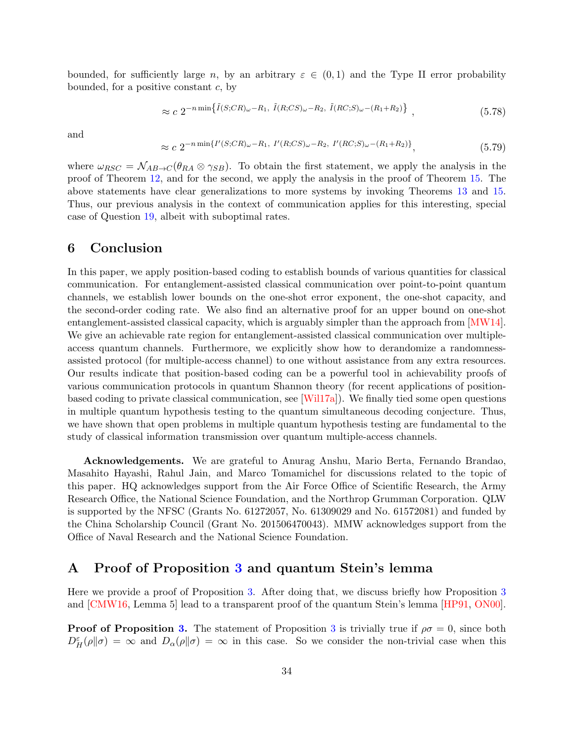bounded, for sufficiently large n, by an arbitrary  $\varepsilon \in (0,1)$  and the Type II error probability bounded, for a positive constant  $c$ , by

$$
\approx c \ 2^{-n \min\{ \tilde{I}(S;CR)\omega - R_1, \ \tilde{I}(R;CS)\omega - R_2, \ \tilde{I}(RC;S)\omega - (R_1 + R_2) \} }, \tag{5.78}
$$

and

$$
\approx c \; 2^{-n \min\{I'(S;CR)\omega - R_1, \ I'(R;CS)\omega - R_2, \ I'(RC;S)\omega - (R_1 + R_2)\}},\tag{5.79}
$$

where  $\omega_{RSC} = \mathcal{N}_{AB\rightarrow C}(\theta_{RA} \otimes \gamma_{SB})$ . To obtain the first statement, we apply the analysis in the proof of Theorem [12,](#page-21-0) and for the second, we apply the analysis in the proof of Theorem [15.](#page-24-0) The above statements have clear generalizations to more systems by invoking Theorems [13](#page-23-0) and [15.](#page-24-0) Thus, our previous analysis in the context of communication applies for this interesting, special case of Question [19,](#page-30-0) albeit with suboptimal rates.

#### <span id="page-34-0"></span>6 Conclusion

In this paper, we apply position-based coding to establish bounds of various quantities for classical communication. For entanglement-assisted classical communication over point-to-point quantum channels, we establish lower bounds on the one-shot error exponent, the one-shot capacity, and the second-order coding rate. We also find an alternative proof for an upper bound on one-shot entanglement-assisted classical capacity, which is arguably simpler than the approach from [\[MW14\]](#page-42-3). We give an achievable rate region for entanglement-assisted classical communication over multipleaccess quantum channels. Furthermore, we explicitly show how to derandomize a randomnessassisted protocol (for multiple-access channel) to one without assistance from any extra resources. Our results indicate that position-based coding can be a powerful tool in achievability proofs of various communication protocols in quantum Shannon theory (for recent applications of positionbased coding to private classical communication, see [\[Wil17a\]](#page-43-6)). We finally tied some open questions in multiple quantum hypothesis testing to the quantum simultaneous decoding conjecture. Thus, we have shown that open problems in multiple quantum hypothesis testing are fundamental to the study of classical information transmission over quantum multiple-access channels.

Acknowledgements. We are grateful to Anurag Anshu, Mario Berta, Fernando Brandao, Masahito Hayashi, Rahul Jain, and Marco Tomamichel for discussions related to the topic of this paper. HQ acknowledges support from the Air Force Office of Scientific Research, the Army Research Office, the National Science Foundation, and the Northrop Grumman Corporation. QLW is supported by the NFSC (Grants No. 61272057, No. 61309029 and No. 61572081) and funded by the China Scholarship Council (Grant No. 201506470043). MMW acknowledges support from the Office of Naval Research and the National Science Foundation.

## A Proof of Proposition [3](#page-4-0) and quantum Stein's lemma

Here we provide a proof of Proposition [3.](#page-4-0) After doing that, we discuss briefly how Proposition [3](#page-4-0) and [\[CMW16,](#page-39-5) Lemma 5] lead to a transparent proof of the quantum Stein's lemma [\[HP91,](#page-41-7) [ON00\]](#page-42-7).

**Proof of Proposition [3.](#page-4-0)** The statement of Proposition [3](#page-4-0) is trivially true if  $\rho\sigma = 0$ , since both  $D_H^{\varepsilon}(\rho||\sigma) = \infty$  and  $D_{\alpha}(\rho||\sigma) = \infty$  in this case. So we consider the non-trivial case when this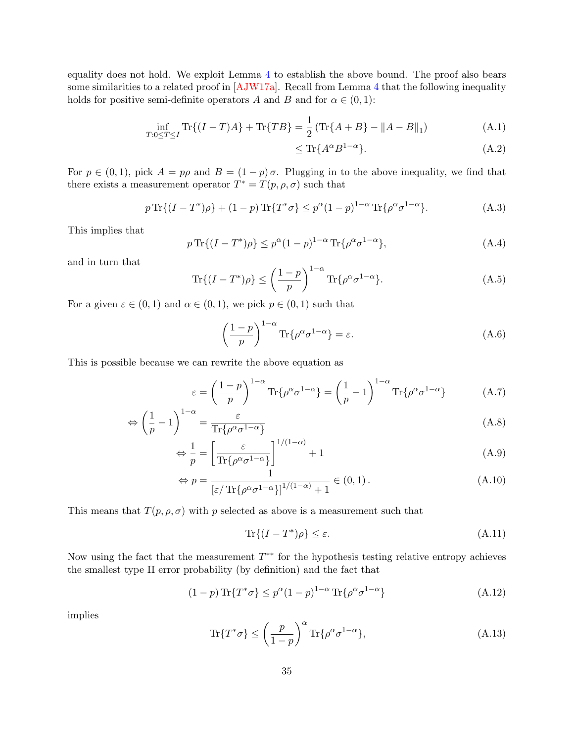equality does not hold. We exploit Lemma [4](#page-5-2) to establish the above bound. The proof also bears some similarities to a related proof in [\[AJW17a\]](#page-38-11). Recall from Lemma [4](#page-5-2) that the following inequality holds for positive semi-definite operators A and B and for  $\alpha \in (0,1)$ :

$$
\inf_{T:0 \le T \le I} \text{Tr}\{(I-T)A\} + \text{Tr}\{TB\} = \frac{1}{2} \left(\text{Tr}\{A+B\} - \|A-B\|_1\right) \tag{A.1}
$$

$$
\leq \text{Tr}\{A^{\alpha}B^{1-\alpha}\}.\tag{A.2}
$$

For  $p \in (0,1)$ , pick  $A = p\rho$  and  $B = (1-p)\sigma$ . Plugging in to the above inequality, we find that there exists a measurement operator  $T^* = T(p, \rho, \sigma)$  such that

$$
p \operatorname{Tr} \{ (I - T^*) \rho \} + (1 - p) \operatorname{Tr} \{ T^* \sigma \} \le p^{\alpha} (1 - p)^{1 - \alpha} \operatorname{Tr} \{ \rho^{\alpha} \sigma^{1 - \alpha} \}. \tag{A.3}
$$

This implies that

$$
p \operatorname{Tr}\{(I - T^*)\rho\} \le p^{\alpha} (1 - p)^{1 - \alpha} \operatorname{Tr}\{\rho^{\alpha} \sigma^{1 - \alpha}\},\tag{A.4}
$$

and in turn that

$$
\operatorname{Tr}\{(I - T^*)\rho\} \le \left(\frac{1 - p}{p}\right)^{1 - \alpha} \operatorname{Tr}\{\rho^{\alpha}\sigma^{1 - \alpha}\}.
$$
 (A.5)

For a given  $\varepsilon \in (0,1)$  and  $\alpha \in (0,1)$ , we pick  $p \in (0,1)$  such that

$$
\left(\frac{1-p}{p}\right)^{1-\alpha} \text{Tr}\{\rho^{\alpha}\sigma^{1-\alpha}\} = \varepsilon.
$$
\n(A.6)

This is possible because we can rewrite the above equation as

$$
\varepsilon = \left(\frac{1-p}{p}\right)^{1-\alpha} \text{Tr}\{\rho^{\alpha}\sigma^{1-\alpha}\} = \left(\frac{1}{p} - 1\right)^{1-\alpha} \text{Tr}\{\rho^{\alpha}\sigma^{1-\alpha}\} \tag{A.7}
$$

$$
\Leftrightarrow \left(\frac{1}{p} - 1\right)^{1-\alpha} = \frac{\varepsilon}{\text{Tr}\{\rho^{\alpha}\sigma^{1-\alpha}\}}\tag{A.8}
$$

$$
\Leftrightarrow \frac{1}{p} = \left[ \frac{\varepsilon}{\text{Tr}\{\rho^{\alpha}\sigma^{1-\alpha}\}} \right]^{1/(1-\alpha)} + 1 \tag{A.9}
$$

$$
\Leftrightarrow p = \frac{1}{\left[\varepsilon/\operatorname{Tr}\{\rho^{\alpha}\sigma^{1-\alpha}\}\right]^{1/(1-\alpha)} + 1} \in (0,1).
$$
\n(A.10)

This means that  $T(p, \rho, \sigma)$  with p selected as above is a measurement such that

$$
\operatorname{Tr}\{(I - T^*)\rho\} \le \varepsilon. \tag{A.11}
$$

Now using the fact that the measurement  $T^{**}$  for the hypothesis testing relative entropy achieves the smallest type II error probability (by definition) and the fact that

$$
(1-p)\operatorname{Tr}\{T^*\sigma\} \le p^{\alpha}(1-p)^{1-\alpha}\operatorname{Tr}\{\rho^{\alpha}\sigma^{1-\alpha}\}\tag{A.12}
$$

implies

$$
\operatorname{Tr}\{T^*\sigma\} \le \left(\frac{p}{1-p}\right)^{\alpha} \operatorname{Tr}\{\rho^{\alpha}\sigma^{1-\alpha}\},\tag{A.13}
$$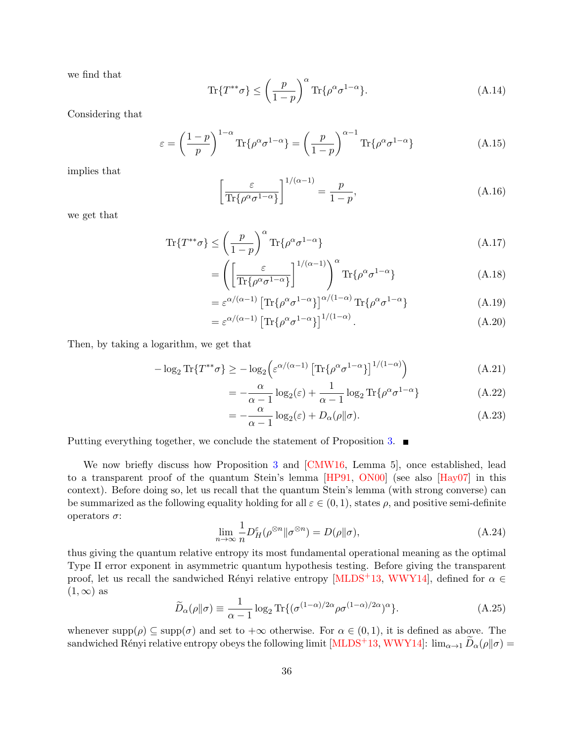we find that

$$
\operatorname{Tr}\{T^{**}\sigma\} \le \left(\frac{p}{1-p}\right)^{\alpha} \operatorname{Tr}\{\rho^{\alpha}\sigma^{1-\alpha}\}.
$$
\n(A.14)

Considering that

$$
\varepsilon = \left(\frac{1-p}{p}\right)^{1-\alpha} \text{Tr}\{\rho^{\alpha}\sigma^{1-\alpha}\} = \left(\frac{p}{1-p}\right)^{\alpha-1} \text{Tr}\{\rho^{\alpha}\sigma^{1-\alpha}\}\tag{A.15}
$$

implies that

$$
\left[\frac{\varepsilon}{\text{Tr}\{\rho^{\alpha}\sigma^{1-\alpha}\}}\right]^{1/(\alpha-1)} = \frac{p}{1-p},\tag{A.16}
$$

we get that

$$
\text{Tr}\{T^{**}\sigma\} \le \left(\frac{p}{1-p}\right)^{\alpha} \text{Tr}\{\rho^{\alpha}\sigma^{1-\alpha}\}\tag{A.17}
$$

$$
= \left( \left[ \frac{\varepsilon}{\text{Tr}\{\rho^{\alpha}\sigma^{1-\alpha}\}} \right]^{1/(\alpha-1)} \right)^{\alpha} \text{Tr}\{\rho^{\alpha}\sigma^{1-\alpha}\} \tag{A.18}
$$

$$
= \varepsilon^{\alpha/(\alpha-1)} \left[ \text{Tr} \{ \rho^{\alpha} \sigma^{1-\alpha} \} \right]^{\alpha/(1-\alpha)} \text{Tr} \{ \rho^{\alpha} \sigma^{1-\alpha} \} \tag{A.19}
$$

$$
= \varepsilon^{\alpha/(\alpha-1)} \left[ \text{Tr} \{ \rho^{\alpha} \sigma^{1-\alpha} \} \right]^{1/(1-\alpha)}.
$$
 (A.20)

Then, by taking a logarithm, we get that

$$
-\log_2 \text{Tr}\{T^{**}\sigma\} \ge -\log_2 \left(\varepsilon^{\alpha/(\alpha-1)} \left[\text{Tr}\{\rho^{\alpha}\sigma^{1-\alpha}\}\right]^{1/(1-\alpha)}\right) \tag{A.21}
$$

$$
= -\frac{\alpha}{\alpha - 1} \log_2(\varepsilon) + \frac{1}{\alpha - 1} \log_2 \text{Tr}\{\rho^{\alpha} \sigma^{1-\alpha}\}\tag{A.22}
$$

$$
= -\frac{\alpha}{\alpha - 1} \log_2(\varepsilon) + D_\alpha(\rho \| \sigma). \tag{A.23}
$$

Putting everything together, we conclude the statement of Proposition [3.](#page-4-0)

We now briefly discuss how Proposition [3](#page-4-0) and [\[CMW16,](#page-39-5) Lemma 5], once established, lead to a transparent proof of the quantum Stein's lemma [\[HP91,](#page-41-7) [ON00\]](#page-42-7) (see also [\[Hay07\]](#page-40-0) in this context). Before doing so, let us recall that the quantum Stein's lemma (with strong converse) can be summarized as the following equality holding for all  $\varepsilon \in (0,1)$ , states  $\rho$ , and positive semi-definite operators σ:

$$
\lim_{n \to \infty} \frac{1}{n} D_H^{\varepsilon}(\rho^{\otimes n} \| \sigma^{\otimes n}) = D(\rho \| \sigma), \tag{A.24}
$$

thus giving the quantum relative entropy its most fundamental operational meaning as the optimal Type II error exponent in asymmetric quantum hypothesis testing. Before giving the transparent proof, let us recall the sandwiched Rényi relative entropy [\[MLDS](#page-42-13)+13, [WWY14\]](#page-44-7), defined for  $\alpha \in$  $(1, \infty)$  as

$$
\widetilde{D}_{\alpha}(\rho||\sigma) \equiv \frac{1}{\alpha - 1} \log_2 \text{Tr}\{ (\sigma^{(1-\alpha)/2\alpha} \rho \sigma^{(1-\alpha)/2\alpha})^{\alpha} \}.
$$
\n(A.25)

whenever  $\text{supp}(\rho) \subseteq \text{supp}(\sigma)$  and set to  $+\infty$  otherwise. For  $\alpha \in (0,1)$ , it is defined as above. The sandwiched Rényi relative entropy obeys the following limit [\[MLDS](#page-42-13)<sup>+</sup>13, [WWY14\]](#page-44-7):  $\lim_{\alpha\to 1} \widetilde{D}_{\alpha}(\rho||\sigma)$  =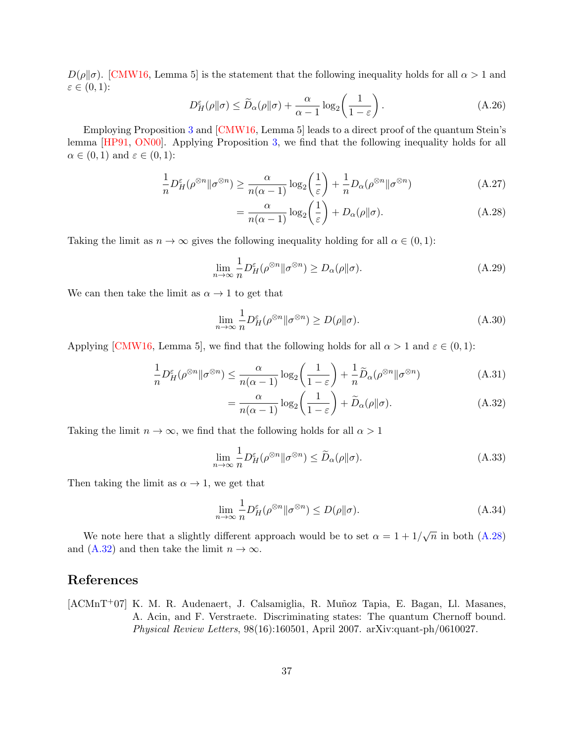$D(\rho||\sigma)$ . [\[CMW16,](#page-39-5) Lemma 5] is the statement that the following inequality holds for all  $\alpha > 1$  and  $\varepsilon \in (0,1)$ :

$$
D_H^{\varepsilon}(\rho \| \sigma) \le \widetilde{D}_{\alpha}(\rho \| \sigma) + \frac{\alpha}{\alpha - 1} \log_2 \left( \frac{1}{1 - \varepsilon} \right). \tag{A.26}
$$

Employing Proposition [3](#page-4-0) and [\[CMW16,](#page-39-5) Lemma 5] leads to a direct proof of the quantum Stein's lemma [\[HP91,](#page-41-7) [ON00\]](#page-42-7). Applying Proposition [3,](#page-4-0) we find that the following inequality holds for all  $\alpha \in (0,1)$  and  $\varepsilon \in (0,1)$ :

$$
\frac{1}{n}D_H^{\varepsilon}(\rho^{\otimes n}||\sigma^{\otimes n}) \ge \frac{\alpha}{n(\alpha - 1)}\log_2\left(\frac{1}{\varepsilon}\right) + \frac{1}{n}D_\alpha(\rho^{\otimes n}||\sigma^{\otimes n})\tag{A.27}
$$

<span id="page-37-1"></span>
$$
= \frac{\alpha}{n(\alpha - 1)} \log_2 \left(\frac{1}{\varepsilon}\right) + D_{\alpha}(\rho \| \sigma). \tag{A.28}
$$

Taking the limit as  $n \to \infty$  gives the following inequality holding for all  $\alpha \in (0,1)$ :

$$
\lim_{n \to \infty} \frac{1}{n} D_H^{\varepsilon}(\rho^{\otimes n} \| \sigma^{\otimes n}) \ge D_{\alpha}(\rho \| \sigma). \tag{A.29}
$$

We can then take the limit as  $\alpha \to 1$  to get that

$$
\lim_{n \to \infty} \frac{1}{n} D_H^{\varepsilon}(\rho^{\otimes n} \| \sigma^{\otimes n}) \ge D(\rho \| \sigma). \tag{A.30}
$$

Applying [\[CMW16,](#page-39-5) Lemma 5], we find that the following holds for all  $\alpha > 1$  and  $\varepsilon \in (0,1)$ :

$$
\frac{1}{n}D_H^{\varepsilon}(\rho^{\otimes n} \|\sigma^{\otimes n}) \le \frac{\alpha}{n(\alpha - 1)} \log_2\left(\frac{1}{1 - \varepsilon}\right) + \frac{1}{n}\widetilde{D}_{\alpha}(\rho^{\otimes n} \|\sigma^{\otimes n})\tag{A.31}
$$

<span id="page-37-2"></span>
$$
= \frac{\alpha}{n(\alpha - 1)} \log_2 \left( \frac{1}{1 - \varepsilon} \right) + \widetilde{D}_{\alpha}(\rho \| \sigma). \tag{A.32}
$$

Taking the limit  $n \to \infty$ , we find that the following holds for all  $\alpha > 1$ 

$$
\lim_{n \to \infty} \frac{1}{n} D_H^{\varepsilon}(\rho^{\otimes n} \| \sigma^{\otimes n}) \le \widetilde{D}_{\alpha}(\rho \| \sigma). \tag{A.33}
$$

Then taking the limit as  $\alpha \rightarrow 1$ , we get that

$$
\lim_{n \to \infty} \frac{1}{n} D_H^{\varepsilon}(\rho^{\otimes n} \| \sigma^{\otimes n}) \le D(\rho \| \sigma). \tag{A.34}
$$

We note here that a slightly different approach would be to set  $\alpha = 1 + 1/\sqrt{n}$  in both [\(A.28\)](#page-37-1) and [\(A.32\)](#page-37-2) and then take the limit  $n \to \infty$ .

## References

<span id="page-37-0"></span>[ACMnT<sup>+</sup>07] K. M. R. Audenaert, J. Calsamiglia, R. Muñoz Tapia, E. Bagan, Ll. Masanes, A. Acin, and F. Verstraete. Discriminating states: The quantum Chernoff bound. Physical Review Letters, 98(16):160501, April 2007. arXiv:quant-ph/0610027.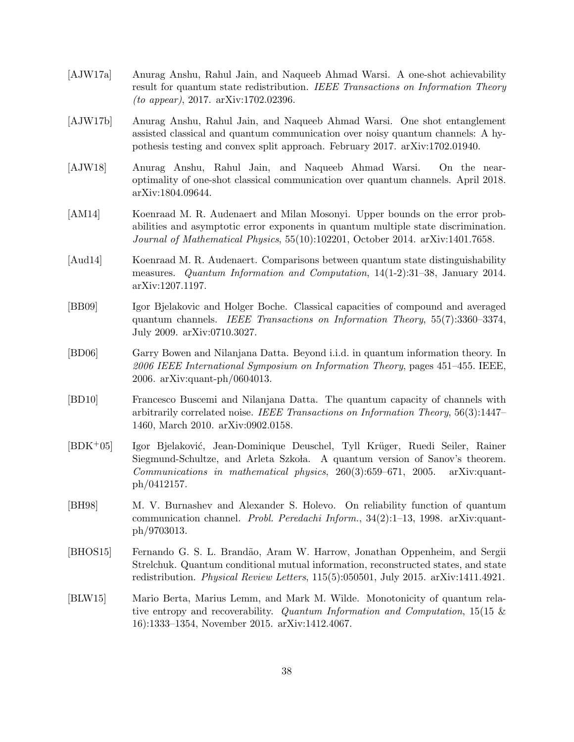- <span id="page-38-11"></span>[AJW17a] Anurag Anshu, Rahul Jain, and Naqueeb Ahmad Warsi. A one-shot achievability result for quantum state redistribution. IEEE Transactions on Information Theory (to appear), 2017. arXiv:1702.02396.
- <span id="page-38-2"></span>[AJW17b] Anurag Anshu, Rahul Jain, and Naqueeb Ahmad Warsi. One shot entanglement assisted classical and quantum communication over noisy quantum channels: A hypothesis testing and convex split approach. February 2017. arXiv:1702.01940.
- <span id="page-38-7"></span>[AJW18] Anurag Anshu, Rahul Jain, and Naqueeb Ahmad Warsi. On the nearoptimality of one-shot classical communication over quantum channels. April 2018. arXiv:1804.09644.
- <span id="page-38-3"></span>[AM14] Koenraad M. R. Audenaert and Milan Mosonyi. Upper bounds on the error probabilities and asymptotic error exponents in quantum multiple state discrimination. Journal of Mathematical Physics, 55(10):102201, October 2014. arXiv:1401.7658.
- <span id="page-38-6"></span>[Aud14] Koenraad M. R. Audenaert. Comparisons between quantum state distinguishability measures. Quantum Information and Computation, 14(1-2):31–38, January 2014. arXiv:1207.1197.
- <span id="page-38-9"></span>[BB09] Igor Bjelakovic and Holger Boche. Classical capacities of compound and averaged quantum channels. IEEE Transactions on Information Theory, 55(7):3360–3374, July 2009. arXiv:0710.3027.
- <span id="page-38-1"></span>[BD06] Garry Bowen and Nilanjana Datta. Beyond i.i.d. in quantum information theory. In 2006 IEEE International Symposium on Information Theory, pages 451–455. IEEE, 2006. arXiv:quant-ph/0604013.
- <span id="page-38-5"></span>[BD10] Francesco Buscemi and Nilanjana Datta. The quantum capacity of channels with arbitrarily correlated noise. IEEE Transactions on Information Theory, 56(3):1447– 1460, March 2010. arXiv:0902.0158.
- <span id="page-38-8"></span>[BDK<sup>+</sup>05] Igor Bjelaković, Jean-Dominique Deuschel, Tyll Krüger, Ruedi Seiler, Rainer Siegmund-Schultze, and Arleta Szkoła. A quantum version of Sanov's theorem.  $Communications$  in mathematical physics,  $260(3):659-671$ ,  $2005$ . arXiv:quantph/0412157.
- <span id="page-38-0"></span>[BH98] M. V. Burnashev and Alexander S. Holevo. On reliability function of quantum communication channel. Probl. Peredachi Inform., 34(2):1–13, 1998. arXiv:quantph/9703013.
- <span id="page-38-4"></span>[BHOS15] Fernando G. S. L. Brand˜ao, Aram W. Harrow, Jonathan Oppenheim, and Sergii Strelchuk. Quantum conditional mutual information, reconstructed states, and state redistribution. Physical Review Letters, 115(5):050501, July 2015. arXiv:1411.4921.
- <span id="page-38-10"></span>[BLW15] Mario Berta, Marius Lemm, and Mark M. Wilde. Monotonicity of quantum relative entropy and recoverability. Quantum Information and Computation,  $15(15 \&$ 16):1333–1354, November 2015. arXiv:1412.4067.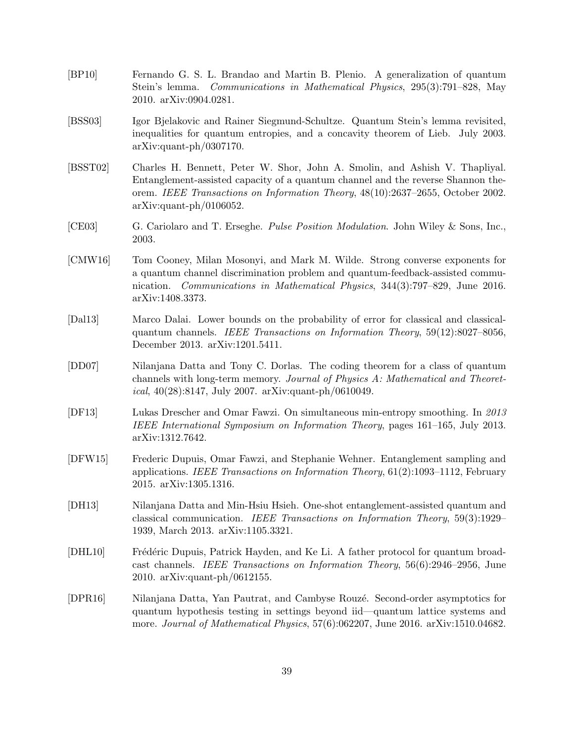- <span id="page-39-11"></span>[BP10] Fernando G. S. L. Brandao and Martin B. Plenio. A generalization of quantum Stein's lemma. Communications in Mathematical Physics, 295(3):791–828, May 2010. arXiv:0904.0281.
- <span id="page-39-10"></span>[BSS03] Igor Bjelakovic and Rainer Siegmund-Schultze. Quantum Stein's lemma revisited, inequalities for quantum entropies, and a concavity theorem of Lieb. July 2003. arXiv:quant-ph/0307170.
- <span id="page-39-0"></span>[BSST02] Charles H. Bennett, Peter W. Shor, John A. Smolin, and Ashish V. Thapliyal. Entanglement-assisted capacity of a quantum channel and the reverse Shannon theorem. IEEE Transactions on Information Theory, 48(10):2637–2655, October 2002. arXiv:quant-ph/0106052.
- <span id="page-39-4"></span>[CE03] G. Cariolaro and T. Erseghe. Pulse Position Modulation. John Wiley & Sons, Inc., 2003.
- <span id="page-39-5"></span>[CMW16] Tom Cooney, Milan Mosonyi, and Mark M. Wilde. Strong converse exponents for a quantum channel discrimination problem and quantum-feedback-assisted communication. Communications in Mathematical Physics, 344(3):797–829, June 2016. arXiv:1408.3373.
- <span id="page-39-2"></span>[Dal13] Marco Dalai. Lower bounds on the probability of error for classical and classicalquantum channels. IEEE Transactions on Information Theory, 59(12):8027–8056, December 2013. arXiv:1201.5411.
- <span id="page-39-9"></span>[DD07] Nilanjana Datta and Tony C. Dorlas. The coding theorem for a class of quantum channels with long-term memory. Journal of Physics A: Mathematical and Theoretical, 40(28):8147, July 2007. arXiv:quant-ph/0610049.
- <span id="page-39-7"></span>[DF13] Lukas Drescher and Omar Fawzi. On simultaneous min-entropy smoothing. In 2013 IEEE International Symposium on Information Theory, pages 161–165, July 2013. arXiv:1312.7642.
- <span id="page-39-8"></span>[DFW15] Frederic Dupuis, Omar Fawzi, and Stephanie Wehner. Entanglement sampling and applications. IEEE Transactions on Information Theory, 61(2):1093–1112, February 2015. arXiv:1305.1316.
- <span id="page-39-3"></span>[DH13] Nilanjana Datta and Min-Hsiu Hsieh. One-shot entanglement-assisted quantum and classical communication. IEEE Transactions on Information Theory, 59(3):1929– 1939, March 2013. arXiv:1105.3321.
- <span id="page-39-1"></span>[DHL10] Frédéric Dupuis, Patrick Hayden, and Ke Li. A father protocol for quantum broadcast channels. IEEE Transactions on Information Theory, 56(6):2946–2956, June 2010. arXiv:quant-ph/0612155.
- <span id="page-39-6"></span>[DPR16] Nilanjana Datta, Yan Pautrat, and Cambyse Rouz´e. Second-order asymptotics for quantum hypothesis testing in settings beyond iid—quantum lattice systems and more. Journal of Mathematical Physics, 57(6):062207, June 2016. arXiv:1510.04682.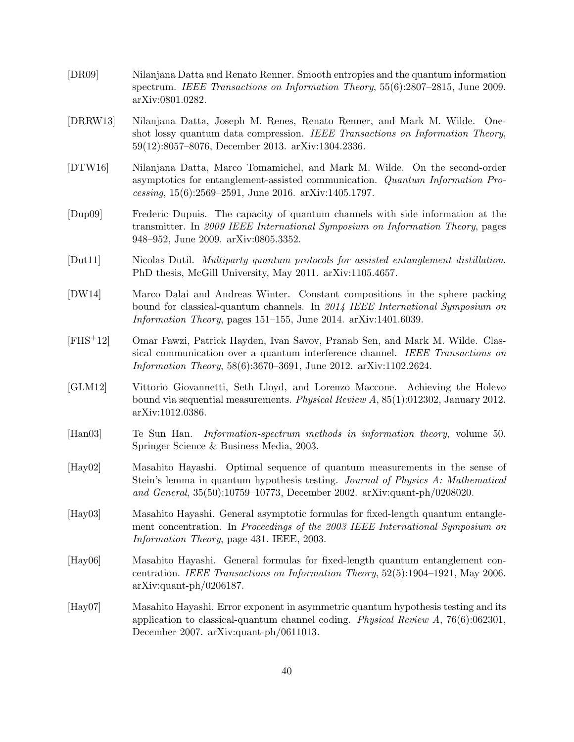- <span id="page-40-8"></span>[DR09] Nilanjana Datta and Renato Renner. Smooth entropies and the quantum information spectrum. IEEE Transactions on Information Theory, 55(6):2807–2815, June 2009. arXiv:0801.0282.
- <span id="page-40-3"></span>[DRRW13] Nilanjana Datta, Joseph M. Renes, Renato Renner, and Mark M. Wilde. Oneshot lossy quantum data compression. IEEE Transactions on Information Theory, 59(12):8057–8076, December 2013. arXiv:1304.2336.
- <span id="page-40-2"></span>[DTW16] Nilanjana Datta, Marco Tomamichel, and Mark M. Wilde. On the second-order asymptotics for entanglement-assisted communication. Quantum Information Processing, 15(6):2569–2591, June 2016. arXiv:1405.1797.
- <span id="page-40-5"></span>[Dup09] Frederic Dupuis. The capacity of quantum channels with side information at the transmitter. In 2009 IEEE International Symposium on Information Theory, pages 948–952, June 2009. arXiv:0805.3352.
- <span id="page-40-11"></span>[Dut11] Nicolas Dutil. Multiparty quantum protocols for assisted entanglement distillation. PhD thesis, McGill University, May 2011. arXiv:1105.4657.
- <span id="page-40-1"></span>[DW14] Marco Dalai and Andreas Winter. Constant compositions in the sphere packing bound for classical-quantum channels. In 2014 IEEE International Symposium on Information Theory, pages 151–155, June 2014. arXiv:1401.6039.
- <span id="page-40-6"></span>[FHS+12] Omar Fawzi, Patrick Hayden, Ivan Savov, Pranab Sen, and Mark M. Wilde. Classical communication over a quantum interference channel. IEEE Transactions on Information Theory, 58(6):3670–3691, June 2012. arXiv:1102.2624.
- <span id="page-40-10"></span>[GLM12] Vittorio Giovannetti, Seth Lloyd, and Lorenzo Maccone. Achieving the Holevo bound via sequential measurements. Physical Review A, 85(1):012302, January 2012. arXiv:1012.0386.
- <span id="page-40-7"></span>[Han03] Te Sun Han. Information-spectrum methods in information theory, volume 50. Springer Science & Business Media, 2003.
- <span id="page-40-12"></span>[Hay02] Masahito Hayashi. Optimal sequence of quantum measurements in the sense of Stein's lemma in quantum hypothesis testing. Journal of Physics A: Mathematical and General, 35(50):10759–10773, December 2002. arXiv:quant-ph/0208020.
- <span id="page-40-9"></span>[Hay03] Masahito Hayashi. General asymptotic formulas for fixed-length quantum entanglement concentration. In Proceedings of the 2003 IEEE International Symposium on Information Theory, page 431. IEEE, 2003.
- <span id="page-40-4"></span>[Hay06] Masahito Hayashi. General formulas for fixed-length quantum entanglement concentration. IEEE Transactions on Information Theory, 52(5):1904–1921, May 2006. arXiv:quant-ph/0206187.
- <span id="page-40-0"></span>[Hay07] Masahito Hayashi. Error exponent in asymmetric quantum hypothesis testing and its application to classical-quantum channel coding. Physical Review  $A$ , 76(6):062301, December 2007. arXiv:quant-ph/0611013.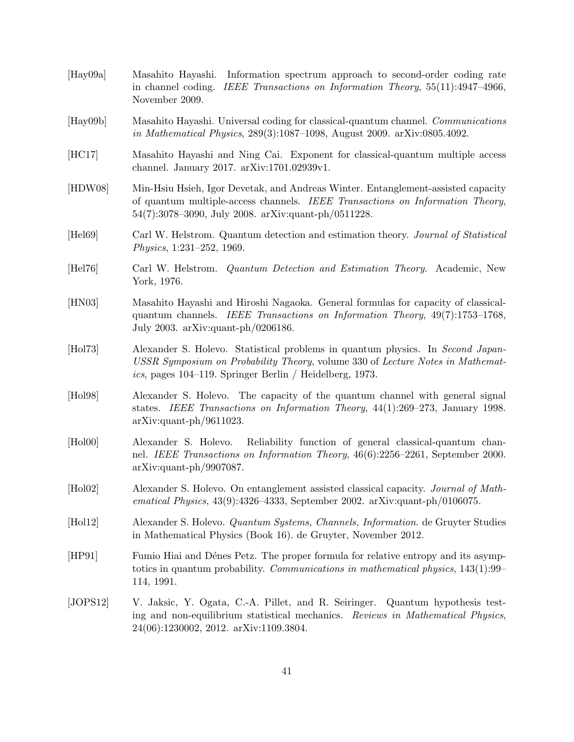<span id="page-41-13"></span><span id="page-41-12"></span><span id="page-41-11"></span><span id="page-41-10"></span><span id="page-41-9"></span><span id="page-41-8"></span><span id="page-41-7"></span><span id="page-41-6"></span><span id="page-41-5"></span><span id="page-41-4"></span><span id="page-41-3"></span><span id="page-41-2"></span><span id="page-41-1"></span><span id="page-41-0"></span>

| [Hay09a]        | Masahito Hayashi. Information spectrum approach to second-order coding rate<br>in channel coding. IEEE Transactions on Information Theory, 55(11):4947-4966,<br>November 2009.                                                 |
|-----------------|--------------------------------------------------------------------------------------------------------------------------------------------------------------------------------------------------------------------------------|
| [Hay09b]        | Masahito Hayashi. Universal coding for classical-quantum channel. Communications<br>in Mathematical Physics, 289(3):1087-1098, August 2009. arXiv:0805.4092.                                                                   |
| [HC17]          | Masahito Hayashi and Ning Cai. Exponent for classical-quantum multiple access<br>channel. January 2017. arXiv:1701.02939v1.                                                                                                    |
| [HDW08]         | Min-Hsiu Hsieh, Igor Devetak, and Andreas Winter. Entanglement-assisted capacity<br>of quantum multiple-access channels. IEEE Transactions on Information Theory,<br>$54(7):3078-3090$ , July 2008. arXiv:quant-ph/0511228.    |
| [Hel69]         | Carl W. Helstrom. Quantum detection and estimation theory. Journal of Statistical<br>Physics, 1:231-252, 1969.                                                                                                                 |
| [Hel76]         | Carl W. Helstrom. Quantum Detection and Estimation Theory. Academic, New<br>York, 1976.                                                                                                                                        |
| [HN03]          | Masahito Hayashi and Hiroshi Nagaoka. General formulas for capacity of classical-<br>quantum channels. IEEE Transactions on Information Theory, $49(7):1753-1768$ ,<br>July 2003. $arXiv:quant-ph/0206186$ .                   |
| [Hol73]         | Alexander S. Holevo. Statistical problems in quantum physics. In Second Japan-<br>USSR Symposium on Probability Theory, volume 330 of Lecture Notes in Mathemat-<br>ics, pages $104-119$ . Springer Berlin / Heidelberg, 1973. |
| [Hol98]         | Alexander S. Holevo. The capacity of the quantum channel with general signal<br>states. IEEE Transactions on Information Theory, $44(1):269-273$ , January 1998.<br>$arXiv:quant-ph/9611023.$                                  |
| $[\text{Hol}0]$ | Alexander S. Holevo.<br>Reliability function of general classical-quantum chan-<br>nel. IEEE Transactions on Information Theory, $46(6)$ :2256-2261, September 2000.<br>$arXiv:quant-ph/9907087.$                              |
| [Hol02]         | Alexander S. Holevo. On entanglement assisted classical capacity. Journal of Math-<br>ematical Physics, $43(9):4326-4333$ , September 2002. arXiv:quant-ph/0106075.                                                            |
| [Hol12]         | Alexander S. Holevo. <i>Quantum Systems, Channels, Information</i> . de Gruyter Studies<br>in Mathematical Physics (Book 16). de Gruyter, November 2012.                                                                       |
| [HP91]          | Fumio Hiai and Dénes Petz. The proper formula for relative entropy and its asymp-<br>totics in quantum probability. Communications in mathematical physics, $143(1):99-$<br>114, 1991.                                         |
| [JOPS12]        | V. Jaksic, Y. Ogata, C.-A. Pillet, and R. Seiringer. Quantum hypothesis test-<br>ing and non-equilibrium statistical mechanics. Reviews in Mathematical Physics,<br>24(06):1230002, 2012. arXiv:1109.3804.                     |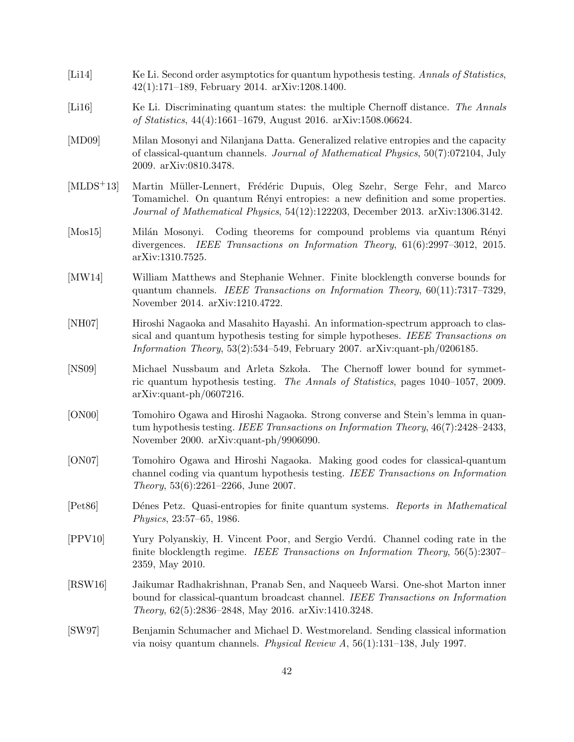- <span id="page-42-8"></span>[Li14] Ke Li. Second order asymptotics for quantum hypothesis testing. Annals of Statistics, 42(1):171–189, February 2014. arXiv:1208.1400.
- <span id="page-42-10"></span>[Li16] Ke Li. Discriminating quantum states: the multiple Chernoff distance. The Annals of Statistics, 44(4):1661–1679, August 2016. arXiv:1508.06624.
- <span id="page-42-9"></span>[MD09] Milan Mosonyi and Nilanjana Datta. Generalized relative entropies and the capacity of classical-quantum channels. Journal of Mathematical Physics, 50(7):072104, July 2009. arXiv:0810.3478.
- <span id="page-42-13"></span>[MLDS<sup>+</sup>13] Martin Müller-Lennert, Frédéric Dupuis, Oleg Szehr, Serge Fehr, and Marco Tomamichel. On quantum Rényi entropies: a new definition and some properties. Journal of Mathematical Physics, 54(12):122203, December 2013. arXiv:1306.3142.
- <span id="page-42-12"></span>[Mos15] Milán Mosonyi. Coding theorems for compound problems via quantum Rényi divergences. IEEE Transactions on Information Theory, 61(6):2997–3012, 2015. arXiv:1310.7525.
- <span id="page-42-3"></span>[MW14] William Matthews and Stephanie Wehner. Finite blocklength converse bounds for quantum channels. IEEE Transactions on Information Theory, 60(11):7317–7329, November 2014. arXiv:1210.4722.
- <span id="page-42-5"></span>[NH07] Hiroshi Nagaoka and Masahito Hayashi. An information-spectrum approach to classical and quantum hypothesis testing for simple hypotheses. IEEE Transactions on Information Theory, 53(2):534–549, February 2007. arXiv:quant-ph/0206185.
- <span id="page-42-11"></span>[NS09] Michael Nussbaum and Arleta Szkoła. The Chernoff lower bound for symmetric quantum hypothesis testing. The Annals of Statistics, pages 1040–1057, 2009. arXiv:quant-ph/0607216.
- <span id="page-42-7"></span>[ON00] Tomohiro Ogawa and Hiroshi Nagaoka. Strong converse and Stein's lemma in quantum hypothesis testing. IEEE Transactions on Information Theory, 46(7):2428–2433, November 2000. arXiv:quant-ph/9906090.
- <span id="page-42-4"></span>[ON07] Tomohiro Ogawa and Hiroshi Nagaoka. Making good codes for classical-quantum channel coding via quantum hypothesis testing. IEEE Transactions on Information Theory, 53(6):2261–2266, June 2007.
- <span id="page-42-6"></span>[Pet86] D´enes Petz. Quasi-entropies for finite quantum systems. Reports in Mathematical Physics, 23:57–65, 1986.
- <span id="page-42-2"></span>[PPV10] Yury Polyanskiy, H. Vincent Poor, and Sergio Verd´u. Channel coding rate in the finite blocklength regime. IEEE Transactions on Information Theory, 56(5):2307– 2359, May 2010.
- <span id="page-42-1"></span>[RSW16] Jaikumar Radhakrishnan, Pranab Sen, and Naqueeb Warsi. One-shot Marton inner bound for classical-quantum broadcast channel. IEEE Transactions on Information Theory, 62(5):2836–2848, May 2016. arXiv:1410.3248.
- <span id="page-42-0"></span>[SW97] Benjamin Schumacher and Michael D. Westmoreland. Sending classical information via noisy quantum channels. Physical Review A, 56(1):131–138, July 1997.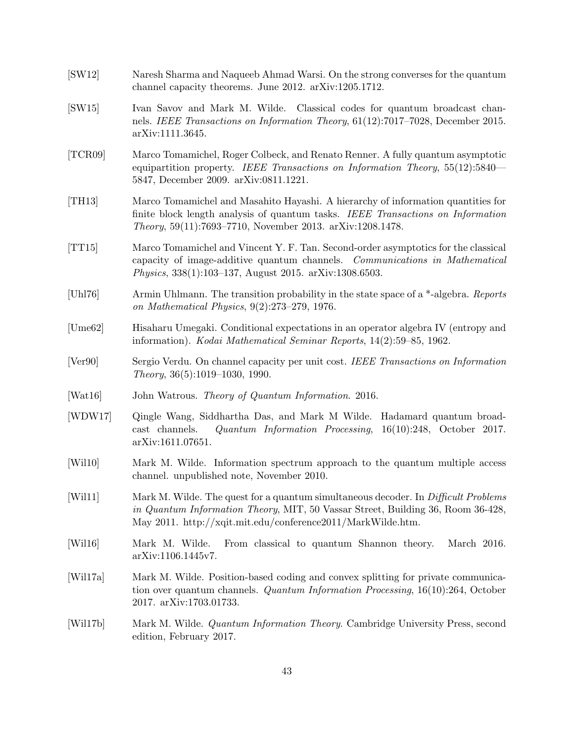<span id="page-43-14"></span><span id="page-43-13"></span><span id="page-43-12"></span><span id="page-43-11"></span><span id="page-43-10"></span><span id="page-43-9"></span><span id="page-43-8"></span><span id="page-43-7"></span><span id="page-43-6"></span><span id="page-43-5"></span><span id="page-43-4"></span><span id="page-43-3"></span><span id="page-43-2"></span><span id="page-43-1"></span><span id="page-43-0"></span>

| [SW12]   | Naresh Sharma and Naqueeb Ahmad Warsi. On the strong converses for the quantum<br>channel capacity theorems. June 2012. arXiv:1205.1712.                                                                                                 |
|----------|------------------------------------------------------------------------------------------------------------------------------------------------------------------------------------------------------------------------------------------|
| [SW15]   | Ivan Savov and Mark M. Wilde. Classical codes for quantum broadcast chan-<br>nels. IEEE Transactions on Information Theory, $61(12):7017-7028$ , December 2015.<br>arXiv:1111.3645.                                                      |
| [TCR09]  | Marco Tomamichel, Roger Colbeck, and Renato Renner. A fully quantum asymptotic<br>equipartition property. IEEE Transactions on Information Theory, 55(12):5840—<br>5847, December 2009. arXiv:0811.1221.                                 |
| [TH13]   | Marco Tomamichel and Masahito Hayashi. A hierarchy of information quantities for<br>finite block length analysis of quantum tasks. IEEE Transactions on Information<br><i>Theory</i> , 59(11):7693-7710, November 2013. arXiv:1208.1478. |
| [TT15]   | Marco Tomamichel and Vincent Y. F. Tan. Second-order asymptotics for the classical<br>capacity of image-additive quantum channels. Communications in Mathematical<br><i>Physics</i> , 338(1):103–137, August 2015. arXiv:1308.6503.      |
| [Uhl76]  | Armin Uhlmann. The transition probability in the state space of a *-algebra. Reports<br>on Mathematical Physics, $9(2):273-279$ , 1976.                                                                                                  |
| [Ume62]  | Hisaharu Umegaki. Conditional expectations in an operator algebra IV (entropy and<br>information). <i>Kodai Mathematical Seminar Reports</i> , 14(2):59–85, 1962.                                                                        |
| [Ver90]  | Sergio Verdu. On channel capacity per unit cost. IEEE Transactions on Information<br><i>Theory</i> , $36(5):1019-1030$ , 1990.                                                                                                           |
| [Wat16]  | John Watrous. Theory of Quantum Information. 2016.                                                                                                                                                                                       |
| [WDW17]  | Qingle Wang, Siddhartha Das, and Mark M Wilde. Hadamard quantum broad-<br>Quantum Information Processing, $16(10):248$ , October 2017.<br>cast channels.<br>arXiv:1611.07651.                                                            |
| [Wil10]  | Mark M. Wilde. Information spectrum approach to the quantum multiple access<br>channel. unpublished note, November 2010.                                                                                                                 |
| [Will1]  | Mark M. Wilde. The quest for a quantum simultaneous decoder. In Difficult Problems<br>in Quantum Information Theory, MIT, 50 Vassar Street, Building 36, Room 36-428,<br>May 2011. http://xqit.mit.edu/conference2011/MarkWilde.htm.     |
| [Wil16]  | From classical to quantum Shannon theory.<br>March 2016.<br>Mark M. Wilde.<br>arXiv:1106.1445v7.                                                                                                                                         |
| [Will7a] | Mark M. Wilde. Position-based coding and convex splitting for private communica-<br>tion over quantum channels. Quantum Information Processing, $16(10):264$ , October<br>2017. arXiv:1703.01733.                                        |
| [Will7b] | Mark M. Wilde. <i>Quantum Information Theory</i> . Cambridge University Press, second<br>edition, February 2017.                                                                                                                         |
|          |                                                                                                                                                                                                                                          |